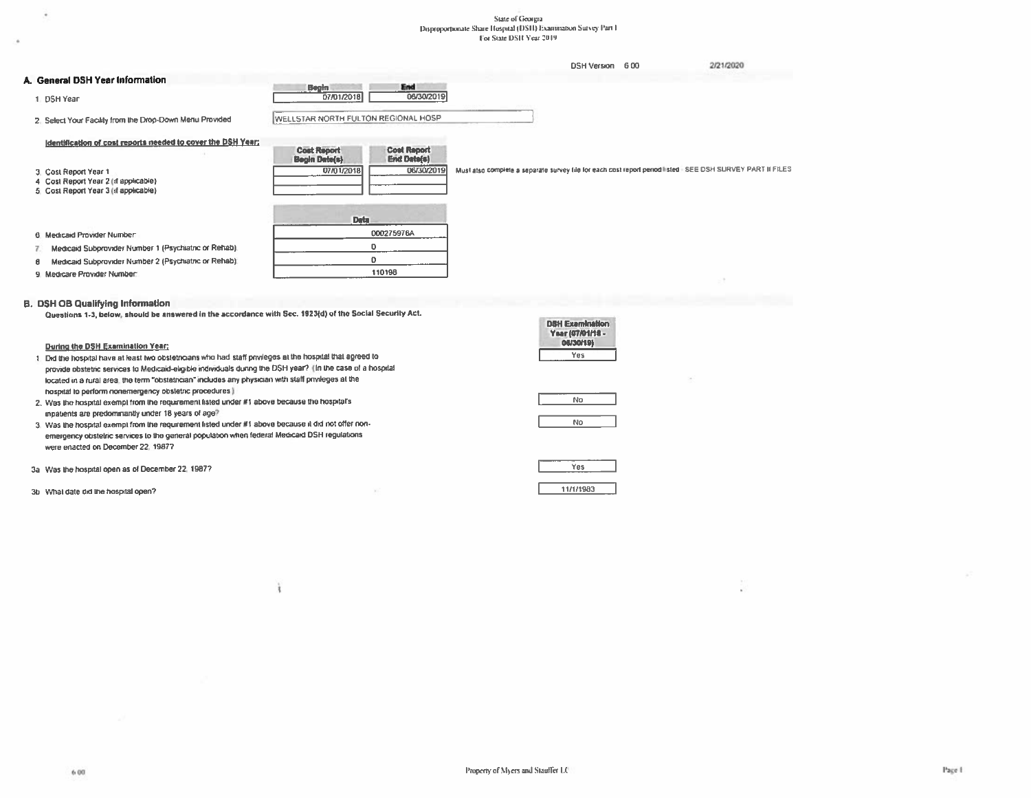# $\begin{array}{c} \text{State of Geouga} \\ \text{Dispropotenuse State I Iospual (DSH) Examination Survey Part I} \\ \text{For State DSH V ear 2019} \end{array}$

|                                                                                                       |                                                                        | <b>DSH Version</b> | 2/21/2020<br>6.00                                                                                         |
|-------------------------------------------------------------------------------------------------------|------------------------------------------------------------------------|--------------------|-----------------------------------------------------------------------------------------------------------|
| A. General DSH Year Information                                                                       |                                                                        |                    |                                                                                                           |
| 1 DSH Year                                                                                            | End<br><b>Begin</b><br>06/30/2019<br>07/01/2018                        |                    |                                                                                                           |
| 2. Select Your Facility from the Drop-Down Menu Provided                                              | WELLSTAR NORTH FULTON REGIONAL HOSP                                    |                    |                                                                                                           |
| Identification of cost reports needed to cover the DSH Year:                                          | <b>Cost Report</b><br><b>Cost Report</b>                               |                    |                                                                                                           |
| 3. Cost Report Year 1<br>4 Cost Report Year 2 (if applicable)<br>5 Cost Report Year 3 (if applicable) | <b>End Date(s)</b><br><b>Begin Date(s)</b><br>06/30/2019<br>07/01/2018 |                    | Must also complete a separate survey file for each cost report penod listed. SEE DSH SURVEY PART II FILES |
|                                                                                                       | <b>Data</b>                                                            |                    |                                                                                                           |
| 6 Medicaid Provider Number                                                                            | 000275976A                                                             |                    |                                                                                                           |
| Medicaid Subprovider Number 1 (Psychiatric or Rehab).                                                 | o                                                                      |                    |                                                                                                           |
| Medicaid Subprovider Number 2 (Psychiatric or Rehab).<br>8                                            | o                                                                      |                    |                                                                                                           |
| 9. Medicare Provider Number:                                                                          | 110198                                                                 |                    |                                                                                                           |

#### **B. DSH OB Qualifying Information**

¥

Questions 1-3, below, should be answered in the accordance with Sec. 1923(d) of the Social Security Act.

| <u>machinity i.e. Acthál Silnill ha diitiánnan ill list anna asilin han, canalal ac ille anna ann ann i can</u> |                                                         |
|-----------------------------------------------------------------------------------------------------------------|---------------------------------------------------------|
|                                                                                                                 | <b>DSH Examination</b><br>Year (07/01/18 -<br>08/30/191 |
| During the DSH Examination Year:                                                                                |                                                         |
| 1. Did the hospital have at least two obstetricians who had staff privileges at the hospital that agreed to     | Yes                                                     |
| provide obstetric services to Medicaid-eligible individuals during the DSH year? (In the case of a hospital     |                                                         |
| located in a rural area, the term "obstetrician" includes any physician with staff privileges at the            |                                                         |
| hospital to perform nonemergency obstetric procedures )                                                         |                                                         |
| 2. Was the hospital exempt from the requirement listed under #1 above because the hospital's                    | No                                                      |
| impatients are predominantly under 18 years of age?                                                             |                                                         |
| 3. Was the hospital exempt from the requirement listed under #1 above because it did not offer non-             | No                                                      |
| emergency obstetric services to the general population when federal Medicard DSH requiations                    |                                                         |
| were enacted on December 22, 1987?                                                                              |                                                         |
| 3a Was the hospital open as of December 22, 1987?                                                               | Yes                                                     |
| 3b What date did the hospital open?                                                                             | 11/1/1983                                               |

ì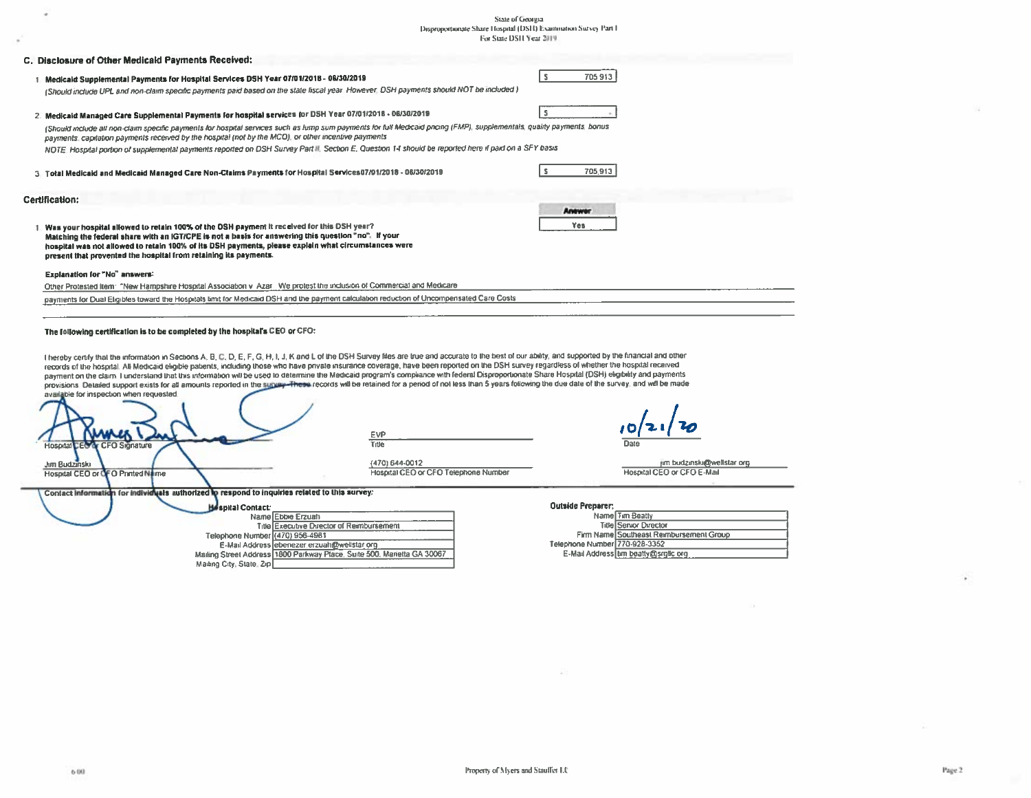# $\label{eq:1}$  Disproportionate Share Hospital (DSH) Examination Survey Part I For State DSH Year 2019

| C. Disclosure of Other Medicald Payments Received:                                                                                                                                                                                                                                                                                                                                                                                                                                                                                                                                                                                                                                                                                                                                                                                                                                                             |                      |
|----------------------------------------------------------------------------------------------------------------------------------------------------------------------------------------------------------------------------------------------------------------------------------------------------------------------------------------------------------------------------------------------------------------------------------------------------------------------------------------------------------------------------------------------------------------------------------------------------------------------------------------------------------------------------------------------------------------------------------------------------------------------------------------------------------------------------------------------------------------------------------------------------------------|----------------------|
| 1. Medicald Supplemental Payments for Hospital Services DSH Year 07/01/2018 - 08/30/2019<br>(Should include UPL and non-claim specific payments paid based on the state fiscal year. However, DSH payments should NOT be included.)                                                                                                                                                                                                                                                                                                                                                                                                                                                                                                                                                                                                                                                                            | IS.<br>705 913       |
| 2. Medicald Managed Care Supplemental Payments for hospital services for DSH Year 07/01/2018 - 06/30/2019                                                                                                                                                                                                                                                                                                                                                                                                                                                                                                                                                                                                                                                                                                                                                                                                      |                      |
| (Should include all non-claim specific payments for hospital services such as lump sum payments for full Medicaid pricing (FMP), supplementals, quality payments, bonus<br>payments, capitation payments received by the hospital (not by the MCO), or other incentive payments.                                                                                                                                                                                                                                                                                                                                                                                                                                                                                                                                                                                                                               |                      |
| NOTE: Hospital portion of supplemental payments reported on DSH Survey Part II, Section E, Question 14 should be reported here if paid on a SFY basis                                                                                                                                                                                                                                                                                                                                                                                                                                                                                                                                                                                                                                                                                                                                                          |                      |
| 3. Total Medicald and Medicald Managed Care Non-Claims Payments for Hospital Services07/01/2018 - 06/30/2019                                                                                                                                                                                                                                                                                                                                                                                                                                                                                                                                                                                                                                                                                                                                                                                                   | 705,913              |
| Certification:                                                                                                                                                                                                                                                                                                                                                                                                                                                                                                                                                                                                                                                                                                                                                                                                                                                                                                 |                      |
| 1. Was your hospital allowed to retain 100% of the DSH payment it received for this DSH year?<br>Matching the federal share with an IGT/CPE is not a basis for answering this question "no". If your<br>hospital was not allowed to retain 100% of its DSH payments, please explain what circumstances were<br>present that prevented the hospital from retaining its payments.                                                                                                                                                                                                                                                                                                                                                                                                                                                                                                                                | <b>Anawar</b><br>Yes |
| Explanation for "No" answers:<br>Other Protested Item: "New Hampshire Hospital Association v Azar. We protest the inclusion of Commercial and Medicare                                                                                                                                                                                                                                                                                                                                                                                                                                                                                                                                                                                                                                                                                                                                                         |                      |
| payments for Dual Eligibles toward the Hospitals limit for Medicaid DSH and the payment calculation reduction of Uncompensated Care Costs                                                                                                                                                                                                                                                                                                                                                                                                                                                                                                                                                                                                                                                                                                                                                                      |                      |
|                                                                                                                                                                                                                                                                                                                                                                                                                                                                                                                                                                                                                                                                                                                                                                                                                                                                                                                |                      |
| The following certification is to be completed by the hospital's CEO or CFO:                                                                                                                                                                                                                                                                                                                                                                                                                                                                                                                                                                                                                                                                                                                                                                                                                                   |                      |
| I hereby cently that the information in Sections A, B, C, D, E, F, G, H, I, J, K and L of the DSH Survey files are true and accurate to the best of our ability, and supported by the financial and other<br>records of the hospital. All Medicaid eligible patients, including those who have private insurance coverage, have been reported on the DSH survey regardless of whether the hospital received<br>payment on the claim. I understand that this information will be used to determine the Medicaid program's compliance with federal Disproportionate Share Hospital (DSH) eligibility and payments<br>provisions. Detailed support exists for all amounts reported in the supply-These records will be retained for a period of not less than 5 years following the due date of the survey, and will be made<br>available for inspection when requested.<br>EVP<br>Title<br>Hospital<br>Sionature |                      |

(470) 644-0012<br>Hospital CEO or CFO Telephone Number

jim budzinski@wellstar.org<br>Hospital CEO or CFO E-Mail

 $\overline{\phantom{0}}$ 

Contact information for individuals authorized to respond to inquiries related to this survey:

| <b>Hespital Contact:</b>        |                                                                         |
|---------------------------------|-------------------------------------------------------------------------|
|                                 | Name Ebble Erzuah                                                       |
|                                 | Title Executive Director of Reimbursement                               |
| Telephone Number (470) 956-4981 |                                                                         |
|                                 | E-Mail Address ebenezer erzuah@wellstar org                             |
|                                 | Malting Street Address 1800 Parkway Place, Suite 500, Marietta GA 30067 |
| Mailing City, State, Zip        |                                                                         |

#### .<br>Outside Br

W.

| <b>UULSKIE Preparent</b>      |                                         |
|-------------------------------|-----------------------------------------|
|                               | Name Tim Beatty                         |
|                               | <b>Title Servor Director</b>            |
|                               | Firm Name Southeast Reimbursement Group |
| Telephone Number 770-928-3352 |                                         |
|                               | E-Mail Address um beatty@srgtc.org      |

Jim Budzinski<br>Hospital CEO or OFO Printed Name

ä,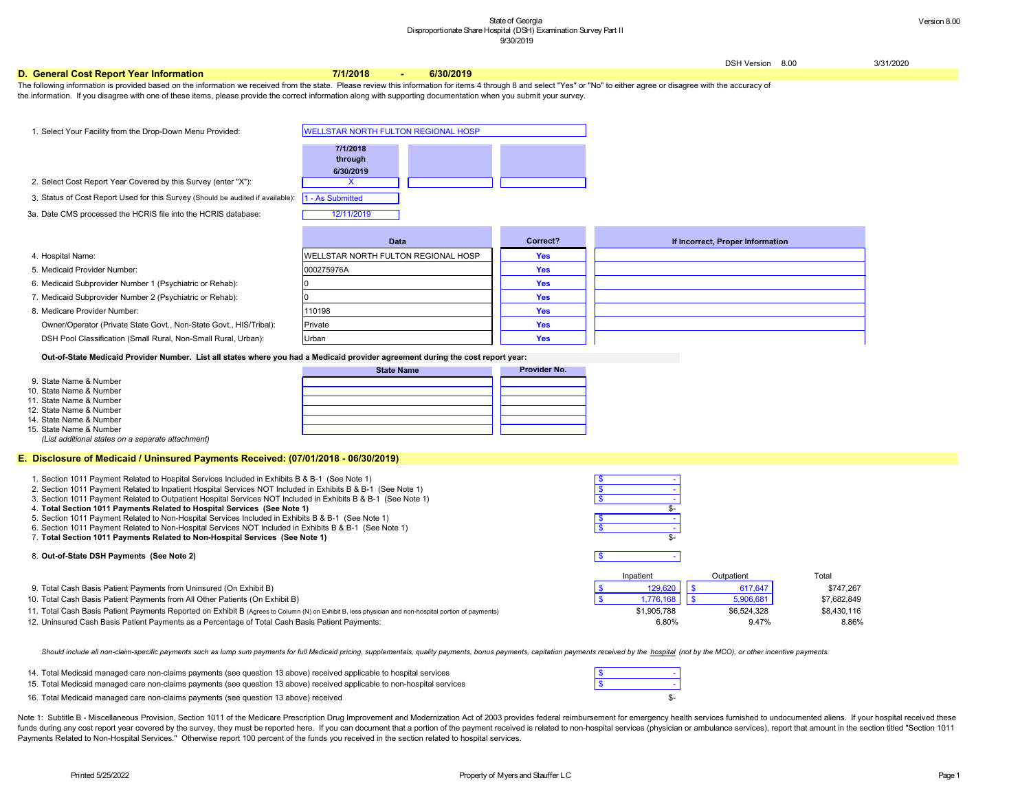DSH Version 8.00 3/31/2020

#### **Proper Information**

Inpatient Cutpatient Cutpatient Total

#### **D. General Cost Report Year Information 7/1/2018 - 6/30/2019**

- 15. \$ Total Medicaid managed care non-claims payments (see question 13 above) received applicable to non-hospital services
- 16. Total Medicaid managed care non-claims payments (see question 13 above) received which is a set of the state of the state of the state of the state of the state of the state of the state of the state of the state of th
- 9. \$ 129,620 \$ 617,647 \$747,267 Total Cash Basis Patient Payments from Uninsured (On Exhibit B)
- 10. \$ 1,776,168 \$ 5,906,681 \$7,682,849 Total Cash Basis Patient Payments from All Other Patients (On Exhibit B)
- 11. Total Cash Basis Patient Payments Reported on Exhibit B (Agrees to Column (N) on Exhibit B, less physician and non-hospital portion of payments) \$1,905,788 \$6,524,328 \$8,430,116
- 12. 6.80% 9.47% 8.86% Uninsured Cash Basis Patient Payments as a Percentage of Total Cash Basis Patient Payments:

Should include all non-claim-specific payments such as lump sum payments for full Medicaid pricing, supplementals, quality payments, bonus payments, capitation payments received by the hospital (not by the MCO), or other i

Note 1: Subtitle B - Miscellaneous Provision, Section 1011 of the Medicare Prescription Drug Improvement and Modernization Act of 2003 provides federal reimbursement for emergency health services furnished to undocumented funds during any cost report year covered by the survey, they must be reported here. If you can document that a portion of the payment received is related to non-hospital services (physician or ambulance services), report Payments Related to Non-Hospital Services." Otherwise report 100 percent of the funds you received in the section related to hospital services.

14. \$ - Total Medicaid managed care non-claims payments (see question 13 above) received applicable to hospital services

The following information is provided based on the information we received from the state. Please review this information for items 4 through 8 and select "Yes" or "No" to either agree or disagree with the accuracy of the information. If you disagree with one of these items, please provide the correct information along with supporting documentation when you submit your survey.

| 1. Select Your Facility from the Drop-Down Menu Provided:                                                                                                                                                                                                                                                                       | <b>WELLSTAR NORTH FULTON REGIONAL HOSP</b>                |                     |                                                                        |
|---------------------------------------------------------------------------------------------------------------------------------------------------------------------------------------------------------------------------------------------------------------------------------------------------------------------------------|-----------------------------------------------------------|---------------------|------------------------------------------------------------------------|
| 2. Select Cost Report Year Covered by this Survey (enter "X"):<br>3. Status of Cost Report Used for this Survey (Should be audited if available):                                                                                                                                                                               | 7/1/2018<br>through<br>6/30/2019<br>X<br>1 - As Submitted |                     |                                                                        |
| 3a. Date CMS processed the HCRIS file into the HCRIS database:                                                                                                                                                                                                                                                                  | 12/11/2019                                                |                     |                                                                        |
|                                                                                                                                                                                                                                                                                                                                 | <b>Data</b>                                               | Correct?            | If Incorrect, P                                                        |
| 4. Hospital Name:                                                                                                                                                                                                                                                                                                               | WELLSTAR NORTH FULTON REGIONAL HOSP                       | <b>Yes</b>          |                                                                        |
| 5. Medicaid Provider Number:                                                                                                                                                                                                                                                                                                    | 000275976A                                                | <b>Yes</b>          |                                                                        |
| 6. Medicaid Subprovider Number 1 (Psychiatric or Rehab):                                                                                                                                                                                                                                                                        |                                                           | <b>Yes</b>          |                                                                        |
| 7. Medicaid Subprovider Number 2 (Psychiatric or Rehab):                                                                                                                                                                                                                                                                        |                                                           | <b>Yes</b>          |                                                                        |
| 8. Medicare Provider Number:                                                                                                                                                                                                                                                                                                    | 110198                                                    | <b>Yes</b>          |                                                                        |
| Owner/Operator (Private State Govt., Non-State Govt., HIS/Tribal):                                                                                                                                                                                                                                                              | Private                                                   | <b>Yes</b>          |                                                                        |
| DSH Pool Classification (Small Rural, Non-Small Rural, Urban):                                                                                                                                                                                                                                                                  | Urban                                                     | <b>Yes</b>          |                                                                        |
| Out-of-State Medicaid Provider Number. List all states where you had a Medicaid provider agreement during the cost report year:                                                                                                                                                                                                 |                                                           |                     |                                                                        |
|                                                                                                                                                                                                                                                                                                                                 | <b>State Name</b>                                         | <b>Provider No.</b> |                                                                        |
| 9. State Name & Number<br>10. State Name & Number<br>11. State Name & Number<br>12. State Name & Number<br>14. State Name & Number<br>15. State Name & Number<br>(List additional states on a separate attachment)                                                                                                              |                                                           |                     |                                                                        |
| E. Disclosure of Medicaid / Uninsured Payments Received: (07/01/2018 - 06/30/2019)                                                                                                                                                                                                                                              |                                                           |                     |                                                                        |
| 1. Section 1011 Payment Related to Hospital Services Included in Exhibits B & B-1 (See Note 1)<br>2. Section 1011 Payment Related to Inpatient Hospital Services NOT Included in Exhibits B & B-1 (See Note 1)<br>3. Section 1011 Payment Related to Outpatient Hospital Services NOT Included in Exhibits B & B-1 (See Note 1) |                                                           |                     | $\boldsymbol{\mathsf{S}}$<br>$\overline{\mathcal{S}}$<br>$\frac{1}{2}$ |

#### 8. \$ - **Out-of-State DSH Payments (See Note 2)**

- 4. \$- **Total Section 1011 Payments Related to Hospital Services (See Note 1)**
- 5. \$ Section 1011 Payment Related to Non-Hospital Services Included in Exhibits B & B-1 (See Note 1)
- 6. Section 1011 Payment Related to Non-Hospital Services NOT Included in Exhibits B & B-1 (See Note 1)
- 7. \$- **Total Section 1011 Payments Related to Non-Hospital Services (See Note 1)**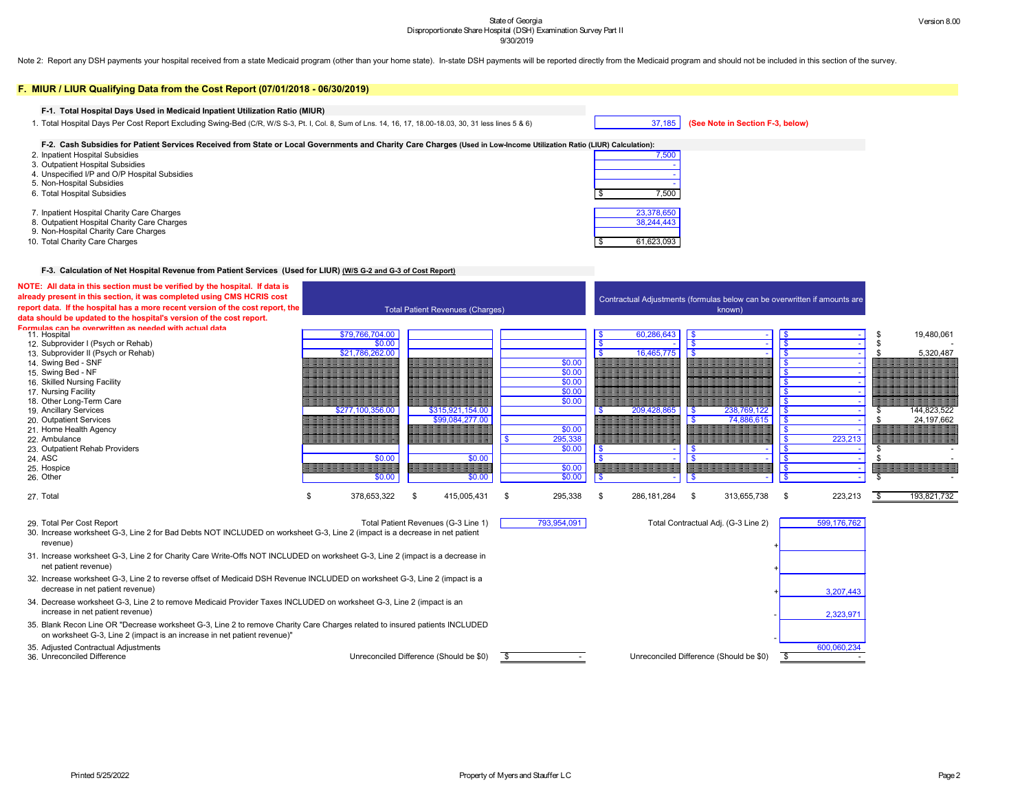Note 2: Report any DSH payments your hospital received from a state Medicaid program (other than your home state). In-state DSH payments will be reported directly from the Medicaid program and should not be included in thi



| F. MIUR / LIUR Qualifying Data from the Cost Report (07/01/2018 - 06/30/2019)                                                                                                                           |                   |      |                                         |      |             |      |               |                                                                           |            |             |      |             |
|---------------------------------------------------------------------------------------------------------------------------------------------------------------------------------------------------------|-------------------|------|-----------------------------------------|------|-------------|------|---------------|---------------------------------------------------------------------------|------------|-------------|------|-------------|
|                                                                                                                                                                                                         |                   |      |                                         |      |             |      |               |                                                                           |            |             |      |             |
| F-1. Total Hospital Days Used in Medicaid Inpatient Utilization Ratio (MIUR)                                                                                                                            |                   |      |                                         |      |             |      |               |                                                                           |            |             |      |             |
| 1. Total Hospital Days Per Cost Report Excluding Swing-Bed (C/R, W/S S-3, Pt. I, Col. 8, Sum of Lns. 14, 16, 17, 18.00-18.03, 30, 31 less lines 5 & 6)                                                  |                   |      |                                         |      |             |      | 37,185        | (See Note in Section F-3, below)                                          |            |             |      |             |
| F-2. Cash Subsidies for Patient Services Received from State or Local Governments and Charity Care Charges (Used in Low-Income Utilization Ratio (LIUR) Calculation):                                   |                   |      |                                         |      |             |      |               |                                                                           |            |             |      |             |
| 2. Inpatient Hospital Subsidies                                                                                                                                                                         |                   |      |                                         |      |             |      | 7,500         |                                                                           |            |             |      |             |
| 3. Outpatient Hospital Subsidies                                                                                                                                                                        |                   |      |                                         |      |             |      |               |                                                                           |            |             |      |             |
| 4. Unspecified I/P and O/P Hospital Subsidies                                                                                                                                                           |                   |      |                                         |      |             |      |               |                                                                           |            |             |      |             |
| 5. Non-Hospital Subsidies                                                                                                                                                                               |                   |      |                                         |      |             |      |               |                                                                           |            |             |      |             |
| 6. Total Hospital Subsidies                                                                                                                                                                             |                   |      |                                         |      |             |      | 7,500         |                                                                           |            |             |      |             |
| 7. Inpatient Hospital Charity Care Charges                                                                                                                                                              |                   |      |                                         |      |             |      | 23,378,650    |                                                                           |            |             |      |             |
| 8. Outpatient Hospital Charity Care Charges                                                                                                                                                             |                   |      |                                         |      |             |      | 38,244,443    |                                                                           |            |             |      |             |
| 9. Non-Hospital Charity Care Charges                                                                                                                                                                    |                   |      |                                         |      |             |      |               |                                                                           |            |             |      |             |
| 10. Total Charity Care Charges                                                                                                                                                                          |                   |      |                                         |      |             |      | 61,623,093    |                                                                           |            |             |      |             |
| F-3. Calculation of Net Hospital Revenue from Patient Services (Used for LIUR) (W/S G-2 and G-3 of Cost Report)                                                                                         |                   |      |                                         |      |             |      |               |                                                                           |            |             |      |             |
| NOTE: All data in this section must be verified by the hospital. If data is                                                                                                                             |                   |      |                                         |      |             |      |               |                                                                           |            |             |      |             |
| already present in this section, it was completed using CMS HCRIS cost                                                                                                                                  |                   |      |                                         |      |             |      |               | Contractual Adjustments (formulas below can be overwritten if amounts are |            |             |      |             |
| report data. If the hospital has a more recent version of the cost report, the<br>data should be updated to the hospital's version of the cost report.                                                  |                   |      | <b>Total Patient Revenues (Charges)</b> |      |             |      |               | known)                                                                    |            |             |      |             |
| Formulas can be overwritten as needed with actual data<br>11. Hospital                                                                                                                                  | \$79,766,704.00   |      |                                         |      |             |      | 60,286,643    | - \$                                                                      | - \$       |             |      | 19,480,061  |
| 12. Subprovider I (Psych or Rehab)                                                                                                                                                                      | \$0.00            |      |                                         |      |             |      |               |                                                                           |            |             |      |             |
| 13. Subprovider II (Psych or Rehab)                                                                                                                                                                     | \$21,786,262.00   |      |                                         |      |             |      | 16,465,775    |                                                                           |            |             |      | 5,320,487   |
| 14. Swing Bed - SNF                                                                                                                                                                                     |                   |      |                                         |      | \$0.00      |      |               |                                                                           |            |             |      |             |
| 15. Swing Bed - NF                                                                                                                                                                                      |                   |      |                                         |      | \$0.00      |      |               |                                                                           |            |             |      |             |
| 16. Skilled Nursing Facility                                                                                                                                                                            |                   |      |                                         |      | \$0.00      |      |               |                                                                           |            |             |      |             |
| 17. Nursing Facility                                                                                                                                                                                    |                   |      |                                         |      | \$0.00      |      |               |                                                                           |            |             |      |             |
| 18. Other Long-Term Care                                                                                                                                                                                |                   |      |                                         |      | \$0.00      |      |               |                                                                           |            |             |      |             |
| 19. Ancillary Services                                                                                                                                                                                  | \$277,100,356.00  |      | \$315,921,154.00                        |      |             |      | 209,428,865   | 238,769,122<br><b>S</b>                                                   | $\sqrt{ }$ |             |      | 144,823,522 |
| 20. Outpatient Services                                                                                                                                                                                 |                   |      | \$99,084,277.00                         |      |             |      |               | 74,886,615                                                                | IΦ         |             |      | 24,197,662  |
| 21. Home Health Agency                                                                                                                                                                                  |                   |      |                                         |      | \$0.00      |      |               |                                                                           |            |             |      |             |
| 22. Ambulance                                                                                                                                                                                           |                   |      |                                         |      | 295,338     |      |               |                                                                           |            | 223,213     |      |             |
| 23. Outpatient Rehab Providers                                                                                                                                                                          |                   |      |                                         |      | \$0.00      |      |               |                                                                           |            |             |      |             |
| 24. ASC                                                                                                                                                                                                 | \$0.00            |      | \$0.00                                  |      |             |      |               |                                                                           |            |             |      |             |
| 25. Hospice                                                                                                                                                                                             |                   |      |                                         |      | \$0.00      |      |               |                                                                           |            |             |      |             |
| 26. Other                                                                                                                                                                                               | \$0.00            |      | \$0.00                                  |      | \$0.00      |      |               |                                                                           |            |             |      |             |
| 27. Total                                                                                                                                                                                               | \$<br>378,653,322 | - \$ | 415,005,431                             | - 5  | 295,338     | - \$ | 286, 181, 284 | 313,655,738<br>- \$                                                       | \$         | 223,213     | - \$ | 193,821,732 |
| 29. Total Per Cost Report                                                                                                                                                                               |                   |      | Total Patient Revenues (G-3 Line 1)     |      | 793,954,091 |      |               | Total Contractual Adj. (G-3 Line 2)                                       |            | 599,176,762 |      |             |
| 30. Increase worksheet G-3, Line 2 for Bad Debts NOT INCLUDED on worksheet G-3, Line 2 (impact is a decrease in net patient<br>revenue)                                                                 |                   |      |                                         |      |             |      |               |                                                                           |            |             |      |             |
| 31. Increase worksheet G-3, Line 2 for Charity Care Write-Offs NOT INCLUDED on worksheet G-3, Line 2 (impact is a decrease in<br>net patient revenue)                                                   |                   |      |                                         |      |             |      |               |                                                                           |            |             |      |             |
| 32. Increase worksheet G-3, Line 2 to reverse offset of Medicaid DSH Revenue INCLUDED on worksheet G-3, Line 2 (impact is a<br>decrease in net patient revenue)                                         |                   |      |                                         |      |             |      |               |                                                                           |            | 3,207,443   |      |             |
| 34. Decrease worksheet G-3, Line 2 to remove Medicaid Provider Taxes INCLUDED on worksheet G-3, Line 2 (impact is an<br>increase in net patient revenue)                                                |                   |      |                                         |      |             |      |               |                                                                           |            | 2,323,971   |      |             |
| 35. Blank Recon Line OR "Decrease worksheet G-3, Line 2 to remove Charity Care Charges related to insured patients INCLUDED<br>on worksheet G-3, Line 2 (impact is an increase in net patient revenue)" |                   |      |                                         |      |             |      |               |                                                                           |            |             |      |             |
| 35. Adjusted Contractual Adjustments                                                                                                                                                                    |                   |      |                                         |      |             |      |               |                                                                           |            | 600,060,234 |      |             |
| 36. Unreconciled Difference                                                                                                                                                                             |                   |      | Unreconciled Difference (Should be \$0) | - \$ |             |      |               | Unreconciled Difference (Should be \$0)                                   |            |             |      |             |
|                                                                                                                                                                                                         |                   |      |                                         |      |             |      |               |                                                                           |            |             |      |             |
|                                                                                                                                                                                                         |                   |      |                                         |      |             |      |               |                                                                           |            |             |      |             |

### **lote in Section F-3, below)**

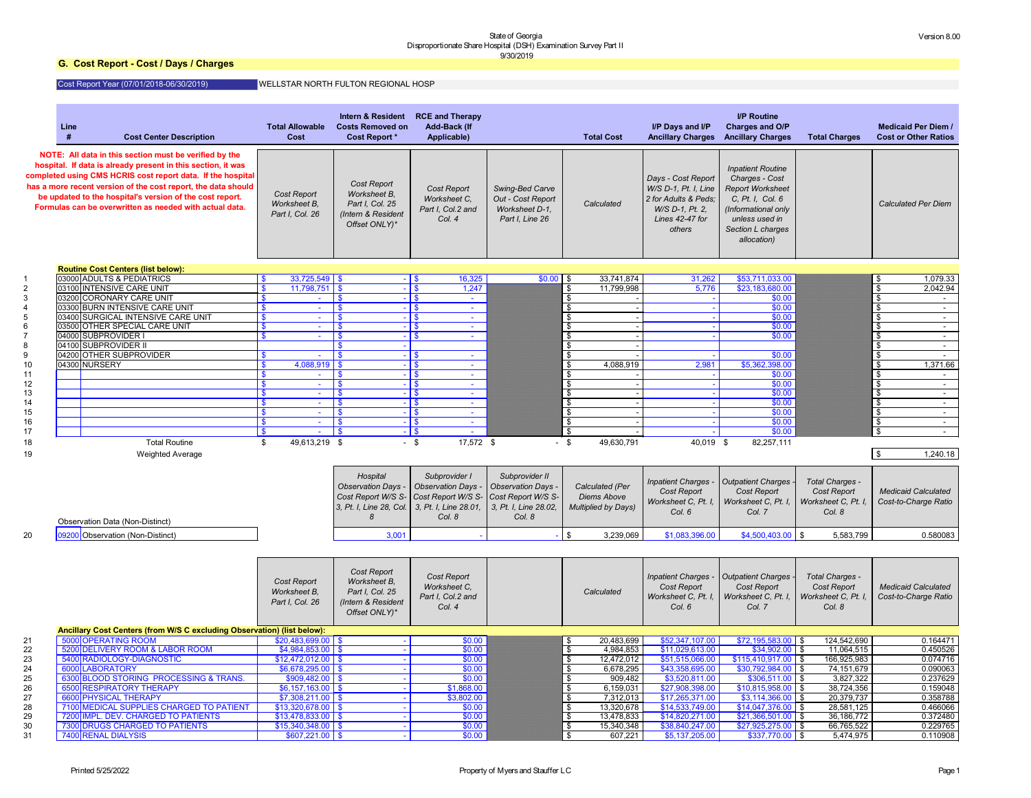# **G. Cost Report - Cost / Days / Charges**

# Cost Report Year (07/01/2018-06/30/2019)

|    | Line                                                                                                                                                                                                                                                                                                                                                                          | <b>Total Allowable</b>                                | <b>Intern &amp; Resident</b><br><b>Costs Removed on</b>                                      | <b>RCE and Therapy</b>                                            |                                                                           |                                       |                                                                                                                    | <b>I/P Routine</b>                                                                                                                                                     |                            | <b>Medicaid Per Diem /</b>             |
|----|-------------------------------------------------------------------------------------------------------------------------------------------------------------------------------------------------------------------------------------------------------------------------------------------------------------------------------------------------------------------------------|-------------------------------------------------------|----------------------------------------------------------------------------------------------|-------------------------------------------------------------------|---------------------------------------------------------------------------|---------------------------------------|--------------------------------------------------------------------------------------------------------------------|------------------------------------------------------------------------------------------------------------------------------------------------------------------------|----------------------------|----------------------------------------|
|    | <b>Cost Center Description</b>                                                                                                                                                                                                                                                                                                                                                | <b>Cost</b>                                           | <b>Cost Report *</b>                                                                         | <b>Add-Back (If</b><br>Applicable)                                |                                                                           | <b>Total Cost</b>                     | I/P Days and I/P<br><b>Ancillary Charges</b>                                                                       | <b>Charges and O/P</b><br><b>Ancillary Charges</b>                                                                                                                     | <b>Total Charges</b>       | <b>Cost or Other Ratios</b>            |
|    | NOTE: All data in this section must be verified by the<br>hospital. If data is already present in this section, it was<br>completed using CMS HCRIS cost report data. If the hospital<br>has a more recent version of the cost report, the data should<br>be updated to the hospital's version of the cost report.<br>Formulas can be overwritten as needed with actual data. | <b>Cost Report</b><br>Worksheet B,<br>Part I, Col. 26 | <b>Cost Report</b><br>Worksheet B,<br>Part I, Col. 25<br>(Intern & Resident<br>Offset ONLY)* | <b>Cost Report</b><br>Worksheet C,<br>Part I, Col.2 and<br>Col. 4 | Swing-Bed Carve<br>Out - Cost Report<br>Worksheet D-1,<br>Part I, Line 26 | Calculated                            | Days - Cost Report<br>W/S D-1, Pt. I, Line<br>2 for Adults & Peds;<br>W/S D-1, Pt. 2.<br>Lines 42-47 for<br>others | <b>Inpatient Routine</b><br>Charges - Cost<br><b>Report Worksheet</b><br>C, Pt. I, Col. 6<br>(Informational only<br>unless used in<br>Section L charges<br>allocation) |                            | <b>Calculated Per Diem</b>             |
|    | <b>Routine Cost Centers (list below):</b>                                                                                                                                                                                                                                                                                                                                     |                                                       |                                                                                              |                                                                   |                                                                           |                                       |                                                                                                                    |                                                                                                                                                                        |                            |                                        |
|    | 03000 ADULTS & PEDIATRICS                                                                                                                                                                                                                                                                                                                                                     | $33,725,549$ \$                                       |                                                                                              | 16,325<br>l S                                                     | $$0.00$ \$                                                                | 33,741,874                            | 31,262                                                                                                             | \$53,711,033.00                                                                                                                                                        |                            | 1,079.33<br>S.                         |
|    | 03100 INTENSIVE CARE UNIT                                                                                                                                                                                                                                                                                                                                                     | $11,798,751$ \$                                       |                                                                                              | 1,247                                                             |                                                                           | 11,799,998<br>\$                      | 5,776                                                                                                              | \$23,183,680.00                                                                                                                                                        |                            | $\boldsymbol{\mathsf{\$}}$<br>2,042.94 |
|    | 03200 CORONARY CARE UNIT                                                                                                                                                                                                                                                                                                                                                      |                                                       | \$                                                                                           | l \$<br>$\sim$                                                    |                                                                           | $\mathfrak{S}$                        |                                                                                                                    | \$0.00                                                                                                                                                                 |                            | $\boldsymbol{\mathsf{\$}}$             |
|    | 03300 BURN INTENSIVE CARE UNIT<br>03400 SURGICAL INTENSIVE CARE UNIT                                                                                                                                                                                                                                                                                                          | $\sim$                                                | \$                                                                                           | l \$<br>$\sim$                                                    |                                                                           |                                       |                                                                                                                    | \$0.00                                                                                                                                                                 |                            | $\boldsymbol{\mathsf{\$}}$<br>$\sim$   |
|    | 03500 OTHER SPECIAL CARE UNIT                                                                                                                                                                                                                                                                                                                                                 | $\sim$                                                | S.                                                                                           | $\sim$                                                            |                                                                           | $\mathfrak{S}$<br>\$                  |                                                                                                                    | \$0.00<br>\$0.00                                                                                                                                                       |                            | $\boldsymbol{\mathsf{\$}}$<br>\$       |
|    | 04000 SUBPROVIDER                                                                                                                                                                                                                                                                                                                                                             |                                                       | \$                                                                                           | $\sim$                                                            |                                                                           | $\mathfrak{S}$                        |                                                                                                                    | \$0.00                                                                                                                                                                 |                            | $\boldsymbol{\mathsf{\$}}$             |
|    | 04100 SUBPROVIDER II                                                                                                                                                                                                                                                                                                                                                          |                                                       |                                                                                              |                                                                   |                                                                           | $\mathfrak{F}$                        |                                                                                                                    |                                                                                                                                                                        |                            | $\boldsymbol{\mathsf{\$}}$<br>$\sim$   |
|    | 04200 OTHER SUBPROVIDER                                                                                                                                                                                                                                                                                                                                                       | $\sim$                                                | \$                                                                                           | $\sim$                                                            |                                                                           |                                       |                                                                                                                    | \$0.00                                                                                                                                                                 |                            | \$                                     |
| 10 | 04300 NURSERY                                                                                                                                                                                                                                                                                                                                                                 | 4,088,919                                             |                                                                                              | $\sim$                                                            |                                                                           | 4,088,919                             | 2,981                                                                                                              | \$5,362,398.00                                                                                                                                                         |                            | 1,371.66<br>$\boldsymbol{\mathsf{\$}}$ |
| 11 |                                                                                                                                                                                                                                                                                                                                                                               |                                                       |                                                                                              | $\sim$                                                            |                                                                           |                                       |                                                                                                                    | \$0.00                                                                                                                                                                 |                            | \$                                     |
| 12 |                                                                                                                                                                                                                                                                                                                                                                               | $\mathbf{s}$                                          | \$                                                                                           | l Si<br>$\sim$                                                    |                                                                           | $\mathfrak{S}$                        |                                                                                                                    | \$0.00                                                                                                                                                                 |                            | $\boldsymbol{\mathsf{\$}}$             |
| 13 |                                                                                                                                                                                                                                                                                                                                                                               | $\mathbf{\$}$<br>$\sim$                               | \$                                                                                           | l \$<br>$\sim$                                                    |                                                                           | $\mathfrak{S}$                        |                                                                                                                    | \$0.00                                                                                                                                                                 |                            | $\boldsymbol{\mathsf{\$}}$<br>$\sim$   |
| 14 |                                                                                                                                                                                                                                                                                                                                                                               | $\mathbf{s}$<br>$\sim$                                | S.                                                                                           | $\sim$                                                            |                                                                           | $\mathfrak{S}$                        |                                                                                                                    | \$0.00                                                                                                                                                                 |                            | $\boldsymbol{\mathsf{\$}}$<br>$\sim$   |
| 15 |                                                                                                                                                                                                                                                                                                                                                                               | <sup>\$</sup>                                         | S.                                                                                           | $\sim$                                                            |                                                                           | $\mathfrak{S}$                        |                                                                                                                    | \$0.00                                                                                                                                                                 |                            | -\$                                    |
| 16 |                                                                                                                                                                                                                                                                                                                                                                               | $\mathbf{\$}$                                         | S.                                                                                           | $\sim$                                                            |                                                                           | \$                                    |                                                                                                                    | \$0.00                                                                                                                                                                 |                            | \$                                     |
| 17 |                                                                                                                                                                                                                                                                                                                                                                               | $\mathbf{\hat{s}}$                                    | \$                                                                                           | -1\$                                                              |                                                                           | \$                                    |                                                                                                                    | \$0.00                                                                                                                                                                 |                            |                                        |
| 18 | <b>Total Routine</b>                                                                                                                                                                                                                                                                                                                                                          | 49,613,219 \$<br>S.                                   |                                                                                              | 17,572 \$<br>$-$ \$                                               |                                                                           | 49,630,791<br>$-$ \$                  | 40,019 \$                                                                                                          | 82,257,111                                                                                                                                                             |                            |                                        |
| 19 | <b>Weighted Average</b>                                                                                                                                                                                                                                                                                                                                                       |                                                       |                                                                                              |                                                                   |                                                                           |                                       |                                                                                                                    |                                                                                                                                                                        |                            | 1,240.18<br>$\sqrt{3}$                 |
|    |                                                                                                                                                                                                                                                                                                                                                                               |                                                       |                                                                                              |                                                                   |                                                                           |                                       |                                                                                                                    |                                                                                                                                                                        |                            |                                        |
|    |                                                                                                                                                                                                                                                                                                                                                                               |                                                       |                                                                                              |                                                                   |                                                                           |                                       |                                                                                                                    |                                                                                                                                                                        |                            |                                        |
|    |                                                                                                                                                                                                                                                                                                                                                                               |                                                       | Hospital                                                                                     | Subprovider I                                                     | Subprovider II                                                            |                                       | <b>Inpatient Charges -</b>                                                                                         | Outpatient Charges                                                                                                                                                     | Total Charges -            |                                        |
|    |                                                                                                                                                                                                                                                                                                                                                                               |                                                       | Observation Days -                                                                           | <b>Observation Days -</b>                                         | Observation Days -                                                        | Calculated (Per                       | Cost Report                                                                                                        | Cost Report                                                                                                                                                            | <b>Cost Report</b>         | <b>Medicaid Calculated</b>             |
|    |                                                                                                                                                                                                                                                                                                                                                                               |                                                       | Cost Report W/S S- Cost Report W/S S- Cost Report W/S S-                                     |                                                                   |                                                                           | <b>Diems Above</b>                    | Worksheet C, Pt. I,                                                                                                | Worksheet C, Pt. I,                                                                                                                                                    | Worksheet C, Pt. I.        | Cost-to-Charge Ratio                   |
|    |                                                                                                                                                                                                                                                                                                                                                                               |                                                       | 3, Pt. I, Line 28, Col. 3, Pt. I, Line 28.01,                                                |                                                                   | 3, Pt. I, Line 28.02,                                                     | <b>Multiplied by Days)</b>            | Col. 6                                                                                                             | Col. 7                                                                                                                                                                 | Col. 8                     |                                        |
|    | <b>Observation Data (Non-Distinct)</b>                                                                                                                                                                                                                                                                                                                                        |                                                       | 8                                                                                            | Col. 8                                                            | Col. 8                                                                    |                                       |                                                                                                                    |                                                                                                                                                                        |                            |                                        |
|    |                                                                                                                                                                                                                                                                                                                                                                               |                                                       |                                                                                              |                                                                   |                                                                           |                                       |                                                                                                                    |                                                                                                                                                                        |                            |                                        |
| 20 | 09200 Observation (Non-Distinct)                                                                                                                                                                                                                                                                                                                                              |                                                       | 3,001                                                                                        |                                                                   |                                                                           | $\sqrt[6]{\frac{1}{2}}$<br>3,239,069  | \$1,083,396.00                                                                                                     | $$4,500,403.00$ \$                                                                                                                                                     | 5,583,799                  | 0.580083                               |
|    |                                                                                                                                                                                                                                                                                                                                                                               |                                                       |                                                                                              |                                                                   |                                                                           |                                       |                                                                                                                    |                                                                                                                                                                        |                            |                                        |
|    |                                                                                                                                                                                                                                                                                                                                                                               |                                                       |                                                                                              |                                                                   |                                                                           |                                       |                                                                                                                    |                                                                                                                                                                        |                            |                                        |
|    |                                                                                                                                                                                                                                                                                                                                                                               |                                                       | Cost Report                                                                                  |                                                                   |                                                                           |                                       |                                                                                                                    |                                                                                                                                                                        |                            |                                        |
|    |                                                                                                                                                                                                                                                                                                                                                                               | <b>Cost Report</b>                                    | Worksheet B,                                                                                 | Cost Report                                                       |                                                                           |                                       | <b>Inpatient Charges -</b>                                                                                         | Outpatient Charges                                                                                                                                                     | <b>Total Charges -</b>     |                                        |
|    |                                                                                                                                                                                                                                                                                                                                                                               | Worksheet B,                                          | Part I, Col. 25                                                                              | Worksheet C,                                                      |                                                                           | Calculated                            | Cost Report                                                                                                        | <b>Cost Report</b>                                                                                                                                                     | <b>Cost Report</b>         | <b>Medicaid Calculated</b>             |
|    |                                                                                                                                                                                                                                                                                                                                                                               | Part I, Col. 26                                       | (Intern & Resident                                                                           | Part I, Col.2 and                                                 |                                                                           |                                       | Worksheet C, Pt. I,                                                                                                | Worksheet C, Pt. I,                                                                                                                                                    | Worksheet C, Pt. I.        | Cost-to-Charge Ratio                   |
|    |                                                                                                                                                                                                                                                                                                                                                                               |                                                       |                                                                                              | Col. 4                                                            |                                                                           |                                       | Col. 6                                                                                                             | Col. 7                                                                                                                                                                 | Col. 8                     |                                        |
|    |                                                                                                                                                                                                                                                                                                                                                                               |                                                       | Offset ONLY)*                                                                                |                                                                   |                                                                           |                                       |                                                                                                                    |                                                                                                                                                                        |                            |                                        |
|    | Ancillary Cost Centers (from W/S C excluding Observation) (list below):                                                                                                                                                                                                                                                                                                       |                                                       |                                                                                              |                                                                   |                                                                           |                                       |                                                                                                                    |                                                                                                                                                                        |                            |                                        |
| 21 | 5000 OPERATING ROOM                                                                                                                                                                                                                                                                                                                                                           | $$20,483,699.00$ \$                                   |                                                                                              | \$0.00                                                            |                                                                           | $\frac{1}{2}$<br>20,483,699           | \$52,347,107.00                                                                                                    | \$72,195,583.00                                                                                                                                                        | 124,542,690<br>-\$         | 0.164471                               |
| 22 | 5200 DELIVERY ROOM & LABOR ROOM                                                                                                                                                                                                                                                                                                                                               | $$4,984,853.00$ \$                                    |                                                                                              | \$0.00                                                            |                                                                           | $\overline{\mathbf{e}}$<br>4,984,853  | \$11,029,613.00                                                                                                    | \$34,902.00                                                                                                                                                            | 11,064,515<br>$\sqrt{3}$   | 0.450526                               |
| 23 | 5400 RADIOLOGY-DIAGNOSTIC                                                                                                                                                                                                                                                                                                                                                     | $$12,472,012.00$ \\$                                  |                                                                                              | \$0.00                                                            |                                                                           | $\overline{\bullet}$<br>12,472,012    | \$51,515,066.00                                                                                                    | \$115,410,917.00                                                                                                                                                       | 166,925,983<br>\$          | 0.074716                               |
| 24 | 6000 LABORATORY                                                                                                                                                                                                                                                                                                                                                               | $$6,678,295.00$ \$                                    |                                                                                              | \$0.00                                                            |                                                                           | $\overline{\bullet}$<br>6,678,295     | \$43,358,695.00                                                                                                    | \$30,792,984.00                                                                                                                                                        | $\sqrt{3}$<br>74, 151, 679 | 0.090063                               |
| 25 | 6300 BLOOD STORING PROCESSING & TRANS.                                                                                                                                                                                                                                                                                                                                        | $$909,482.00$ \ \$                                    |                                                                                              | \$0.00                                                            |                                                                           | $\sqrt[6]{\frac{1}{2}}$<br>909,482    | \$3,520,811.00                                                                                                     | \$306,511.00                                                                                                                                                           | 3,827,322<br>$\sqrt{3}$    | 0.237629                               |
| 26 | 6500 RESPIRATORY THERAPY                                                                                                                                                                                                                                                                                                                                                      | $$6,157,163.00$ \\$                                   |                                                                                              | \$1,868.00                                                        |                                                                           | $\sqrt[6]{\frac{1}{2}}$<br>6,159,031  | \$27,908,398.00                                                                                                    | \$10,815,958.00                                                                                                                                                        | 38,724,356<br>\$           | 0.159048                               |
| 27 | 6600 PHYSICAL THERAPY                                                                                                                                                                                                                                                                                                                                                         | $$7,308,211.00$ \$                                    |                                                                                              | \$3,802.00                                                        |                                                                           | $\sqrt[6]{\frac{1}{2}}$<br>7,312,013  | \$17,265,371.00                                                                                                    | \$3,114,366.00                                                                                                                                                         | 20,379,737<br>\$           | 0.358788                               |
| 28 | 7100 MEDICAL SUPPLIES CHARGED TO PATIENT                                                                                                                                                                                                                                                                                                                                      | $$13,320,678.00$ \$                                   |                                                                                              | \$0.00                                                            |                                                                           | $\overline{\bullet}$<br>13,320,678    | \$14,533,749.00                                                                                                    | \$14,047,376.00                                                                                                                                                        | 28,581,125<br>\$           | 0.466066                               |
| 29 | 7200 IMPL. DEV. CHARGED TO PATIENTS                                                                                                                                                                                                                                                                                                                                           | $$13,478,833.00$ \$                                   |                                                                                              | \$0.00                                                            |                                                                           | $\overline{\bullet}$<br>13,478,833    | \$14,820,271.00                                                                                                    | \$21,366,501.00                                                                                                                                                        | $\sqrt{3}$<br>36, 186, 772 | 0.372480                               |
| 30 | 7300 DRUGS CHARGED TO PATIENTS                                                                                                                                                                                                                                                                                                                                                | $$15,340,348.00$ \$                                   |                                                                                              | \$0.00                                                            |                                                                           | $\sqrt[6]{\frac{1}{2}}$<br>15,340,348 | \$38,840,247.00                                                                                                    | \$27,925,275.00                                                                                                                                                        | $\sqrt{3}$<br>66,765,522   | 0.229765                               |
| 31 | 7400 RENAL DIALYSIS                                                                                                                                                                                                                                                                                                                                                           | $$607,221.00$ \ \$                                    |                                                                                              | \$0.00                                                            |                                                                           | $\overline{\mathbf{e}}$<br>607,221    | \$5,137,205.00                                                                                                     | \$337,770.00                                                                                                                                                           | 5,474,975<br>$\sqrt[6]{3}$ | 0.110908                               |
|    |                                                                                                                                                                                                                                                                                                                                                                               |                                                       |                                                                                              |                                                                   |                                                                           |                                       |                                                                                                                    |                                                                                                                                                                        |                            |                                        |

# WELLSTAR NORTH FULTON REGIONAL HOSP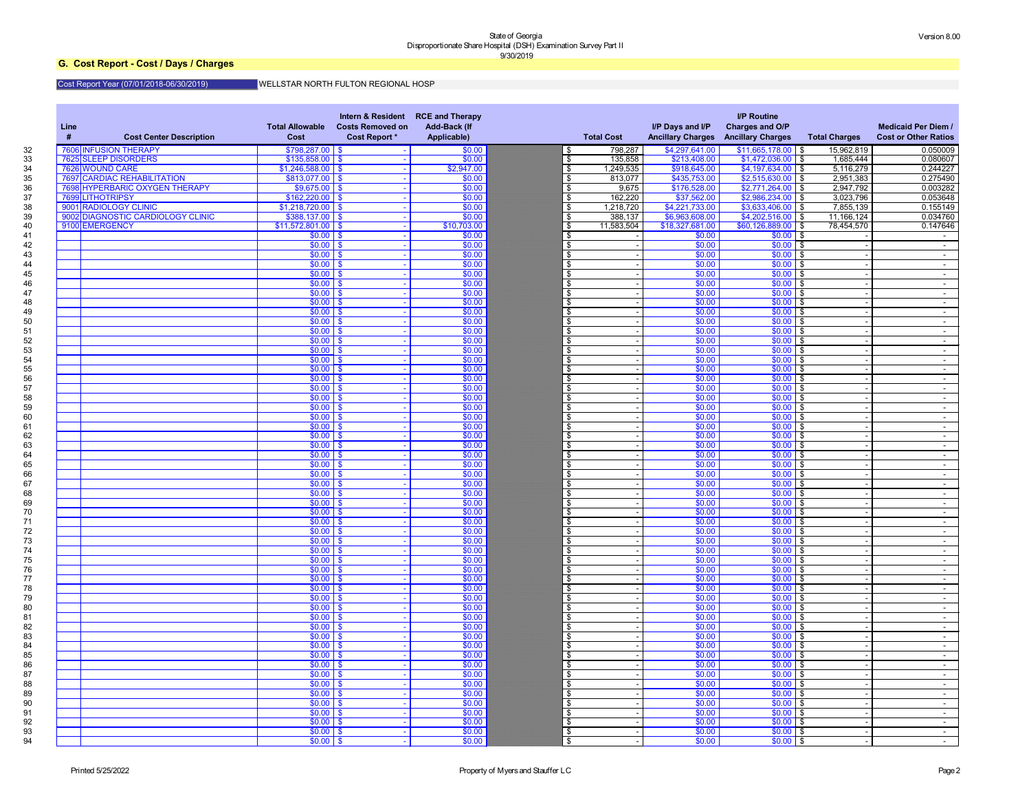# **G. Cost Report - Cost / Days / Charges**

#### Cost Report Year (07/01/2018-06/30/2019) WELLSTAR NORTH FULTON REGIONAL HOSP

| Line<br><b>Cost Center Description</b> | <b>Total Allowable</b><br><b>Cost</b> | Intern & Resident RCE and Therapy<br><b>Costs Removed on</b><br><b>Cost Report *</b> | <b>Add-Back (If</b><br>Applicable) | <b>Total Cost</b>         | I/P Days and I/P<br><b>Ancillary Charges</b> | <b>I/P Routine</b><br>Charges and O/P<br><b>Ancillary Charges</b> | <b>Total Charges</b> | <b>Medicaid Per Diem /</b><br><b>Cost or Other Ratios</b> |
|----------------------------------------|---------------------------------------|--------------------------------------------------------------------------------------|------------------------------------|---------------------------|----------------------------------------------|-------------------------------------------------------------------|----------------------|-----------------------------------------------------------|
| <b>INFUSION THERAPY</b><br>7606        | $$798,287.00$ \\$                     |                                                                                      | \$0.00                             | 798,287<br>\$             | \$4,297,641.00                               | $$11,665,178.00$ \$                                               | 15,962,819           | 0.050009                                                  |
| 7625 SLEEP DISORDERS                   | $$135,858.00$ \ \$                    |                                                                                      | \$0.00                             | 135,858<br>\$             | \$213,408.00                                 | $$1,472,036.00$ \$                                                | 1,685,444            | 0.080607                                                  |
| 7626 WOUND CARE                        | $$1,246,588.00$ \$                    |                                                                                      | \$2,947.00                         | 1,249,535<br>\$           | \$918,645.00                                 | $$4,197,634.00$ \$                                                | 5,116,279            | 0.244227                                                  |
| <b>7697 CARDIAC REHABILITATION</b>     | $$813,077.00$ \\$                     |                                                                                      | \$0.00                             | \$<br>813,077             | \$435,753.00                                 | $$2,515,630.00$ \$                                                | 2,951,383            | 0.275490                                                  |
| 7698 HYPERBARIC OXYGEN THERAPY         | $$9,675.00$ \$                        |                                                                                      | \$0.00                             | \$<br>9,675               | \$176,528.00                                 | $$2,771,264.00$ \$                                                | 2,947,792            | 0.003282                                                  |
| 7699 LITHOTRIPSY                       | $$162,220.00$ \ \$                    |                                                                                      | \$0.00                             | 162,220<br>\$             | \$37,562.00                                  | $$2,986,234.00$ \$                                                | 3,023,796            | 0.053648                                                  |
| 9001 RADIOLOGY CLINIC                  | $$1,218,720.00$ \$                    |                                                                                      | \$0.00                             | \$<br>1,218,720           | \$4,221,733.00                               | $$3,633,406.00$ \$                                                | 7,855,139            | 0.155149                                                  |
| 9002 DIAGNOSTIC CARDIOLOGY CLINIC      | $$388,137.00$ \ \$                    |                                                                                      | \$0.00                             | 388,137<br>\$             | \$6,963,608.00                               | $$4,202,516.00$ \$                                                | 11,166,124           | 0.034760                                                  |
| 9100 EMERGENCY                         | $$11,572,801.00$ \$<br>$$0.00$ \$     |                                                                                      | \$10,703.00                        | 11,583,504<br>\$          | \$18,327,681.00                              | $$60,126,889.00$ \$                                               | 78,454,570           | 0.147646                                                  |
|                                        | $$0.00$ \$                            |                                                                                      | \$0.00<br>\$0.00                   | \$                        | \$0.00<br>\$0.00                             | $$0.00$ \$<br>$$0.00$ \$                                          |                      | $\sim$                                                    |
|                                        | $$0.00$ \$                            |                                                                                      | \$0.00                             | \$                        | \$0.00                                       | \$0.00<br>l \$                                                    |                      | $\sim$                                                    |
|                                        | $$0.00$ \$                            |                                                                                      | \$0.00                             | \$                        | \$0.00                                       | \$0.00<br>l \$                                                    |                      | $\sim$                                                    |
|                                        | $$0.00$ \$                            |                                                                                      | \$0.00                             | \$                        | \$0.00                                       | \$0.00<br>l \$                                                    |                      | $\sim$                                                    |
|                                        | $$0.00$ \$                            |                                                                                      | \$0.00                             | \$                        | \$0.00                                       | $$0.00$ \$                                                        |                      | $\sim$                                                    |
|                                        | $$0.00$ \$                            |                                                                                      | \$0.00                             | \$                        | \$0.00                                       | $$0.00$ \$                                                        |                      | $\sim$<br>$\sim$                                          |
|                                        | $$0.00$ \$                            |                                                                                      | \$0.00                             | \$                        | \$0.00                                       | \$0.00<br>l \$                                                    |                      | $\sim$                                                    |
|                                        | $$0.00$ \$                            |                                                                                      | \$0.00                             | \$                        | \$0.00                                       | \$0.00<br>l \$                                                    |                      | $\sim$                                                    |
|                                        | $$0.00$ \$                            |                                                                                      | \$0.00                             | \$                        | \$0.00                                       | \$0.00<br>l \$                                                    |                      | $\sim$                                                    |
|                                        | $$0.00$ \$                            |                                                                                      | \$0.00                             | \$                        | \$0.00                                       | $$0.00$ \$                                                        |                      | $\sim$                                                    |
|                                        | $$0.00$ \$                            |                                                                                      | \$0.00                             | \$                        | \$0.00                                       | $$0.00$ \$                                                        |                      | $\sim$                                                    |
|                                        | $$0.00$ \$                            |                                                                                      | \$0.00                             | \$                        | \$0.00                                       | $$0.00$ \$                                                        |                      | $\sim$                                                    |
|                                        | $$0.00$ \$                            |                                                                                      | \$0.00                             | \$                        | \$0.00                                       | $$0.00$ \$                                                        |                      | $\sim$                                                    |
|                                        | $$0.00$ \$                            |                                                                                      | \$0.00                             | \$                        | \$0.00                                       | $$0.00$ \$                                                        |                      | $\sim$                                                    |
|                                        | $$0.00$ \$                            |                                                                                      | \$0.00                             | \$                        | \$0.00                                       | $$0.00$ \$                                                        |                      | $\sim$                                                    |
|                                        | $$0.00$ \ \$                          |                                                                                      | \$0.00                             | \$                        | \$0.00                                       | $$0.00$ \$                                                        |                      | $\sim$                                                    |
|                                        | $$0.00$ \ \$                          |                                                                                      | \$0.00                             | \$                        | \$0.00                                       | $$0.00$ \$                                                        |                      | $\sim$                                                    |
|                                        | $$0.00$ \ \$                          |                                                                                      | \$0.00                             | \$                        | \$0.00                                       | $$0.00$ \$                                                        |                      | $\sim$                                                    |
|                                        | $$0.00$ \ \$                          |                                                                                      | \$0.00                             | \$                        | \$0.00                                       | $$0.00$ \$                                                        |                      | $\sim$                                                    |
|                                        | $$0.00$ \$                            |                                                                                      | \$0.00                             | \$                        | \$0.00                                       | $$0.00$ \$                                                        |                      | $\sim$                                                    |
|                                        | $$0.00$ \ \$                          |                                                                                      | \$0.00                             | \$                        | \$0.00                                       | $$0.00$ \$                                                        |                      | $\sim$                                                    |
|                                        | $$0.00$ \ \$                          |                                                                                      | \$0.00                             |                           | \$0.00                                       | $$0.00$ \$                                                        |                      | $\sim$                                                    |
|                                        | $$0.00$ \$                            |                                                                                      | \$0.00                             | \$                        | \$0.00                                       | $$0.00$ \$                                                        |                      | $\sim$                                                    |
|                                        | $$0.00$ \$                            | <b>COL</b>                                                                           | \$0.00                             |                           | \$0.00                                       | $$0.00$ \$                                                        |                      |                                                           |
|                                        | $$0.00$ \ \$                          |                                                                                      | \$0.00                             | $\overline{\mathfrak{s}}$ | \$0.00                                       | $$0.00$ \$                                                        |                      | $\sim$                                                    |
|                                        | $$0.00$ \ \$                          |                                                                                      | \$0.00                             | \$                        | \$0.00                                       | $$0.00$ \$                                                        |                      | $\sim$                                                    |
|                                        | $$0.00$ \ \$                          |                                                                                      | \$0.00                             | $\boldsymbol{\mathsf{s}}$ | \$0.00                                       | $$0.00$ \$                                                        |                      | $\sim$ 100 $\mu$                                          |
|                                        | $$0.00$ \ \$                          |                                                                                      | \$0.00                             | \$                        | \$0.00                                       | $$0.00$ \$                                                        |                      | $\sim$                                                    |
|                                        | $$0.00$ \ \$                          |                                                                                      | \$0.00                             | \$                        | \$0.00                                       | $$0.00$ \$                                                        |                      | $\sim$                                                    |
|                                        | $$0.00$ \ \$                          |                                                                                      | \$0.00                             | \$                        | \$0.00                                       | $$0.00$ \$                                                        |                      | $\sim$                                                    |
|                                        | $$0.00$ \ \$                          |                                                                                      | \$0.00                             | \$                        | \$0.00                                       | $$0.00$ \$                                                        |                      | $\sim$ 100 $\mu$                                          |
|                                        | $$0.00$ \$                            |                                                                                      | \$0.00                             | $\boldsymbol{\mathsf{s}}$ | \$0.00                                       | $$0.00$ \$                                                        |                      | $\sim$                                                    |
|                                        | $$0.00$ \ \$<br>$$0.00$ \ \$          |                                                                                      | \$0.00<br>\$0.00                   | \$<br>\$                  | \$0.00<br>\$0.00                             | $$0.00$ \$<br>$$0.00$ \$                                          |                      | $\sim$                                                    |
|                                        | $$0.00$ \ \$                          |                                                                                      | \$0.00                             | \$                        | \$0.00                                       | $$0.00$ \$                                                        |                      | $\sim$                                                    |
|                                        | $$0.00$ \ \$                          |                                                                                      | \$0.00                             | \$                        | \$0.00                                       | $$0.00$ \$                                                        |                      | $\sim$<br>$\sim$                                          |
|                                        | $$0.00$ \$                            |                                                                                      | \$0.00                             | $\boldsymbol{\mathsf{s}}$ | \$0.00                                       | $$0.00$ \$                                                        |                      | $\sim$                                                    |
|                                        | $$0.00$ \ \$                          |                                                                                      | \$0.00                             | \$                        | \$0.00                                       | $$0.00$ \$                                                        |                      | $\sim$                                                    |
|                                        | $$0.00$ \ \$                          |                                                                                      | \$0.00                             | \$                        | \$0.00                                       | $$0.00$ \$                                                        |                      | $\sim$                                                    |
|                                        | $$0.00$ \ \$                          |                                                                                      | \$0.00                             | \$                        | \$0.00                                       | $$0.00$ \$                                                        |                      | $\sim$                                                    |
|                                        | $$0.00$ \$                            |                                                                                      | \$0.00                             | \$                        | \$0.00                                       | $$0.00$ \$                                                        |                      | $\sim$                                                    |
|                                        | $$0.00$ \ \$                          |                                                                                      | \$0.00                             | $\boldsymbol{\mathsf{s}}$ | \$0.00                                       | $$0.00$ \$                                                        |                      | $\sim$                                                    |
|                                        | $$0.00$ \ \$                          |                                                                                      | \$0.00                             | \$                        | \$0.00                                       | $$0.00$ \$                                                        |                      | $\sim$                                                    |
|                                        | $$0.00$ \ \$                          |                                                                                      | \$0.00                             | \$                        | \$0.00                                       | $$0.00$ \$                                                        |                      | $\sim$                                                    |
|                                        | $$0.00$ \ \$                          |                                                                                      | \$0.00                             | \$                        | \$0.00                                       | $$0.00$ \$                                                        |                      | $\sim$ 100 $\mu$                                          |
|                                        | $$0.00$ \$                            |                                                                                      | \$0.00                             | \$                        | \$0.00                                       | $$0.00$ \$                                                        |                      | $\sim$                                                    |
|                                        | $$0.00$ \ \$                          |                                                                                      | \$0.00                             | \$                        | \$0.00                                       | $$0.00$ \$                                                        |                      | $\sim$                                                    |
|                                        | $$0.00$ \ \$                          |                                                                                      | \$0.00                             | \$                        | \$0.00                                       | $$0.00$ \$                                                        |                      | $\sim$                                                    |
|                                        | $$0.00$ \ \$                          |                                                                                      | \$0.00                             | \$                        | \$0.00                                       | $$0.00$ \$                                                        |                      | $\sim$                                                    |
|                                        | $$0.00$ \ \$                          |                                                                                      | \$0.00                             | \$                        | \$0.00                                       | $$0.00$ \$                                                        |                      | $\sim$                                                    |
|                                        | $$0.00$ \ \$                          |                                                                                      | \$0.00                             | \$                        | \$0.00                                       | $$0.00$ \$                                                        |                      | $\sim$                                                    |
|                                        | $$0.00$ \ \$                          |                                                                                      | \$0.00                             | $\boldsymbol{\mathsf{S}}$ | \$0.00                                       | $$0.00$ \$                                                        |                      | $\sim$ $-$                                                |
|                                        | $$0.00$ \$                            |                                                                                      | \$0.00                             | $\overline{\mathfrak{s}}$ | \$0.00                                       | $$0.00$ \$                                                        |                      | $\sim$                                                    |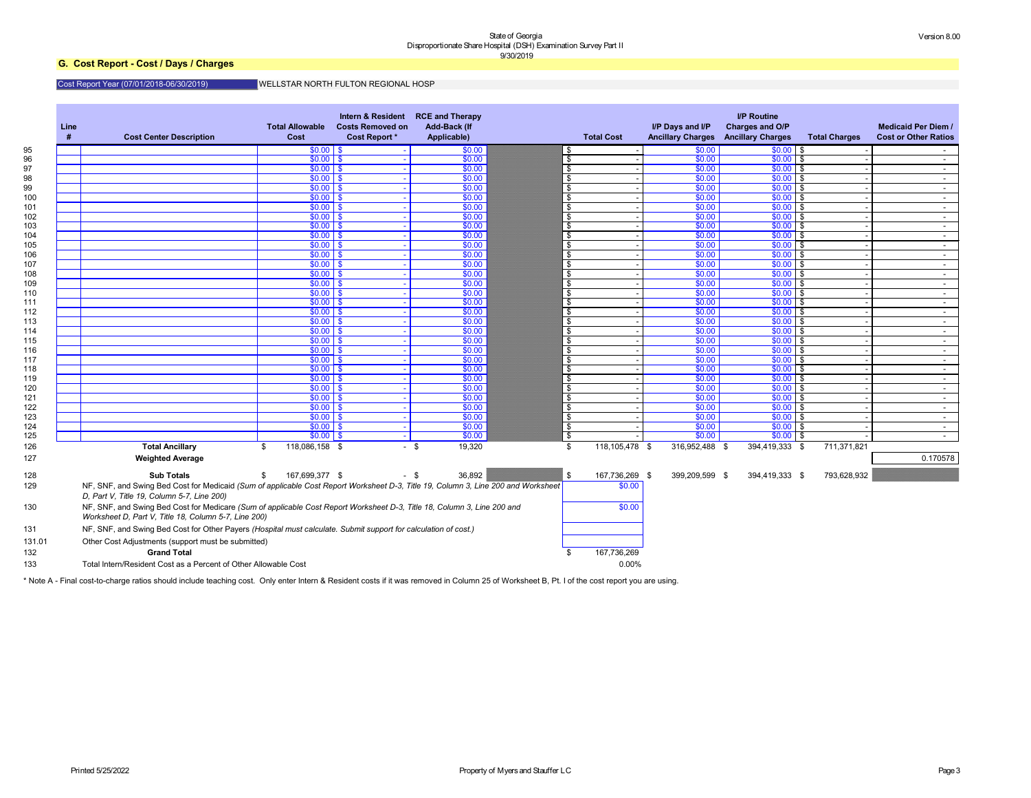# **G. Cost Report - Cost / Days / Charges**

### Cost Report Year (07/01/2018-06/30/2019)

### WELLSTAR NORTH FULTON REGIONAL HOSP

| Line<br># | <b>Cost Center Description</b>                                                                                                                                                  | <b>Total Allowable</b><br><b>Cost</b> | Intern & Resident<br><b>Costs Removed on</b><br><b>Cost Report *</b> | <b>RCE and Therapy</b><br><b>Add-Back (If</b><br>Applicable) | <b>Total Cost</b>     | I/P Days and I/P | <b>I/P Routine</b><br>Charges and O/P<br><b>Ancillary Charges Ancillary Charges</b> | <b>Total Charges</b>      | <b>Medicaid Per Diem /</b><br><b>Cost or Other Ratios</b> |
|-----------|---------------------------------------------------------------------------------------------------------------------------------------------------------------------------------|---------------------------------------|----------------------------------------------------------------------|--------------------------------------------------------------|-----------------------|------------------|-------------------------------------------------------------------------------------|---------------------------|-----------------------------------------------------------|
|           |                                                                                                                                                                                 | $$0.00$ \ \$                          |                                                                      | \$0.00                                                       | - 56                  | \$0.00           | $$0.00$ \ \$                                                                        |                           |                                                           |
|           |                                                                                                                                                                                 | $$0.00$ \$                            |                                                                      | \$0.00                                                       | \$                    | \$0.00           | $$0.00$ \$                                                                          |                           | $\sim$ $-$                                                |
|           |                                                                                                                                                                                 | $$0.00$ \$                            |                                                                      | \$0.00                                                       | \$                    | \$0.00           | $$0.00$ \$                                                                          |                           | $\sim$ $-$                                                |
|           |                                                                                                                                                                                 | $$0.00$ \$                            |                                                                      | \$0.00                                                       | \$                    | \$0.00           | $$0.00$ \$                                                                          |                           | $\sim$ 10 $\pm$                                           |
|           |                                                                                                                                                                                 | $$0.00$ \$                            |                                                                      | \$0.00                                                       | \$                    | \$0.00           | \$0.00                                                                              | l \$                      | $\sim$ 10 $\pm$                                           |
|           |                                                                                                                                                                                 | $$0.00$ \$                            |                                                                      | \$0.00<br>\$0.00                                             | \$                    | \$0.00           | \$0.00                                                                              | l \$                      | $\sim$ $-$                                                |
|           |                                                                                                                                                                                 | $$0.00$ \$<br>$$0.00$ \$              |                                                                      | \$0.00                                                       | \$                    | \$0.00<br>\$0.00 | $$0.00$ \$<br>$$0.00$ \$                                                            |                           | $\sim$                                                    |
|           |                                                                                                                                                                                 | $$0.00$ \$                            |                                                                      | \$0.00                                                       | \$<br>\$              | \$0.00           | $$0.00$ \$                                                                          |                           | $\sim$<br>$\sim$ $-$                                      |
|           |                                                                                                                                                                                 | $$0.00$ \$                            |                                                                      | \$0.00                                                       | \$                    | \$0.00           | \$0.00                                                                              | l \$                      | $\sim$ 10 $\pm$                                           |
|           |                                                                                                                                                                                 | $$0.00$ \$                            |                                                                      | \$0.00                                                       | \$                    | \$0.00           | \$0.00                                                                              | l \$                      | $\sim$ $-$                                                |
|           |                                                                                                                                                                                 | $$0.00$ \$                            |                                                                      | \$0.00                                                       | \$                    | \$0.00           | $$0.00$ \$                                                                          |                           | $\sim$                                                    |
|           |                                                                                                                                                                                 | $$0.00$ \$                            |                                                                      | \$0.00                                                       | \$                    | \$0.00           | $$0.00$ \$                                                                          |                           | $\sim$                                                    |
|           |                                                                                                                                                                                 | $$0.00$ \$                            |                                                                      | \$0.00                                                       | \$                    | \$0.00           | $$0.00$ \$                                                                          |                           | $\sim$ $-$                                                |
|           |                                                                                                                                                                                 | $$0.00$ \$                            |                                                                      | \$0.00                                                       | \$                    | \$0.00           | \$0.00                                                                              | l \$                      | $\sim$ 10 $\pm$                                           |
|           |                                                                                                                                                                                 | $$0.00$ \$                            |                                                                      | \$0.00                                                       | \$                    | \$0.00           | \$0.00                                                                              | l \$                      | $\sim$ $-$                                                |
|           |                                                                                                                                                                                 | $$0.00$ \$                            |                                                                      | \$0.00                                                       | \$                    | \$0.00           | \$0.00                                                                              | l \$                      | $\sim$                                                    |
|           |                                                                                                                                                                                 | $$0.00$ \$                            |                                                                      | \$0.00                                                       | \$                    | \$0.00           | $$0.00$ \$                                                                          |                           | $\sim$                                                    |
|           |                                                                                                                                                                                 | $$0.00$ \$                            |                                                                      | \$0.00                                                       | \$                    | \$0.00           | $$0.00$ \$                                                                          |                           | $\sim$                                                    |
|           |                                                                                                                                                                                 | $$0.00$ \$                            |                                                                      | \$0.00                                                       | \$                    | \$0.00           | \$0.00                                                                              | l \$                      | $\sim$ 10 $\pm$                                           |
|           |                                                                                                                                                                                 | $$0.00$ \$                            |                                                                      | \$0.00                                                       | \$                    | \$0.00           | \$0.00                                                                              | l \$                      | $\sim$ 10 $\pm$                                           |
|           |                                                                                                                                                                                 | $$0.00$ \$                            |                                                                      | \$0.00                                                       | \$                    | \$0.00           | \$0.00                                                                              | l \$                      | $\sim$ $-$                                                |
|           |                                                                                                                                                                                 | $$0.00$ \$                            |                                                                      | \$0.00                                                       | \$                    | \$0.00           | $$0.00$ \$                                                                          |                           | $\sim$                                                    |
|           |                                                                                                                                                                                 | $$0.00$ \$                            |                                                                      | \$0.00                                                       | \$                    | \$0.00           | $$0.00$ \$                                                                          |                           | $\sim$                                                    |
|           |                                                                                                                                                                                 | $$0.00$ \$                            |                                                                      | \$0.00                                                       | \$                    | \$0.00           | \$0.00                                                                              | l \$                      | $\sim$ $-$                                                |
|           |                                                                                                                                                                                 | $$0.00$ \$                            |                                                                      | \$0.00                                                       | \$                    | \$0.00           | \$0.00                                                                              | l \$                      | $\sim$                                                    |
|           |                                                                                                                                                                                 | $$0.00$ \$                            |                                                                      | \$0.00                                                       | \$                    | \$0.00           | \$0.00                                                                              | l \$                      | $\sim$                                                    |
|           |                                                                                                                                                                                 | $$0.00$ \$                            |                                                                      | \$0.00                                                       | \$                    | \$0.00           | $$0.00$ \$                                                                          |                           | $\sim$ $-$                                                |
|           |                                                                                                                                                                                 | $$0.00$ \$                            |                                                                      | \$0.00                                                       | -\$                   | \$0.00           | $$0.00$ \$                                                                          |                           | $\sim$                                                    |
|           |                                                                                                                                                                                 | $$0.00$ \ \$                          |                                                                      | \$0.00<br>\$0.00                                             | -\$<br>\$             | \$0.00<br>\$0.00 | $$0.00$ \$                                                                          |                           | $\sim$                                                    |
|           |                                                                                                                                                                                 | $$0.00$ \ \$                          |                                                                      |                                                              |                       |                  | \$0.00                                                                              | l \$                      | $\sim$ $-$                                                |
|           | <b>Total Ancillary</b><br><b>Weighted Average</b>                                                                                                                               | 118,086,158 \$<br>\$                  | $\sim$                                                               | 19,320<br>- \$                                               | 118,105,478 \$<br>\$  | 316,952,488      | 394,419,333<br>- \$                                                                 | 711,371,821<br>$\sqrt{3}$ | 0.170578                                                  |
|           | <b>Sub Totals</b>                                                                                                                                                               | 167,699,377 \$<br>\$.                 |                                                                      | 36,892<br>- \$                                               | 167,736,269 \$<br>-\$ | 399,209,599 \$   | 394,419,333 \$                                                                      | 793,628,932               |                                                           |
|           | NF, SNF, and Swing Bed Cost for Medicaid (Sum of applicable Cost Report Worksheet D-3, Title 19, Column 3, Line 200 and Worksheet<br>D, Part V, Title 19, Column 5-7, Line 200) |                                       |                                                                      |                                                              | \$0.00                |                  |                                                                                     |                           |                                                           |
|           | NF, SNF, and Swing Bed Cost for Medicare (Sum of applicable Cost Report Worksheet D-3, Title 18, Column 3, Line 200 and<br>Worksheet D, Part V, Title 18, Column 5-7, Line 200) |                                       |                                                                      |                                                              | \$0.00                |                  |                                                                                     |                           |                                                           |
|           | NF, SNF, and Swing Bed Cost for Other Payers (Hospital must calculate. Submit support for calculation of cost.)                                                                 |                                       |                                                                      |                                                              |                       |                  |                                                                                     |                           |                                                           |
|           | Other Cost Adjustments (support must be submitted)                                                                                                                              |                                       |                                                                      |                                                              |                       |                  |                                                                                     |                           |                                                           |
|           | <b>Grand Total</b>                                                                                                                                                              |                                       |                                                                      |                                                              | 167,736,269           |                  |                                                                                     |                           |                                                           |
|           | Total Intern/Resident Cost as a Percent of Other Allowable Cost                                                                                                                 |                                       |                                                                      |                                                              | 0.00%                 |                  |                                                                                     |                           |                                                           |

\* Note A - Final cost-to-charge ratios should include teaching cost. Only enter Intern & Resident costs if it was removed in Column 25 of Worksheet B, Pt. I of the cost report you are using.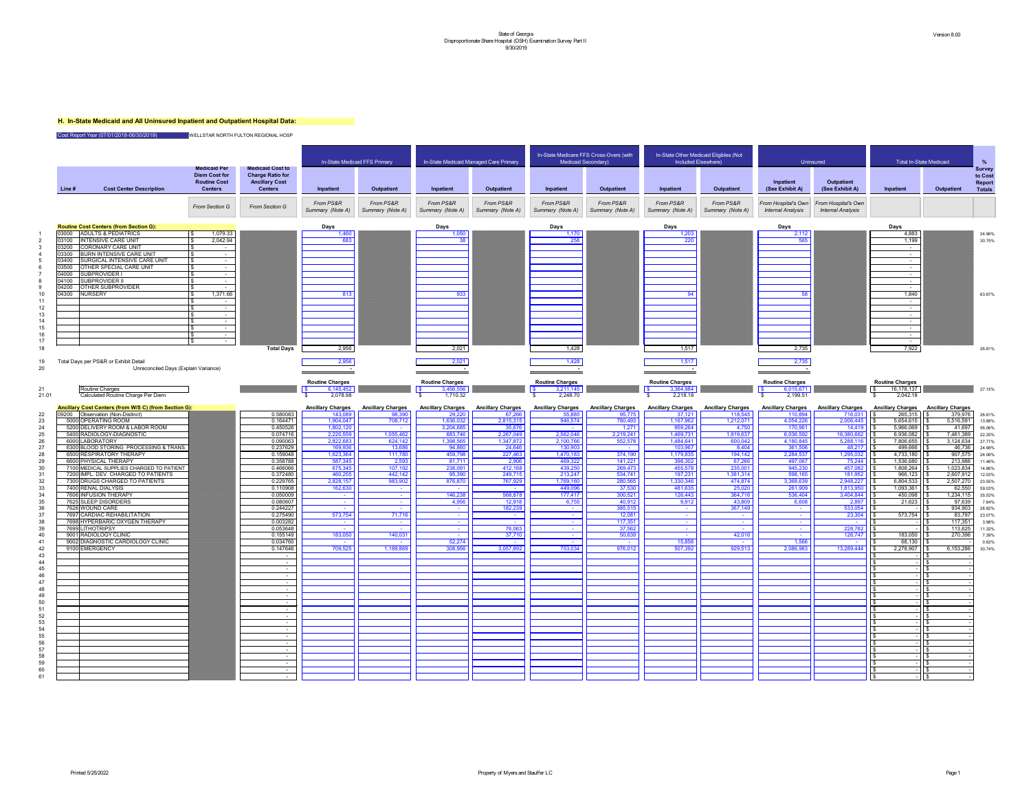# **H. In-State Medicaid and All Uninsured Inpatient and Outpatient Hospital Data:**

|                 |                |                                                                                     | <b>Medicaid Per</b>                                           | <b>Medicaid Cost to</b>                                            |                                     | In-State Medicaid FFS Primary      |                                    | In-State Medicaid Managed Care Primary | In-State Medicare FFS Cross-Overs (with<br>Medicaid Secondary) |                                    | In-State Other Medicaid Eligibles (Not<br>Included Elsewhere) |                                     | Uninsured                                       | Total In-S                                      |                                                      |
|-----------------|----------------|-------------------------------------------------------------------------------------|---------------------------------------------------------------|--------------------------------------------------------------------|-------------------------------------|------------------------------------|------------------------------------|----------------------------------------|----------------------------------------------------------------|------------------------------------|---------------------------------------------------------------|-------------------------------------|-------------------------------------------------|-------------------------------------------------|------------------------------------------------------|
|                 | Line #         | <b>Cost Center Description</b>                                                      | <b>Diem Cost for</b><br><b>Routine Cost</b><br><b>Centers</b> | <b>Charge Ratio for</b><br><b>Ancillary Cost</b><br><b>Centers</b> | Inpatient                           | <b>Outpatient</b>                  | Inpatient                          | <b>Outpatient</b>                      | Inpatient                                                      | <b>Outpatient</b>                  | Inpatient                                                     | <b>Outpatient</b>                   | Inpatient<br>(See Exhibit A)                    | <b>Outpatient</b><br>(See Exhibit A)            | Inpatient                                            |
|                 |                |                                                                                     | From Section G                                                | From Section G                                                     | From PS&R<br>Summary (Note A)       | From PS&R<br>Summary (Note A)      | From PS&R<br>Summary (Note A)      | From PS&R<br>Summary (Note A)          | From PS&R<br>Summary (Note A)                                  | From PS&R<br>Summary (Note A)      | From PS&R<br>Summary (Note A)                                 | From PS&R<br>Summary (Note A)       | From Hospital's Own<br><b>Internal Analysis</b> | From Hospital's Own<br><b>Internal Analysis</b> |                                                      |
|                 |                | <b>Routine Cost Centers (from Section G):</b>                                       |                                                               |                                                                    | <b>Days</b>                         |                                    | <b>Days</b>                        |                                        | <b>Days</b>                                                    |                                    | <b>Days</b>                                                   |                                     | <b>Days</b>                                     |                                                 | Days                                                 |
|                 | 03000<br>03100 | <b>ADULTS &amp; PEDIATRICS</b><br><b>INTENSIVE CARE UNIT</b>                        | 1,079.33<br>2,042.94                                          |                                                                    | 1,460<br>683                        |                                    | 1,050<br>38                        |                                        | 1,170<br>258                                                   |                                    | 1,203<br>220                                                  |                                     | 2,112<br>565                                    |                                                 | 4,883<br>1,199                                       |
|                 | 03200          | <b>CORONARY CARE UNIT</b>                                                           |                                                               |                                                                    |                                     |                                    |                                    |                                        |                                                                |                                    |                                                               |                                     |                                                 |                                                 | $\sim 100$                                           |
|                 | 03300<br>03400 | <b>BURN INTENSIVE CARE UNIT</b><br><b>SURGICAL INTENSIVE CARE UNIT</b>              | $\sim$                                                        |                                                                    |                                     |                                    |                                    |                                        |                                                                |                                    |                                                               |                                     |                                                 |                                                 | <b>Contract</b>                                      |
|                 | 03500          | OTHER SPECIAL CARE UNIT                                                             | $\sim$ $-$<br>$\sim$ 100 $\mu$                                |                                                                    |                                     |                                    |                                    |                                        |                                                                |                                    |                                                               |                                     |                                                 |                                                 | $\sim$ 100 $\mu$<br>$\sim$ 100 $\sim$                |
|                 | 04000<br>04100 | SUBPROVIDER I<br><b>SUBPROVIDER II</b>                                              | $\sim$<br>$\sim$ 100 $\mu$                                    |                                                                    |                                     |                                    |                                    |                                        |                                                                |                                    |                                                               |                                     |                                                 |                                                 | $\sim$ 100 $\sim$<br>$\sim$                          |
|                 | 04200          | <b>OTHER SUBPROVIDER</b>                                                            | $\sim$                                                        |                                                                    |                                     |                                    |                                    |                                        |                                                                |                                    |                                                               |                                     |                                                 |                                                 | $\sim 100$ m $^{-1}$                                 |
|                 | 04300          | <b>NURSERY</b>                                                                      | 1,371.66                                                      |                                                                    | 813                                 |                                    | 933                                |                                        |                                                                |                                    | <b>Q</b>                                                      |                                     | 58                                              |                                                 | 1,840<br>$\sim$ 100 $\mu$                            |
| 12 <sub>2</sub> |                |                                                                                     | $\sim$                                                        |                                                                    |                                     |                                    |                                    |                                        |                                                                |                                    |                                                               |                                     |                                                 |                                                 | $\sim$ 100 $\mu$                                     |
| 13              |                |                                                                                     | $\sim$<br>$\sim$                                              |                                                                    |                                     |                                    |                                    |                                        |                                                                |                                    |                                                               |                                     |                                                 |                                                 | $\sim$ 100 $\mu$<br>$\sim 100$ m $^{-1}$             |
| 15              |                |                                                                                     | $\sim$                                                        |                                                                    |                                     |                                    |                                    |                                        |                                                                |                                    |                                                               |                                     |                                                 |                                                 | $\sim 100$                                           |
|                 |                |                                                                                     | $\sim$<br>$\sim$                                              |                                                                    |                                     |                                    |                                    |                                        |                                                                |                                    |                                                               |                                     |                                                 |                                                 | <b>Contract Contract</b><br><b>Contract Contract</b> |
| 18              |                |                                                                                     |                                                               | <b>Total Days</b>                                                  | 2,956                               |                                    | 2,021                              |                                        | 1,428                                                          |                                    | 1,517                                                         |                                     | 2,735                                           |                                                 | 7,922                                                |
| 19<br>20        |                | Total Days per PS&R or Exhibit Detail<br>Unreconciled Days (Explain Variance)       |                                                               |                                                                    | 2,956                               |                                    | 2,021                              |                                        | 1,428                                                          |                                    | 1,517                                                         |                                     | 2,735                                           |                                                 |                                                      |
|                 |                |                                                                                     |                                                               |                                                                    | <b>Routine Charges</b>              |                                    | <b>Routine Charges</b>             |                                        | <b>Routine Charges</b>                                         |                                    | <b>Routine Charges</b>                                        |                                     | <b>Routine Charges</b>                          |                                                 | <b>Routine Charges</b>                               |
| 21              |                | Routine Charges                                                                     |                                                               |                                                                    | 6,145,452<br><b>S</b>               |                                    | 3,456,556<br>$\sqrt{S}$            |                                        | $\sqrt{S}$<br>3,211,145                                        |                                    | $\sqrt{2}$<br>3,364,984                                       |                                     | 6,015,671<br>$\sqrt{S}$                         |                                                 | 16,178,137<br>15                                     |
| 21.01           |                | Calculated Routine Charge Per Diem                                                  |                                                               |                                                                    | 2,078.98                            |                                    | 1,710.32                           |                                        | 2,248.70                                                       |                                    | 2,218.18                                                      |                                     | 2,199.51                                        |                                                 | 2,042.18                                             |
|                 | 09200          | Ancillary Cost Centers (from W/S C) (from Section G):<br>Observation (Non-Distinct) |                                                               | 0.580083                                                           | <b>Ancillary Charges</b><br>143,089 | <b>Ancillary Charges</b><br>98,390 | <b>Ancillary Charges</b><br>29,220 | <b>Ancillary Charges</b><br>67,266     | <b>Ancillary Charges</b><br>55,885                             | <b>Ancillary Charges</b><br>95,775 | <b>Ancillary Charges</b><br>37,121                            | <b>Ancillary Charges</b><br>118,545 | <b>Ancillary Charges</b><br>110,894             | <b>Ancillary Charges</b><br>716,031             | <b>Ancillary Charges</b><br>265,315                  |
|                 |                | 5000 OPERATING ROOM                                                                 |                                                               | 0.164471                                                           | 1,904,047                           | 708,712                            | 1,636,032                          | 2,815,315                              | 946,574                                                        | 780,493                            | 1,167,962                                                     | 1,212,071                           | 4,054,226                                       | 2,006,445                                       | 5,654,615                                            |
|                 |                | 5200 DELIVERY ROOM & LABOR ROOM<br>5400 RADIOLOGY-DIAGNOSTIC                        |                                                               | 0.450526<br>0.074716                                               | 1,802,120<br>2,220,559              | 1,055,462                          | 3,204,685<br>683,746               | 35,676<br>2,267,049                    | $\sim$ $-$<br>2,562,046                                        | 1,271<br>2,219,241                 | 959,264<br>1,469,731                                          | 4,750<br>1,919,637                  | 170,961<br>6,036,592                            | 14,419<br>16,380,662                            | 5,966,069<br>6,936,082                               |
|                 |                | 6000 LABORATORY                                                                     |                                                               | 0.090063                                                           | 2,822,683                           | 624,142                            | 1,398,565                          | 1,347,872                              | 2,100,766                                                      | 552,578                            | 1,484,641                                                     | 600,042                             | 4,180,845                                       | 5,288,116                                       | 7,806,655                                            |
|                 |                | 6300 BLOOD STORING PROCESSING & TRANS.<br>6500 RESPIRATORY THERAPY                  |                                                               | 0.237629<br>0.159048                                               | 169,936<br>1,623,364                | 13,686<br>111,780                  | 94,860<br>459,798                  | 24,646<br>227,463                      | 130,903<br>1,470,183                                           | <b>College</b><br>374,190          | 103,967<br>1,179,835                                          | 8,404<br>194,142                    | 361,506<br>2,284,537                            | 48,217<br>1,295,032                             | 499,666<br>4,733,180                                 |
|                 |                | 6600 PHYSICAL THERAPY                                                               |                                                               | 0.358788                                                           | 587,345                             | 2,593                              | 81,711                             | 2,906                                  | 469,322                                                        | 141,221                            | 398,302                                                       | 67,266                              | 497,067                                         | 75,244                                          | 1,536,680                                            |
|                 |                | 7100 MEDICAL SUPPLIES CHARGED TO PATIENT<br>7200 IMPL. DEV. CHARGED TO PATIENTS     |                                                               | 0.466066<br>$0.\overline{372480}$                                  | 675,345<br>460,255                  | 107,192<br>442,142                 | 238,091<br>95,390                  | 412,168<br>249,715                     | 439,250<br>213,247                                             | 269,473<br>534,741                 | 455,578<br>197,231                                            | 235,001<br>1,381,314                | 945,230<br>598,165                              | 457,082<br>181,952                              | 1,808,264<br>966,123                                 |
|                 |                | 7300 DRUGS CHARGED TO PATIENTS                                                      |                                                               | 0.229765                                                           | 2,828,157                           | 983,902                            | 876,870                            | 767,929                                | 1,769,160                                                      | 280,565                            | 1,330,346                                                     | 474,874                             | 3,368,639                                       | 2,948,227                                       | 6,804,533                                            |
|                 |                | 7400 RENAL DIALYSIS<br>7606 INFUSION THERAPY                                        |                                                               | 0.110908<br>0.050009                                               | 162,630                             |                                    | 146,238                            | <b>Contract</b><br>568,878             | 449,096<br>177,417                                             | 37,530<br>300,521                  | 481,635<br>126,443                                            | 25,020<br>364,716                   | 261,909<br>536,404                              | 1,813,950<br>3,404,844                          | 1,093,361<br>450,098                                 |
|                 |                | 7625 SLEEP DISORDERS                                                                |                                                               | 0.080607                                                           | $\sim$                              |                                    | 4,956                              | 12,918                                 | 6,755                                                          | 40,912                             | 9,912                                                         | 43,809                              | 6,608                                           | 2,897                                           | 21,623                                               |
|                 |                | 7626 WOUND CARE<br>7697 CARDIAC REHABILITATION                                      |                                                               | 0.244227<br>0.275490                                               | 573,754                             | $\sim$<br>71,716                   | $\sim$                             | 182,239<br><b>Contract</b>             | $\sim$ 100 $\pm$<br><b>Contract</b>                            | 385,515<br>12,081                  | <b>Contract</b><br><b>Contract</b>                            | 367,149<br><b>Contract</b>          | $\sim$                                          | 533,054<br>23,304                               | 573,754                                              |
|                 |                | 7698 HYPERBARIC OXYGEN THERAPY                                                      |                                                               | 0.003282                                                           |                                     | $\sim$                             |                                    | $\sim$ $-$                             | $\sim$ $-$                                                     | 117,351                            | $\sim$ $-$                                                    | <b>College</b>                      |                                                 |                                                 |                                                      |
| 40              |                | 7699 LITHOTRIPSY<br>9001 RADIOLOGY CLINIC                                           |                                                               | 0.053648<br>0.155149                                               | 183,050                             | 140,031                            |                                    | 76,063<br>37,710                       | $\sim$<br>$\sim$ $-$                                           | 37,562<br>50,639                   | $\sim$                                                        | 42,016                              |                                                 | 228,762<br>126,747                              | 183,050                                              |
|                 |                | 9002 DIAGNOSTIC CARDIOLOGY CLINIC                                                   |                                                               | 0.034760                                                           |                                     |                                    | 52,274                             | $\sim$                                 | $\sim$ $-$                                                     | <b>Contract</b>                    | 15,856                                                        |                                     | 1,566                                           |                                                 | 68,130                                               |
| 43              |                | 9100 EMERGENCY                                                                      |                                                               | 0.147646                                                           | 709,525                             | 1,189,869                          | 308,956                            | 3,057,892                              | 753,034                                                        | 976,012                            | 507,392                                                       | 929,513                             | 2,086,963                                       | 13,289,444                                      | 2,278,907                                            |
| 44              |                |                                                                                     |                                                               | $\sim$                                                             |                                     |                                    |                                    |                                        |                                                                |                                    |                                                               |                                     |                                                 |                                                 |                                                      |
| 45<br>46        |                |                                                                                     |                                                               | $\sim$                                                             |                                     |                                    |                                    |                                        |                                                                |                                    |                                                               |                                     |                                                 |                                                 |                                                      |
|                 |                |                                                                                     |                                                               | $\sim$                                                             |                                     |                                    |                                    |                                        |                                                                |                                    |                                                               |                                     |                                                 |                                                 |                                                      |
| 48<br>49        |                |                                                                                     |                                                               | $\sim$<br>$\sim$                                                   |                                     |                                    |                                    |                                        |                                                                |                                    |                                                               |                                     |                                                 |                                                 |                                                      |
| 50              |                |                                                                                     |                                                               | $\sim$                                                             |                                     |                                    |                                    |                                        |                                                                |                                    |                                                               |                                     |                                                 |                                                 |                                                      |
| 52              |                |                                                                                     |                                                               | $\sim$<br>$\sim$                                                   |                                     |                                    |                                    |                                        |                                                                |                                    |                                                               |                                     |                                                 |                                                 |                                                      |
|                 |                |                                                                                     |                                                               | $\sim$                                                             |                                     |                                    |                                    |                                        |                                                                |                                    |                                                               |                                     |                                                 |                                                 |                                                      |
| 55              |                |                                                                                     |                                                               |                                                                    |                                     |                                    |                                    |                                        |                                                                |                                    |                                                               |                                     |                                                 |                                                 |                                                      |
| 56              |                |                                                                                     |                                                               |                                                                    |                                     |                                    |                                    |                                        |                                                                |                                    |                                                               |                                     |                                                 |                                                 |                                                      |
|                 |                |                                                                                     |                                                               |                                                                    |                                     |                                    |                                    |                                        |                                                                |                                    |                                                               |                                     |                                                 |                                                 |                                                      |
|                 |                |                                                                                     |                                                               |                                                                    |                                     |                                    |                                    |                                        |                                                                |                                    |                                                               |                                     |                                                 |                                                 |                                                      |
| 59              |                |                                                                                     |                                                               |                                                                    |                                     |                                    |                                    |                                        |                                                                |                                    |                                                               |                                     |                                                 |                                                 |                                                      |
| 60              |                |                                                                                     |                                                               |                                                                    |                                     |                                    |                                    |                                        |                                                                |                                    |                                                               |                                     |                                                 |                                                 |                                                      |

Cost Report Year (07/01/2018-06/30/2019) WELLSTAR NORTH FULTON REGIONAL HOSP

|       |        |                                                                                     |                                                                                      |                                                                                               |                                     | In-State Medicaid FFS Primary      |                                    | In-State Medicaid Managed Care Primary |                                    | In-State Medicare FFS Cross-Overs (with<br>Medicaid Secondary) |                                    | In-State Other Medicaid Eligibles (Not<br>Included Elsewhere) |                                                 | Uninsured                                       |                                     | <b>Total In-State Medicaid</b>      |                                                            |
|-------|--------|-------------------------------------------------------------------------------------|--------------------------------------------------------------------------------------|-----------------------------------------------------------------------------------------------|-------------------------------------|------------------------------------|------------------------------------|----------------------------------------|------------------------------------|----------------------------------------------------------------|------------------------------------|---------------------------------------------------------------|-------------------------------------------------|-------------------------------------------------|-------------------------------------|-------------------------------------|------------------------------------------------------------|
|       | Line # | <b>Cost Center Description</b>                                                      | <b>Medicaid Per</b><br><b>Diem Cost for</b><br><b>Routine Cost</b><br><b>Centers</b> | <b>Medicaid Cost to</b><br><b>Charge Ratio for</b><br><b>Ancillary Cost</b><br><b>Centers</b> | Inpatient                           | <b>Outpatient</b>                  | Inpatient                          | <b>Outpatient</b>                      | Inpatient                          | <b>Outpatient</b>                                              | Inpatient                          | <b>Outpatient</b>                                             | Inpatient<br>(See Exhibit A)                    | <b>Outpatient</b><br>(See Exhibit A)            | Inpatient                           | <b>Outpatient</b>                   | <b>Survey</b><br>to Cost<br><b>Report</b><br><b>Totals</b> |
|       |        |                                                                                     | From Section G                                                                       | From Section G                                                                                | From PS&R<br>Summary (Note A)       | From PS&R<br>Summary (Note A)      | From PS&R<br>Summary (Note A)      | From PS&R<br>Summary (Note A)          | From PS&R<br>Summary (Note A)      | From PS&R<br>Summary (Note A)                                  | From PS&R<br>Summary (Note A)      | From PS&R<br>Summary (Note A)                                 | From Hospital's Own<br><b>Internal Analysis</b> | From Hospital's Own<br><b>Internal Analysis</b> |                                     |                                     |                                                            |
|       |        | <b>Routine Cost Centers (from Section G):</b>                                       |                                                                                      |                                                                                               | <b>Days</b>                         |                                    | <b>Days</b>                        |                                        | <b>Days</b>                        |                                                                | <b>Days</b>                        |                                                               | <b>Days</b>                                     |                                                 | Days                                |                                     |                                                            |
|       |        | 03000 ADULTS & PEDIATRICS<br>03100  INTENSIVE CARE UNIT                             | 1,079.33<br>IS.<br>2,042.94                                                          |                                                                                               | 1,460                               |                                    | 1,050                              |                                        | 1,170<br>258                       |                                                                | 1,203<br>220                       |                                                               | 2,112<br>565                                    |                                                 | 4,883<br>1,199                      |                                     | 24.96%                                                     |
|       | 03200  | <b>CORONARY CARE UNIT</b>                                                           |                                                                                      |                                                                                               | 683                                 |                                    |                                    |                                        |                                    |                                                                |                                    |                                                               |                                                 |                                                 | $\sim$                              |                                     | 30.75%                                                     |
|       | 03300  | <b>BURN INTENSIVE CARE UNIT</b>                                                     | $\sim$ $-$                                                                           |                                                                                               |                                     |                                    |                                    |                                        |                                    |                                                                |                                    |                                                               |                                                 |                                                 | $\sim$ $ \sim$                      |                                     |                                                            |
|       | 03500  | 03400 SURGICAL INTENSIVE CARE UNIT<br><b>OTHER SPECIAL CARE UNIT</b>                | $\sim$                                                                               |                                                                                               |                                     |                                    |                                    |                                        |                                    |                                                                |                                    |                                                               |                                                 |                                                 | $\sim$<br>$\sim$                    |                                     |                                                            |
|       | 04000  | SUBPROVIDER I                                                                       | $\sim$ $-$                                                                           |                                                                                               |                                     |                                    |                                    |                                        |                                    |                                                                |                                    |                                                               |                                                 |                                                 | $\sim$ $\sim$                       |                                     |                                                            |
|       | 04200  | 04100 SUBPROVIDER II<br><b>OTHER SUBPROVIDER</b>                                    | $\sim$<br>$\sim$                                                                     |                                                                                               |                                     |                                    |                                    |                                        |                                    |                                                                |                                    |                                                               |                                                 |                                                 | $\sim$ $-$<br>$\sim$ $ \sim$        |                                     |                                                            |
|       |        | 04300 NURSERY                                                                       | 1,371.66                                                                             |                                                                                               | 813                                 |                                    | 933                                |                                        |                                    |                                                                | $Q_{\mathcal{A}}$                  |                                                               | 58                                              |                                                 | 1,840                               |                                     | 63.67%                                                     |
|       |        |                                                                                     | $\overline{\phantom{a}}$                                                             |                                                                                               |                                     |                                    |                                    |                                        |                                    |                                                                |                                    |                                                               |                                                 |                                                 | $\sim$                              |                                     |                                                            |
|       |        |                                                                                     | $\overline{\phantom{a}}$<br>$\sim$                                                   |                                                                                               |                                     |                                    |                                    |                                        |                                    |                                                                |                                    |                                                               |                                                 |                                                 | $\sim$<br>$\sim$                    |                                     |                                                            |
|       |        |                                                                                     | $\sim$                                                                               |                                                                                               |                                     |                                    |                                    |                                        |                                    |                                                                |                                    |                                                               |                                                 |                                                 | $\sim$ $ \sim$                      |                                     |                                                            |
|       |        |                                                                                     | $\sim$ $-$<br>$\overline{\phantom{a}}$                                               |                                                                                               |                                     |                                    |                                    |                                        |                                    |                                                                |                                    |                                                               |                                                 |                                                 | $\sim$ $-$<br>$\sim$                |                                     |                                                            |
|       |        |                                                                                     |                                                                                      |                                                                                               |                                     |                                    |                                    |                                        |                                    |                                                                |                                    |                                                               |                                                 |                                                 | $\sim$                              |                                     |                                                            |
|       |        |                                                                                     |                                                                                      | <b>Total Days</b>                                                                             | 2,956                               |                                    | 2,021                              |                                        | 1,428                              |                                                                | 1,517                              |                                                               | 2,735                                           |                                                 | 7,922                               |                                     | 26.81%                                                     |
|       |        | Total Days per PS&R or Exhibit Detail                                               |                                                                                      |                                                                                               | 2,956                               |                                    | 2,021                              |                                        | 1,428                              |                                                                | 1,517                              |                                                               | 2,735                                           |                                                 |                                     |                                     |                                                            |
|       |        | Unreconciled Days (Explain Variance)                                                |                                                                                      |                                                                                               |                                     |                                    |                                    |                                        |                                    |                                                                |                                    |                                                               |                                                 |                                                 |                                     |                                     |                                                            |
|       |        |                                                                                     |                                                                                      |                                                                                               | <b>Routine Charges</b>              |                                    | <b>Routine Charges</b>             |                                        | <b>Routine Charges</b>             |                                                                | <b>Routine Charges</b>             |                                                               | <b>Routine Charges</b>                          |                                                 | <b>Routine Charges</b>              |                                     |                                                            |
| 21.01 |        | Routine Charges<br>Calculated Routine Charge Per Diem                               |                                                                                      |                                                                                               | 6,145,452<br>2,078.98               |                                    | 3,456,556<br>1,710.32              |                                        | 3,211,145<br>2,248.70              |                                                                | 3,364,984<br>2,218.18              |                                                               | 6,015,671<br>2,199.51                           |                                                 | 16,178,137<br>l \$<br>2,042.18      |                                     | 27.15%                                                     |
|       |        |                                                                                     |                                                                                      |                                                                                               |                                     |                                    |                                    |                                        |                                    |                                                                |                                    |                                                               |                                                 |                                                 |                                     |                                     |                                                            |
|       | 09200  | Ancillary Cost Centers (from W/S C) (from Section G):<br>Observation (Non-Distinct) |                                                                                      | 0.580083                                                                                      | <b>Ancillary Charges</b><br>143,089 | <b>Ancillary Charges</b><br>98,390 | <b>Ancillary Charges</b><br>29,220 | <b>Ancillary Charges</b><br>67,266     | <b>Ancillary Charges</b><br>55,885 | <b>Ancillary Charges</b><br>95,775                             | <b>Ancillary Charges</b><br>37,121 | <b>Ancillary Charges</b><br>118,545                           | <b>Ancillary Charges</b><br>110,894             | <b>Ancillary Charges</b><br>716,031             | <b>Ancillary Charges</b><br>265,315 | <b>Ancillary Charges</b><br>379,976 | 26.61%                                                     |
|       |        | 5000 OPERATING ROOM                                                                 |                                                                                      | 0.164471                                                                                      | 1,904,047                           | 708,712                            | 1,636,032                          | 2,815,315                              | 946,574                            | 780,493                                                        | 1,167,962                          | 1,212,071                                                     | 4,054,226                                       | 2,006,445                                       | 5,654,615                           | 5,516,591                           | 13.88%                                                     |
|       |        | 5200 DELIVERY ROOM & LABOR ROOM<br>5400 RADIOLOGY-DIAGNOSTIC                        |                                                                                      | 0.450526<br>0.074716                                                                          | 1,802,120<br>2,220,559              | 1,055,462                          | 3,204,685<br>683,746               | 35,676<br>2,267,049                    | 2,562,046                          | 1,271<br>2,219,241                                             | 959,264<br>1,469,731               | 4,750<br>1,919,637                                            | 170,961<br>6,036,592                            | 14,419<br>16,380,662                            | 5,966,069<br>6,936,082              | 41,697<br>7,461,389                 | 56.06%<br>22.25%                                           |
|       |        | 6000 LABORATORY                                                                     |                                                                                      | 0.090063                                                                                      | 2,822,683                           | 624,142                            | 1,398,565                          | 1,347,872                              | 2,100,766                          | 552,578                                                        | 1,484,641                          | 600,042                                                       | 4,180,845                                       | 5,288,116                                       | 7,806,655                           | 3,124,634                           | 27.77%                                                     |
|       |        | 6300 BLOOD STORING PROCESSING & TRANS.<br>6500 RESPIRATORY THERAPY                  |                                                                                      | 0.237629<br>0.159048                                                                          | 169,936<br>1,623,364                | 13,686<br>111,780                  | 94,860<br>459,798                  | 24,646<br>227,463                      | 130,903<br>1,470,183               | 374,190                                                        | 103,967<br>1,179,835               | 8,404<br>194,142                                              | 361,506<br>2,284,537                            | 48,217<br>1,295,032                             | 499,666<br>4,733,180                | 46,736<br>907,575                   | 24.98%<br>24.06%                                           |
|       |        | 6600 PHYSICAL THERAPY                                                               |                                                                                      | 0.358788                                                                                      | 587,345                             | 2,593                              | 81,711                             | 2,906                                  | 469,322                            | 141,221                                                        | 398,302                            | 67,266                                                        | 497,067                                         | 75,244                                          | 1,536,680                           | 213,986                             | 11.46%                                                     |
|       |        | 7100 MEDICAL SUPPLIES CHARGED TO PATIENT                                            |                                                                                      | 0.466066                                                                                      | 675,345                             | 107,192                            | 238,091                            | 412,168                                | 439,250                            | 269,473                                                        | 455,578                            | 235,001                                                       | 945,230                                         | 457,082                                         | 1,808,264                           | 1,023,834                           | 14.86%                                                     |
|       |        | 7200 IMPL. DEV. CHARGED TO PATIENTS<br>7300 DRUGS CHARGED TO PATIENTS               |                                                                                      | 0.372480<br>0.229765                                                                          | 460,255<br>2,828,157                | 442,142<br>983,902                 | 95,390<br>876,870                  | 249,715<br>767,929                     | 213,247<br>1,769,160               | 534,741<br>280,565                                             | 197,231<br>1,330,346               | 1,381,314<br>474,874                                          | 598,165<br>3,368,639                            | 181,952<br>2,948,227                            | 966,123<br>6,804,533                | 2,607,912<br>2,507,270              | 12.03%<br>23.55%                                           |
|       |        | 7400 RENAL DIALYSIS                                                                 |                                                                                      | 0.110908                                                                                      | 162,630                             | $\sim$                             |                                    | <b>Contract</b>                        | 449,096                            | 37,530                                                         | 481,635                            | 25,020                                                        | 261,909                                         | 1,813,950                                       | 1,093,361                           | 62,550                              | 59.03%                                                     |
|       |        | 7606 INFUSION THERAPY<br>7625 SLEEP DISORDERS                                       |                                                                                      | 0.050009<br>0.080607                                                                          |                                     | $\sim$                             | 146,238<br>4,956                   | 568,878<br>12,918                      | 177,417<br>6,755                   | 300,52'<br>40,912                                              | 126,443<br>9,912                   | 364,716<br>43,809                                             | 536,404<br>6,608                                | 3,404,844<br>2,897                              | 450,098<br>21,623                   | 1,234,115<br>97,639                 | 35.53%<br>7.64%                                            |
|       |        | 7626 WOUND CARE                                                                     |                                                                                      | 0.244227                                                                                      |                                     | <b>Contract</b>                    |                                    | 182,239                                |                                    | 385,515                                                        |                                    | 367,149                                                       | <b>Contract</b>                                 | 533,054                                         |                                     | 934,903                             | 28.82%                                                     |
|       |        | 7697 CARDIAC REHABILITATION<br>7698 HYPERBARIC OXYGEN THERAPY                       |                                                                                      | 0.275490<br>0.003282                                                                          | 573,754                             | 71,716<br>$\sim$                   | <b>Contract</b>                    | <b>Contract</b><br><b>Contract</b>     |                                    | 12,081<br>117,351                                              | $\sim$                             |                                                               | <b>Contract</b>                                 | 23,304                                          | 573,754                             | 83,797<br>117,351                   | 23.07%<br>3.98%                                            |
|       |        | 7699 LITHOTRIPSY                                                                    |                                                                                      | 0.053648                                                                                      |                                     | $\sim$                             |                                    | 76,063                                 |                                    | 37,562                                                         |                                    |                                                               |                                                 | 228,762                                         |                                     | 113,625                             | 11.32%                                                     |
|       |        | 9001 RADIOLOGY CLINIC<br>9002 DIAGNOSTIC CARDIOLOGY CLINIC                          |                                                                                      | 0.155149<br>0.034760                                                                          | 183,050                             | 140,031                            | 52,274                             | 37,710<br>$\sim$                       |                                    | 50,639                                                         | 15,856                             | 42,016                                                        | 1,566                                           | 126,747                                         | 183,050<br>68,130                   | 270,396                             | 7.39%<br>0.62%                                             |
|       |        | 9100 EMERGENCY                                                                      |                                                                                      | 0.147646                                                                                      | 709,525                             | 1,189,869                          | 308,956                            | 3,057,892                              | 753,034                            | 976,012                                                        | 507,392                            | 929,513                                                       | 2,086,963                                       | 13,289,444                                      | 2,278,907                           | 6,153,286                           | 30.74%                                                     |
|       |        |                                                                                     |                                                                                      | $\sim$ $-$                                                                                    |                                     |                                    |                                    |                                        |                                    |                                                                |                                    |                                                               |                                                 |                                                 |                                     |                                     |                                                            |
|       |        |                                                                                     |                                                                                      |                                                                                               |                                     |                                    |                                    |                                        |                                    |                                                                |                                    |                                                               |                                                 |                                                 |                                     |                                     |                                                            |
|       |        |                                                                                     |                                                                                      |                                                                                               |                                     |                                    |                                    |                                        |                                    |                                                                |                                    |                                                               |                                                 |                                                 |                                     |                                     |                                                            |
|       |        |                                                                                     |                                                                                      | $\sim$ $-$<br>$\sim$ $ \sim$                                                                  |                                     |                                    |                                    |                                        |                                    |                                                                |                                    |                                                               |                                                 |                                                 |                                     |                                     |                                                            |
|       |        |                                                                                     |                                                                                      |                                                                                               |                                     |                                    |                                    |                                        |                                    |                                                                |                                    |                                                               |                                                 |                                                 |                                     |                                     |                                                            |
|       |        |                                                                                     |                                                                                      | $\sim$                                                                                        |                                     |                                    |                                    |                                        |                                    |                                                                |                                    |                                                               |                                                 |                                                 |                                     |                                     |                                                            |
|       |        |                                                                                     |                                                                                      | $\sim$ $-$                                                                                    |                                     |                                    |                                    |                                        |                                    |                                                                |                                    |                                                               |                                                 |                                                 |                                     |                                     |                                                            |
|       |        |                                                                                     |                                                                                      | $\sim$ $-$                                                                                    |                                     |                                    |                                    |                                        |                                    |                                                                |                                    |                                                               |                                                 |                                                 |                                     |                                     |                                                            |
|       |        |                                                                                     |                                                                                      |                                                                                               |                                     |                                    |                                    |                                        |                                    |                                                                |                                    |                                                               |                                                 |                                                 |                                     |                                     |                                                            |
| 56    |        |                                                                                     |                                                                                      |                                                                                               |                                     |                                    |                                    |                                        |                                    |                                                                |                                    |                                                               |                                                 |                                                 |                                     |                                     |                                                            |
|       |        |                                                                                     |                                                                                      |                                                                                               |                                     |                                    |                                    |                                        |                                    |                                                                |                                    |                                                               |                                                 |                                                 |                                     |                                     |                                                            |
|       |        |                                                                                     |                                                                                      |                                                                                               |                                     |                                    |                                    |                                        |                                    |                                                                |                                    |                                                               |                                                 |                                                 |                                     |                                     |                                                            |
| 60    |        |                                                                                     |                                                                                      |                                                                                               |                                     |                                    |                                    |                                        |                                    |                                                                |                                    |                                                               |                                                 |                                                 |                                     |                                     |                                                            |
|       |        |                                                                                     |                                                                                      |                                                                                               |                                     |                                    |                                    |                                        |                                    |                                                                |                                    |                                                               |                                                 |                                                 |                                     |                                     |                                                            |

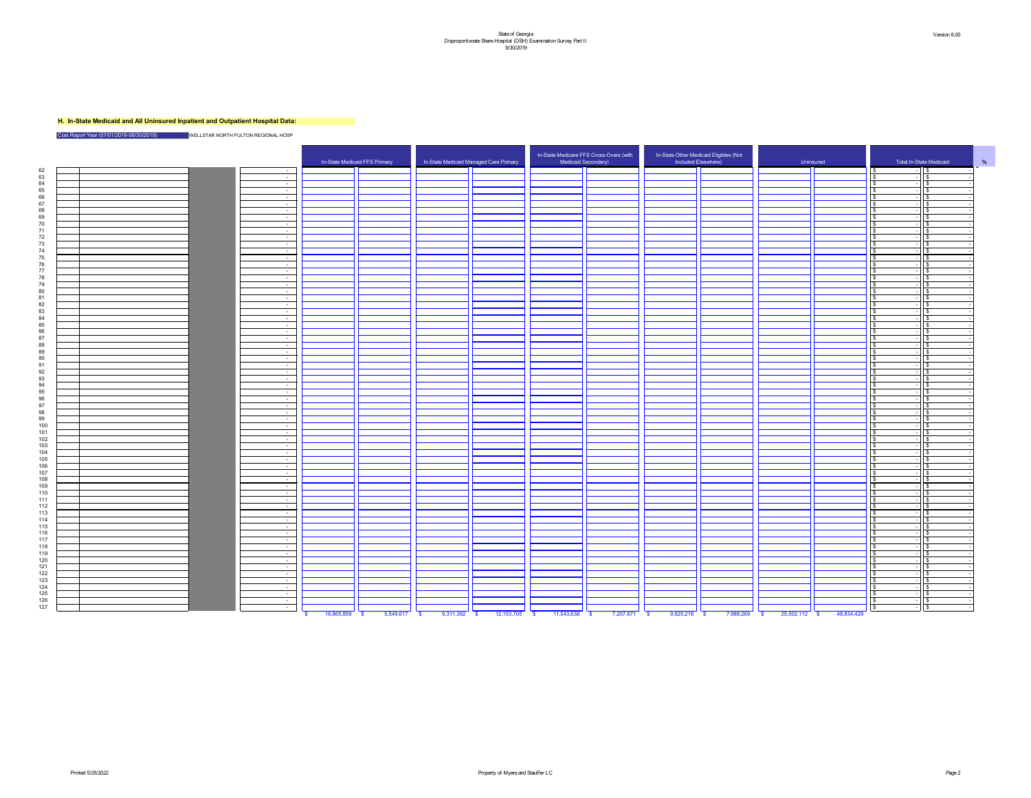# **H. In-State Medicaid and All Uninsured Inpatient and Outpatient Hospital Data:**

Cost Report Year (07/01/2018-06/30/2019) WELLSTAR NORTH FULTON REGIONAL HOSP

|  |                  |                                            | In-State Medicaid FFS Primary | In-State Medicaid Mana |                         |
|--|------------------|--------------------------------------------|-------------------------------|------------------------|-------------------------|
|  | $\sim$           |                                            |                               |                        |                         |
|  | $\sim$           |                                            |                               |                        |                         |
|  | $\sim$           |                                            |                               |                        |                         |
|  | $\blacksquare$   |                                            |                               |                        |                         |
|  | $\sim$           |                                            |                               |                        |                         |
|  | $\sim$<br>$\sim$ |                                            |                               |                        |                         |
|  | $\blacksquare$   |                                            |                               |                        |                         |
|  | $\blacksquare$   |                                            |                               |                        |                         |
|  | $\blacksquare$   |                                            |                               |                        |                         |
|  | $\blacksquare$   |                                            |                               |                        |                         |
|  | $\sim$           |                                            |                               |                        |                         |
|  | $\sim$           |                                            |                               |                        |                         |
|  | $\sim$           |                                            |                               |                        |                         |
|  | $\sim$           |                                            |                               |                        |                         |
|  | $\sim$           |                                            |                               |                        |                         |
|  | $\sim$           |                                            |                               |                        |                         |
|  | $\sim$           |                                            |                               |                        |                         |
|  | $\blacksquare$   |                                            |                               |                        |                         |
|  | $\sim$<br>$\sim$ |                                            |                               |                        |                         |
|  | $\sim$           |                                            |                               |                        |                         |
|  | $\sim$           |                                            |                               |                        |                         |
|  | $\sim$           |                                            |                               |                        |                         |
|  | $\sim$           |                                            |                               |                        |                         |
|  | $\sim$           |                                            |                               |                        |                         |
|  | $\sim$           |                                            |                               |                        |                         |
|  | $\sim$           |                                            |                               |                        |                         |
|  | $\sim$           |                                            |                               |                        |                         |
|  | $\sim$           |                                            |                               |                        |                         |
|  | $\sim$           |                                            |                               |                        |                         |
|  | $\sim$           |                                            |                               |                        |                         |
|  | $\sim$           |                                            |                               |                        |                         |
|  | $\sim$           |                                            |                               |                        |                         |
|  | $\sim$           |                                            |                               |                        |                         |
|  | $\sim$<br>$\sim$ |                                            |                               |                        |                         |
|  | $\sim$           |                                            |                               |                        |                         |
|  | $\sim$           |                                            |                               |                        |                         |
|  | $\sim$           |                                            |                               |                        |                         |
|  | $\sim$           |                                            |                               |                        |                         |
|  | $\sim$           |                                            |                               |                        |                         |
|  | $\sim$           |                                            |                               |                        |                         |
|  | $\sim$           |                                            |                               |                        |                         |
|  | $\sim$           |                                            |                               |                        |                         |
|  | $\sim$           |                                            |                               |                        |                         |
|  | $\sim$           |                                            |                               |                        |                         |
|  | $\sim$           |                                            |                               |                        |                         |
|  | $\sim$           |                                            |                               |                        |                         |
|  | $\sim$           |                                            |                               |                        |                         |
|  | $\sim$<br>$\sim$ |                                            |                               |                        |                         |
|  | $\sim$           |                                            |                               |                        |                         |
|  | $\sim$           |                                            |                               |                        |                         |
|  | $\sim$           |                                            |                               |                        |                         |
|  | $\sim$           |                                            |                               |                        |                         |
|  | $\sim$           |                                            |                               |                        |                         |
|  | $\sim$           |                                            |                               |                        |                         |
|  | $\sim$           |                                            |                               |                        |                         |
|  | $\sim$           |                                            |                               |                        |                         |
|  | $\sim$           |                                            |                               |                        |                         |
|  | $\sim$           |                                            |                               |                        |                         |
|  | $\sim$           |                                            |                               |                        |                         |
|  | $\sim$           |                                            |                               |                        |                         |
|  | $\sim$           |                                            |                               |                        |                         |
|  | $\sim$           | $16.865.859$ \$<br>$\overline{\mathbf{s}}$ | $5.549.617$ \$                | 9.311.392              | $\overline{\mathbf{s}}$ |



| In-State Medicaid FFS Primary<br>Total In-State Medicaid<br>In-State Medicaid Managed Care Primary<br>Medicaid Secondary)<br>Included Elsewhere)<br>Uninsured<br>$\sim 10^{-10}$<br>$\sim 10^{-11}$<br>$\sim$ $ \sim$<br>$\sim 100$<br>$\sim 100$ m $^{-1}$<br>$\sim 10^{-10}$<br>$\sim 10^{-11}$<br>$\sim 100$ m $^{-1}$<br>$\sim 100$<br>$\sim$ $ \sim$<br>$\sim$ $ \sim$<br>$\sim 10^{-1}$<br>74<br>$\sim 10^{-10}$<br>75<br>$\sim 100$<br>76<br>$\sim 100$<br>77<br>$\sim 100$<br>78<br>$\sim 100$<br>70<br>$\sim 100$<br>80<br>$\sim 100$<br>$\sim 100$<br>82<br>$\sim 10^{-10}$<br>83<br>$\sim$ $ \sim$<br>84<br>$\sim 10^{-10}$<br>85<br>$\sim$ $ \sim$<br>86.<br>$\sim 100$<br>$\sim 10^{-10}$<br>$\sim 10^{-11}$<br>$\sim 100$<br>$\sim 100$<br>$\sim 100$<br>92<br>$\sim 10^{-10}$<br>$\sim$ $ \sim$<br>$\sim 100$ m $^{-1}$<br>$\sim$ 100 $\sim$<br>$\sim$ $ \sim$<br>$\sim 100$ m $^{-1}$<br>$\sim 100$ m $^{-1}$<br>$\sim 100$ m $^{-1}$<br>$\sim 10^{-11}$<br>$\sim$ 100 $\mu$<br>$\sim 100$ m $^{-1}$<br>$\sim 100$ m $^{-1}$<br>$\sim 100$ m $^{-1}$<br>$\sim$ $ \sim$<br>$\sim$ $ \sim$<br>$\sim 100$ m $^{-1}$<br>$\sim 10^{-10}$<br>$\sim 10^{-10}$<br>$\sim 100$ m $^{-1}$<br>$\sim$ $ \sim$<br>$\sim 10^{-10}$<br>$\sim 10^{-10}$<br>115<br>$\sim$ $ \sim$<br>116<br>$\sim$ $ \sim$<br>117<br>$\sim$ $ \sim$<br>118<br>$\sim 1000$ m $^{-1}$<br>119<br>$\sim 100$ m $^{-1}$<br>120<br>$\sim 10^{-10}$<br>121<br>$\sim$ $ \sim$<br>122<br>$\sim 100$ m $^{-1}$<br>123<br>$\sim 100$ m $^{-1}$<br>124<br>$\sim 10^{-10}$<br>125<br>$\sim 100$ m $^{-1}$<br>126<br>$\sim$ $ \sim$<br>127<br>$\sim 10^{-10}$<br>5,549,617<br>12, 153, 705<br>9,925,216<br>25,502,112<br>48,834,429<br>16,865,859<br>9,311,392<br>11,543,638<br>7,207,671<br>7,988,269<br>- \$<br><b>S</b><br>- \$<br>- \$ |     |  |  | In-State Medicare FFS Cross-Overs (with | In-State Other Medicaid Eligibles (Not |  |
|------------------------------------------------------------------------------------------------------------------------------------------------------------------------------------------------------------------------------------------------------------------------------------------------------------------------------------------------------------------------------------------------------------------------------------------------------------------------------------------------------------------------------------------------------------------------------------------------------------------------------------------------------------------------------------------------------------------------------------------------------------------------------------------------------------------------------------------------------------------------------------------------------------------------------------------------------------------------------------------------------------------------------------------------------------------------------------------------------------------------------------------------------------------------------------------------------------------------------------------------------------------------------------------------------------------------------------------------------------------------------------------------------------------------------------------------------------------------------------------------------------------------------------------------------------------------------------------------------------------------------------------------------------------------------------------------------------------------------------------------------------------------------------------------------------|-----|--|--|-----------------------------------------|----------------------------------------|--|
|                                                                                                                                                                                                                                                                                                                                                                                                                                                                                                                                                                                                                                                                                                                                                                                                                                                                                                                                                                                                                                                                                                                                                                                                                                                                                                                                                                                                                                                                                                                                                                                                                                                                                                                                                                                                            |     |  |  |                                         |                                        |  |
|                                                                                                                                                                                                                                                                                                                                                                                                                                                                                                                                                                                                                                                                                                                                                                                                                                                                                                                                                                                                                                                                                                                                                                                                                                                                                                                                                                                                                                                                                                                                                                                                                                                                                                                                                                                                            | 62  |  |  |                                         |                                        |  |
|                                                                                                                                                                                                                                                                                                                                                                                                                                                                                                                                                                                                                                                                                                                                                                                                                                                                                                                                                                                                                                                                                                                                                                                                                                                                                                                                                                                                                                                                                                                                                                                                                                                                                                                                                                                                            | 63  |  |  |                                         |                                        |  |
|                                                                                                                                                                                                                                                                                                                                                                                                                                                                                                                                                                                                                                                                                                                                                                                                                                                                                                                                                                                                                                                                                                                                                                                                                                                                                                                                                                                                                                                                                                                                                                                                                                                                                                                                                                                                            | 64  |  |  |                                         |                                        |  |
|                                                                                                                                                                                                                                                                                                                                                                                                                                                                                                                                                                                                                                                                                                                                                                                                                                                                                                                                                                                                                                                                                                                                                                                                                                                                                                                                                                                                                                                                                                                                                                                                                                                                                                                                                                                                            | 65  |  |  |                                         |                                        |  |
|                                                                                                                                                                                                                                                                                                                                                                                                                                                                                                                                                                                                                                                                                                                                                                                                                                                                                                                                                                                                                                                                                                                                                                                                                                                                                                                                                                                                                                                                                                                                                                                                                                                                                                                                                                                                            | 66  |  |  |                                         |                                        |  |
|                                                                                                                                                                                                                                                                                                                                                                                                                                                                                                                                                                                                                                                                                                                                                                                                                                                                                                                                                                                                                                                                                                                                                                                                                                                                                                                                                                                                                                                                                                                                                                                                                                                                                                                                                                                                            | 67  |  |  |                                         |                                        |  |
|                                                                                                                                                                                                                                                                                                                                                                                                                                                                                                                                                                                                                                                                                                                                                                                                                                                                                                                                                                                                                                                                                                                                                                                                                                                                                                                                                                                                                                                                                                                                                                                                                                                                                                                                                                                                            | 68  |  |  |                                         |                                        |  |
|                                                                                                                                                                                                                                                                                                                                                                                                                                                                                                                                                                                                                                                                                                                                                                                                                                                                                                                                                                                                                                                                                                                                                                                                                                                                                                                                                                                                                                                                                                                                                                                                                                                                                                                                                                                                            | 69  |  |  |                                         |                                        |  |
|                                                                                                                                                                                                                                                                                                                                                                                                                                                                                                                                                                                                                                                                                                                                                                                                                                                                                                                                                                                                                                                                                                                                                                                                                                                                                                                                                                                                                                                                                                                                                                                                                                                                                                                                                                                                            | 70  |  |  |                                         |                                        |  |
|                                                                                                                                                                                                                                                                                                                                                                                                                                                                                                                                                                                                                                                                                                                                                                                                                                                                                                                                                                                                                                                                                                                                                                                                                                                                                                                                                                                                                                                                                                                                                                                                                                                                                                                                                                                                            | 71  |  |  |                                         |                                        |  |
|                                                                                                                                                                                                                                                                                                                                                                                                                                                                                                                                                                                                                                                                                                                                                                                                                                                                                                                                                                                                                                                                                                                                                                                                                                                                                                                                                                                                                                                                                                                                                                                                                                                                                                                                                                                                            | 72  |  |  |                                         |                                        |  |
|                                                                                                                                                                                                                                                                                                                                                                                                                                                                                                                                                                                                                                                                                                                                                                                                                                                                                                                                                                                                                                                                                                                                                                                                                                                                                                                                                                                                                                                                                                                                                                                                                                                                                                                                                                                                            | 73  |  |  |                                         |                                        |  |
|                                                                                                                                                                                                                                                                                                                                                                                                                                                                                                                                                                                                                                                                                                                                                                                                                                                                                                                                                                                                                                                                                                                                                                                                                                                                                                                                                                                                                                                                                                                                                                                                                                                                                                                                                                                                            |     |  |  |                                         |                                        |  |
|                                                                                                                                                                                                                                                                                                                                                                                                                                                                                                                                                                                                                                                                                                                                                                                                                                                                                                                                                                                                                                                                                                                                                                                                                                                                                                                                                                                                                                                                                                                                                                                                                                                                                                                                                                                                            |     |  |  |                                         |                                        |  |
|                                                                                                                                                                                                                                                                                                                                                                                                                                                                                                                                                                                                                                                                                                                                                                                                                                                                                                                                                                                                                                                                                                                                                                                                                                                                                                                                                                                                                                                                                                                                                                                                                                                                                                                                                                                                            |     |  |  |                                         |                                        |  |
|                                                                                                                                                                                                                                                                                                                                                                                                                                                                                                                                                                                                                                                                                                                                                                                                                                                                                                                                                                                                                                                                                                                                                                                                                                                                                                                                                                                                                                                                                                                                                                                                                                                                                                                                                                                                            |     |  |  |                                         |                                        |  |
|                                                                                                                                                                                                                                                                                                                                                                                                                                                                                                                                                                                                                                                                                                                                                                                                                                                                                                                                                                                                                                                                                                                                                                                                                                                                                                                                                                                                                                                                                                                                                                                                                                                                                                                                                                                                            |     |  |  |                                         |                                        |  |
|                                                                                                                                                                                                                                                                                                                                                                                                                                                                                                                                                                                                                                                                                                                                                                                                                                                                                                                                                                                                                                                                                                                                                                                                                                                                                                                                                                                                                                                                                                                                                                                                                                                                                                                                                                                                            |     |  |  |                                         |                                        |  |
|                                                                                                                                                                                                                                                                                                                                                                                                                                                                                                                                                                                                                                                                                                                                                                                                                                                                                                                                                                                                                                                                                                                                                                                                                                                                                                                                                                                                                                                                                                                                                                                                                                                                                                                                                                                                            |     |  |  |                                         |                                        |  |
|                                                                                                                                                                                                                                                                                                                                                                                                                                                                                                                                                                                                                                                                                                                                                                                                                                                                                                                                                                                                                                                                                                                                                                                                                                                                                                                                                                                                                                                                                                                                                                                                                                                                                                                                                                                                            |     |  |  |                                         |                                        |  |
|                                                                                                                                                                                                                                                                                                                                                                                                                                                                                                                                                                                                                                                                                                                                                                                                                                                                                                                                                                                                                                                                                                                                                                                                                                                                                                                                                                                                                                                                                                                                                                                                                                                                                                                                                                                                            |     |  |  |                                         |                                        |  |
|                                                                                                                                                                                                                                                                                                                                                                                                                                                                                                                                                                                                                                                                                                                                                                                                                                                                                                                                                                                                                                                                                                                                                                                                                                                                                                                                                                                                                                                                                                                                                                                                                                                                                                                                                                                                            |     |  |  |                                         |                                        |  |
|                                                                                                                                                                                                                                                                                                                                                                                                                                                                                                                                                                                                                                                                                                                                                                                                                                                                                                                                                                                                                                                                                                                                                                                                                                                                                                                                                                                                                                                                                                                                                                                                                                                                                                                                                                                                            |     |  |  |                                         |                                        |  |
|                                                                                                                                                                                                                                                                                                                                                                                                                                                                                                                                                                                                                                                                                                                                                                                                                                                                                                                                                                                                                                                                                                                                                                                                                                                                                                                                                                                                                                                                                                                                                                                                                                                                                                                                                                                                            |     |  |  |                                         |                                        |  |
|                                                                                                                                                                                                                                                                                                                                                                                                                                                                                                                                                                                                                                                                                                                                                                                                                                                                                                                                                                                                                                                                                                                                                                                                                                                                                                                                                                                                                                                                                                                                                                                                                                                                                                                                                                                                            | 97  |  |  |                                         |                                        |  |
|                                                                                                                                                                                                                                                                                                                                                                                                                                                                                                                                                                                                                                                                                                                                                                                                                                                                                                                                                                                                                                                                                                                                                                                                                                                                                                                                                                                                                                                                                                                                                                                                                                                                                                                                                                                                            | 88  |  |  |                                         |                                        |  |
|                                                                                                                                                                                                                                                                                                                                                                                                                                                                                                                                                                                                                                                                                                                                                                                                                                                                                                                                                                                                                                                                                                                                                                                                                                                                                                                                                                                                                                                                                                                                                                                                                                                                                                                                                                                                            | 89. |  |  |                                         |                                        |  |
|                                                                                                                                                                                                                                                                                                                                                                                                                                                                                                                                                                                                                                                                                                                                                                                                                                                                                                                                                                                                                                                                                                                                                                                                                                                                                                                                                                                                                                                                                                                                                                                                                                                                                                                                                                                                            | 90. |  |  |                                         |                                        |  |
|                                                                                                                                                                                                                                                                                                                                                                                                                                                                                                                                                                                                                                                                                                                                                                                                                                                                                                                                                                                                                                                                                                                                                                                                                                                                                                                                                                                                                                                                                                                                                                                                                                                                                                                                                                                                            | Q1  |  |  |                                         |                                        |  |
|                                                                                                                                                                                                                                                                                                                                                                                                                                                                                                                                                                                                                                                                                                                                                                                                                                                                                                                                                                                                                                                                                                                                                                                                                                                                                                                                                                                                                                                                                                                                                                                                                                                                                                                                                                                                            |     |  |  |                                         |                                        |  |
|                                                                                                                                                                                                                                                                                                                                                                                                                                                                                                                                                                                                                                                                                                                                                                                                                                                                                                                                                                                                                                                                                                                                                                                                                                                                                                                                                                                                                                                                                                                                                                                                                                                                                                                                                                                                            | 93  |  |  |                                         |                                        |  |
|                                                                                                                                                                                                                                                                                                                                                                                                                                                                                                                                                                                                                                                                                                                                                                                                                                                                                                                                                                                                                                                                                                                                                                                                                                                                                                                                                                                                                                                                                                                                                                                                                                                                                                                                                                                                            | Q⊿  |  |  |                                         |                                        |  |
|                                                                                                                                                                                                                                                                                                                                                                                                                                                                                                                                                                                                                                                                                                                                                                                                                                                                                                                                                                                                                                                                                                                                                                                                                                                                                                                                                                                                                                                                                                                                                                                                                                                                                                                                                                                                            | 95  |  |  |                                         |                                        |  |
|                                                                                                                                                                                                                                                                                                                                                                                                                                                                                                                                                                                                                                                                                                                                                                                                                                                                                                                                                                                                                                                                                                                                                                                                                                                                                                                                                                                                                                                                                                                                                                                                                                                                                                                                                                                                            | 96  |  |  |                                         |                                        |  |
|                                                                                                                                                                                                                                                                                                                                                                                                                                                                                                                                                                                                                                                                                                                                                                                                                                                                                                                                                                                                                                                                                                                                                                                                                                                                                                                                                                                                                                                                                                                                                                                                                                                                                                                                                                                                            | Q7  |  |  |                                         |                                        |  |
|                                                                                                                                                                                                                                                                                                                                                                                                                                                                                                                                                                                                                                                                                                                                                                                                                                                                                                                                                                                                                                                                                                                                                                                                                                                                                                                                                                                                                                                                                                                                                                                                                                                                                                                                                                                                            | 98  |  |  |                                         |                                        |  |
|                                                                                                                                                                                                                                                                                                                                                                                                                                                                                                                                                                                                                                                                                                                                                                                                                                                                                                                                                                                                                                                                                                                                                                                                                                                                                                                                                                                                                                                                                                                                                                                                                                                                                                                                                                                                            | 99  |  |  |                                         |                                        |  |
|                                                                                                                                                                                                                                                                                                                                                                                                                                                                                                                                                                                                                                                                                                                                                                                                                                                                                                                                                                                                                                                                                                                                                                                                                                                                                                                                                                                                                                                                                                                                                                                                                                                                                                                                                                                                            | 100 |  |  |                                         |                                        |  |
|                                                                                                                                                                                                                                                                                                                                                                                                                                                                                                                                                                                                                                                                                                                                                                                                                                                                                                                                                                                                                                                                                                                                                                                                                                                                                                                                                                                                                                                                                                                                                                                                                                                                                                                                                                                                            | 101 |  |  |                                         |                                        |  |
|                                                                                                                                                                                                                                                                                                                                                                                                                                                                                                                                                                                                                                                                                                                                                                                                                                                                                                                                                                                                                                                                                                                                                                                                                                                                                                                                                                                                                                                                                                                                                                                                                                                                                                                                                                                                            | 102 |  |  |                                         |                                        |  |
|                                                                                                                                                                                                                                                                                                                                                                                                                                                                                                                                                                                                                                                                                                                                                                                                                                                                                                                                                                                                                                                                                                                                                                                                                                                                                                                                                                                                                                                                                                                                                                                                                                                                                                                                                                                                            | 103 |  |  |                                         |                                        |  |
|                                                                                                                                                                                                                                                                                                                                                                                                                                                                                                                                                                                                                                                                                                                                                                                                                                                                                                                                                                                                                                                                                                                                                                                                                                                                                                                                                                                                                                                                                                                                                                                                                                                                                                                                                                                                            | 104 |  |  |                                         |                                        |  |
|                                                                                                                                                                                                                                                                                                                                                                                                                                                                                                                                                                                                                                                                                                                                                                                                                                                                                                                                                                                                                                                                                                                                                                                                                                                                                                                                                                                                                                                                                                                                                                                                                                                                                                                                                                                                            | 105 |  |  |                                         |                                        |  |
|                                                                                                                                                                                                                                                                                                                                                                                                                                                                                                                                                                                                                                                                                                                                                                                                                                                                                                                                                                                                                                                                                                                                                                                                                                                                                                                                                                                                                                                                                                                                                                                                                                                                                                                                                                                                            | 106 |  |  |                                         |                                        |  |
|                                                                                                                                                                                                                                                                                                                                                                                                                                                                                                                                                                                                                                                                                                                                                                                                                                                                                                                                                                                                                                                                                                                                                                                                                                                                                                                                                                                                                                                                                                                                                                                                                                                                                                                                                                                                            | 107 |  |  |                                         |                                        |  |
|                                                                                                                                                                                                                                                                                                                                                                                                                                                                                                                                                                                                                                                                                                                                                                                                                                                                                                                                                                                                                                                                                                                                                                                                                                                                                                                                                                                                                                                                                                                                                                                                                                                                                                                                                                                                            | 108 |  |  |                                         |                                        |  |
|                                                                                                                                                                                                                                                                                                                                                                                                                                                                                                                                                                                                                                                                                                                                                                                                                                                                                                                                                                                                                                                                                                                                                                                                                                                                                                                                                                                                                                                                                                                                                                                                                                                                                                                                                                                                            | 109 |  |  |                                         |                                        |  |
|                                                                                                                                                                                                                                                                                                                                                                                                                                                                                                                                                                                                                                                                                                                                                                                                                                                                                                                                                                                                                                                                                                                                                                                                                                                                                                                                                                                                                                                                                                                                                                                                                                                                                                                                                                                                            | 110 |  |  |                                         |                                        |  |
|                                                                                                                                                                                                                                                                                                                                                                                                                                                                                                                                                                                                                                                                                                                                                                                                                                                                                                                                                                                                                                                                                                                                                                                                                                                                                                                                                                                                                                                                                                                                                                                                                                                                                                                                                                                                            | 111 |  |  |                                         |                                        |  |
|                                                                                                                                                                                                                                                                                                                                                                                                                                                                                                                                                                                                                                                                                                                                                                                                                                                                                                                                                                                                                                                                                                                                                                                                                                                                                                                                                                                                                                                                                                                                                                                                                                                                                                                                                                                                            | 112 |  |  |                                         |                                        |  |
|                                                                                                                                                                                                                                                                                                                                                                                                                                                                                                                                                                                                                                                                                                                                                                                                                                                                                                                                                                                                                                                                                                                                                                                                                                                                                                                                                                                                                                                                                                                                                                                                                                                                                                                                                                                                            | 113 |  |  |                                         |                                        |  |
|                                                                                                                                                                                                                                                                                                                                                                                                                                                                                                                                                                                                                                                                                                                                                                                                                                                                                                                                                                                                                                                                                                                                                                                                                                                                                                                                                                                                                                                                                                                                                                                                                                                                                                                                                                                                            | 114 |  |  |                                         |                                        |  |
|                                                                                                                                                                                                                                                                                                                                                                                                                                                                                                                                                                                                                                                                                                                                                                                                                                                                                                                                                                                                                                                                                                                                                                                                                                                                                                                                                                                                                                                                                                                                                                                                                                                                                                                                                                                                            |     |  |  |                                         |                                        |  |
|                                                                                                                                                                                                                                                                                                                                                                                                                                                                                                                                                                                                                                                                                                                                                                                                                                                                                                                                                                                                                                                                                                                                                                                                                                                                                                                                                                                                                                                                                                                                                                                                                                                                                                                                                                                                            |     |  |  |                                         |                                        |  |
|                                                                                                                                                                                                                                                                                                                                                                                                                                                                                                                                                                                                                                                                                                                                                                                                                                                                                                                                                                                                                                                                                                                                                                                                                                                                                                                                                                                                                                                                                                                                                                                                                                                                                                                                                                                                            |     |  |  |                                         |                                        |  |
|                                                                                                                                                                                                                                                                                                                                                                                                                                                                                                                                                                                                                                                                                                                                                                                                                                                                                                                                                                                                                                                                                                                                                                                                                                                                                                                                                                                                                                                                                                                                                                                                                                                                                                                                                                                                            |     |  |  |                                         |                                        |  |
|                                                                                                                                                                                                                                                                                                                                                                                                                                                                                                                                                                                                                                                                                                                                                                                                                                                                                                                                                                                                                                                                                                                                                                                                                                                                                                                                                                                                                                                                                                                                                                                                                                                                                                                                                                                                            |     |  |  |                                         |                                        |  |
|                                                                                                                                                                                                                                                                                                                                                                                                                                                                                                                                                                                                                                                                                                                                                                                                                                                                                                                                                                                                                                                                                                                                                                                                                                                                                                                                                                                                                                                                                                                                                                                                                                                                                                                                                                                                            |     |  |  |                                         |                                        |  |
|                                                                                                                                                                                                                                                                                                                                                                                                                                                                                                                                                                                                                                                                                                                                                                                                                                                                                                                                                                                                                                                                                                                                                                                                                                                                                                                                                                                                                                                                                                                                                                                                                                                                                                                                                                                                            |     |  |  |                                         |                                        |  |
|                                                                                                                                                                                                                                                                                                                                                                                                                                                                                                                                                                                                                                                                                                                                                                                                                                                                                                                                                                                                                                                                                                                                                                                                                                                                                                                                                                                                                                                                                                                                                                                                                                                                                                                                                                                                            |     |  |  |                                         |                                        |  |
|                                                                                                                                                                                                                                                                                                                                                                                                                                                                                                                                                                                                                                                                                                                                                                                                                                                                                                                                                                                                                                                                                                                                                                                                                                                                                                                                                                                                                                                                                                                                                                                                                                                                                                                                                                                                            |     |  |  |                                         |                                        |  |
|                                                                                                                                                                                                                                                                                                                                                                                                                                                                                                                                                                                                                                                                                                                                                                                                                                                                                                                                                                                                                                                                                                                                                                                                                                                                                                                                                                                                                                                                                                                                                                                                                                                                                                                                                                                                            |     |  |  |                                         |                                        |  |
|                                                                                                                                                                                                                                                                                                                                                                                                                                                                                                                                                                                                                                                                                                                                                                                                                                                                                                                                                                                                                                                                                                                                                                                                                                                                                                                                                                                                                                                                                                                                                                                                                                                                                                                                                                                                            |     |  |  |                                         |                                        |  |
|                                                                                                                                                                                                                                                                                                                                                                                                                                                                                                                                                                                                                                                                                                                                                                                                                                                                                                                                                                                                                                                                                                                                                                                                                                                                                                                                                                                                                                                                                                                                                                                                                                                                                                                                                                                                            |     |  |  |                                         |                                        |  |
|                                                                                                                                                                                                                                                                                                                                                                                                                                                                                                                                                                                                                                                                                                                                                                                                                                                                                                                                                                                                                                                                                                                                                                                                                                                                                                                                                                                                                                                                                                                                                                                                                                                                                                                                                                                                            |     |  |  |                                         |                                        |  |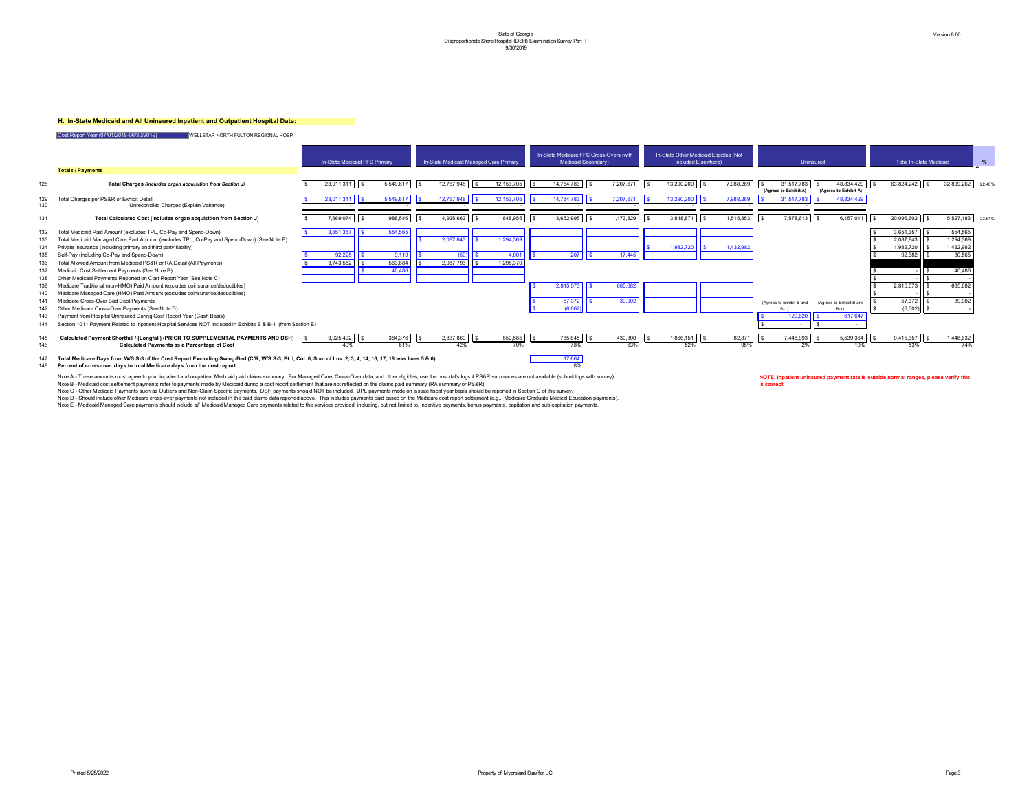#### **H. In-State Medicaid and All Uninsured Inpatient and Outpatient Hospital Data:**

Cost Report Year (07/01/2018-06/30/2019) WELLSTAR NORTH FULTON REGIONAL HOSP

147 Total Medicare Days from W/S S-3 of the Cost Report Excluding Swing-Bed (C/R, W/S S-3, Pt. I, Col. 6, Sum of Lns. 2, 3, 4, 14, 16, 17, 18 less lines 5 & 6) 17,664 148 **Percent of cross-over days to total Medicare days from the cost report** 8%

Note A - These amounts must agree to your inpatient and outpatient Medicaid paid claims summary. For Managed Care, Cross-Over data, and other eligibles, use the hospital's logs if PS&R summaries are not available (submit l Note B - Medicaid cost settlement payments refer to payments made by Medicaid during a cost report settlement that are not reflected on the claims paid summary (RA summary or PS&R). Note C - Other Medicaid Payments such as Outliers and Non-Claim Specific payments. DSH payments should NOT be included. UPL payments made on a state fiscal year basis should be reported in Section C of the survey. Note D - Should include other Medicare cross-over payments not included in the paid claims data reported above. This includes payments paid based on the Medicare cost report settlement (e.g., Medicare Graduate Medical Educ Note E - Medicaid Managed Care payments should include all Medicaid Managed Care payments related to the services provided, including, but not limited to, incentive payments, bonus payments, capitation and sub-capitation p



|            |                                                                                                                                                                                       | In-State Medicaid FFS Primary |                     |                          |                  | In-State Medicaid Managed Care Primary |                   |            |                    | In-State Medicare FFS Cross-Overs (with<br>Medicaid Secondary) |            |                 | In-State Other Medicaid Eligibles (Not<br>Included Elsewhere) |            |      |           |               | Uninsured                                             |  |                                     |
|------------|---------------------------------------------------------------------------------------------------------------------------------------------------------------------------------------|-------------------------------|---------------------|--------------------------|------------------|----------------------------------------|-------------------|------------|--------------------|----------------------------------------------------------------|------------|-----------------|---------------------------------------------------------------|------------|------|-----------|---------------|-------------------------------------------------------|--|-------------------------------------|
|            | <b>Totals / Payments</b>                                                                                                                                                              |                               |                     |                          |                  |                                        |                   |            |                    |                                                                |            |                 |                                                               |            |      |           |               |                                                       |  |                                     |
| 128        | Total Charges (includes organ acquisition from Section J)                                                                                                                             |                               | 23,011,311          | $\vert$ \$               | 5,549,617        | $\sqrt{3}$                             | $12,767,948$ \$   |            | 12,153,705         | $\sqrt{3}$                                                     | 14,754,783 | \$<br>7,207,671 | IS.                                                           |            |      | 7,988,269 | <b>IS</b>     | $31,517,783$   $\frac{8}{3}$<br>(Agrees to Exhibit A) |  | 48,834,429<br>(Agrees to Exhibit A) |
| 129<br>130 | Total Charges per PS&R or Exhibit Detail<br>Unreconciled Charges (Explain Variance)                                                                                                   |                               | 23,011,311          | $\overline{\phantom{a}}$ | 5,549,617        |                                        | 12,767,948        |            | 12,153,705         |                                                                | 14,754,783 | 7,207,671       |                                                               | 13,290,200 |      | 7,988,269 |               | 31,517,783                                            |  | 48,834,429                          |
| 131        | Total Calculated Cost (includes organ acquisition from Section J)                                                                                                                     |                               | 7,669,074           | $\sqrt{3}$               | 988,546          |                                        | 4,925,662         | $\sqrt{3}$ | 1,848,955          | $\vert$ \$                                                     | 3,652,995  | 1,173,829       |                                                               | 3,848,871  | l \$ | 1,515,853 | $\frac{1}{3}$ | $7,578,613$   \$                                      |  | 6,157,011                           |
| 132        | Total Medicaid Paid Amount (excludes TPL, Co-Pay and Spend-Down)                                                                                                                      |                               | 3,651,357           |                          | 554,565          |                                        |                   |            |                    |                                                                |            |                 |                                                               |            |      |           |               |                                                       |  |                                     |
| 133<br>134 | Total Medicaid Managed Care Paid Amount (excludes TPL, Co-Pay and Spend-Down) (See Note E)<br>Private Insurance (including primary and third party liability)                         |                               |                     |                          |                  |                                        | 2,087,843         |            | 1,294,369          |                                                                |            |                 |                                                               | 1,982,720  |      | 1,432,982 |               |                                                       |  |                                     |
| 135<br>136 | Self-Pay (including Co-Pay and Spend-Down)<br>Total Allowed Amount from Medicaid PS&R or RA Detail (All Payments)                                                                     |                               | 92,225<br>3,743,582 |                          | 9,119<br>563,684 |                                        | (50)<br>2,087,793 |            | 4,001<br>1,298,370 |                                                                | 207        | 17,445          |                                                               |            |      |           |               |                                                       |  |                                     |
| 137        | Medicaid Cost Settlement Payments (See Note B)                                                                                                                                        |                               |                     |                          | 40,486           |                                        |                   |            |                    |                                                                |            |                 |                                                               |            |      |           |               |                                                       |  |                                     |
| 138<br>139 | Other Medicaid Payments Reported on Cost Report Year (See Note C)<br>Medicare Traditional (non-HMO) Paid Amount (excludes coinsurance/deductibles)                                    |                               |                     |                          |                  |                                        |                   |            |                    |                                                                | 2,815,573  | 685,682         |                                                               |            |      |           |               |                                                       |  |                                     |
| 140<br>141 | Medicare Managed Care (HMO) Paid Amount (excludes coinsurance/deductibles)<br>Medicare Cross-Over Bad Debt Payments                                                                   |                               |                     |                          |                  |                                        |                   |            |                    |                                                                | 57,372     | 39,902          |                                                               |            |      |           |               | (Agrees to Exhibit B and                              |  |                                     |
| 142        | Other Medicare Cross-Over Payments (See Note D)                                                                                                                                       |                               |                     |                          |                  |                                        |                   |            |                    |                                                                | (6,002)    |                 |                                                               |            |      |           |               | B-1)                                                  |  | (Agrees to Exhibit B and<br>B-1)    |
| 143<br>144 | Payment from Hospital Uninsured During Cost Report Year (Cash Basis)<br>Section 1011 Payment Related to Inpatient Hospital Services NOT Included in Exhibits B & B-1 (from Section E) |                               |                     |                          |                  |                                        |                   |            |                    |                                                                |            |                 |                                                               |            |      |           |               | 129,620                                               |  | 617,647                             |

**NOTE: Inpatient uninsured payment rate is outside normal ranges, please verify this is correct.**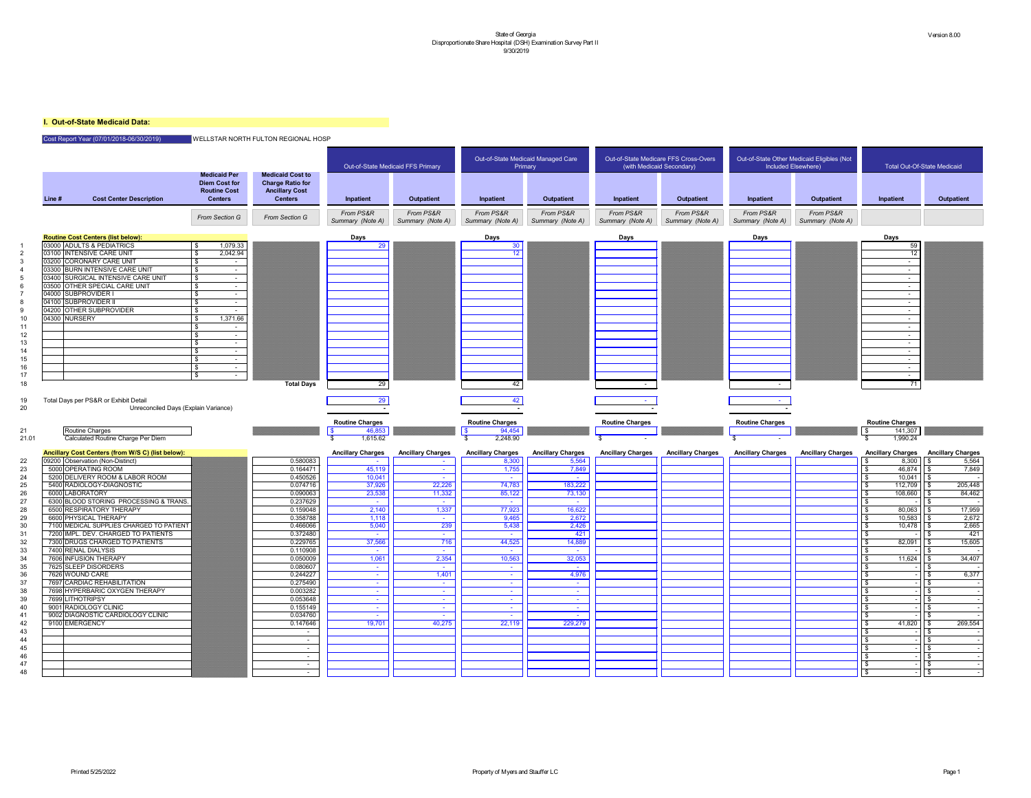# **I. Out-of-State Medicaid Data:**

# Cost Report Year (07/01/2018-06/30/2019) WELLSTAR NORTH FULTON REGIONAL HOSP

|                                              |        |                                                                        |                                                                                      |                                                                                               |                                              | Out-of-State Medicaid FFS Primary |                                                            | Out-of-State Medicaid Managed Care<br>Primary |                               | Out-of-State Medicare FFS Cross-Overs<br>(with Medicaid Secondary) |                               | Out-of-State Other Medicaid Eligibles (Not<br>Included Elsewhere) | <b>Total Out-Of-State Medicaid</b>            |                          |
|----------------------------------------------|--------|------------------------------------------------------------------------|--------------------------------------------------------------------------------------|-----------------------------------------------------------------------------------------------|----------------------------------------------|-----------------------------------|------------------------------------------------------------|-----------------------------------------------|-------------------------------|--------------------------------------------------------------------|-------------------------------|-------------------------------------------------------------------|-----------------------------------------------|--------------------------|
|                                              | Line # | <b>Cost Center Description</b>                                         | <b>Medicaid Per</b><br><b>Diem Cost for</b><br><b>Routine Cost</b><br><b>Centers</b> | <b>Medicaid Cost to</b><br><b>Charge Ratio for</b><br><b>Ancillary Cost</b><br><b>Centers</b> | Inpatient                                    | <b>Outpatient</b>                 | Inpatient                                                  | <b>Outpatient</b>                             | Inpatient                     | <b>Outpatient</b>                                                  | Inpatient                     | Outpatient                                                        | Inpatient                                     | <b>Outpatient</b>        |
|                                              |        |                                                                        | From Section G                                                                       | From Section G                                                                                | From PS&R<br>Summary (Note A)                | From PS&R<br>Summary (Note A)     | From PS&R<br>Summary (Note A)                              | From PS&R<br>Summary (Note A)                 | From PS&R<br>Summary (Note A) | From PS&R<br>Summary (Note A)                                      | From PS&R<br>Summary (Note A) | From PS&R<br>Summary (Note A)                                     |                                               |                          |
|                                              |        |                                                                        |                                                                                      |                                                                                               |                                              |                                   |                                                            |                                               |                               |                                                                    |                               |                                                                   |                                               |                          |
|                                              |        | <b>Routine Cost Centers (list below):</b><br>03000 ADULTS & PEDIATRICS | 1,079.33                                                                             |                                                                                               | Days<br>29                                   |                                   | Days<br>30                                                 |                                               | <b>Days</b>                   |                                                                    | <b>Days</b>                   |                                                                   | <b>Days</b><br>59                             |                          |
|                                              |        | 03100 INTENSIVE CARE UNIT                                              | 2,042.94                                                                             |                                                                                               |                                              |                                   | 12 <sup>°</sup>                                            |                                               |                               |                                                                    |                               |                                                                   | 12                                            |                          |
|                                              |        | 03200 CORONARY CARE UNIT                                               |                                                                                      |                                                                                               |                                              |                                   |                                                            |                                               |                               |                                                                    |                               |                                                                   | $\sim$                                        |                          |
|                                              |        | 03300 BURN INTENSIVE CARE UNIT                                         | \$.                                                                                  |                                                                                               |                                              |                                   |                                                            |                                               |                               |                                                                    |                               |                                                                   | $\sim$                                        |                          |
|                                              |        | 03400 SURGICAL INTENSIVE CARE UNIT                                     | \$                                                                                   |                                                                                               |                                              |                                   |                                                            |                                               |                               |                                                                    |                               |                                                                   | $\sim$                                        |                          |
|                                              |        | 03500 OTHER SPECIAL CARE UNIT                                          | $\mathcal{L}$<br>$\sim$                                                              |                                                                                               |                                              |                                   |                                                            |                                               |                               |                                                                    |                               |                                                                   | $\sim$                                        |                          |
|                                              |        | 04000 SUBPROVIDER I<br>04100 SUBPROVIDER II                            | $\sim$<br>$\sim$                                                                     |                                                                                               |                                              |                                   |                                                            |                                               |                               |                                                                    |                               |                                                                   | $\sim$<br>$\sim$                              |                          |
|                                              |        | 04200 OTHER SUBPROVIDER                                                |                                                                                      |                                                                                               |                                              |                                   |                                                            |                                               |                               |                                                                    |                               |                                                                   |                                               |                          |
|                                              |        | 04300 NURSERY                                                          | 1,371.66                                                                             |                                                                                               |                                              |                                   |                                                            |                                               |                               |                                                                    |                               |                                                                   | $\sim$                                        |                          |
|                                              |        |                                                                        | $\sim$                                                                               |                                                                                               |                                              |                                   |                                                            |                                               |                               |                                                                    |                               |                                                                   | $\sim$                                        |                          |
| 12                                           |        |                                                                        | $\sim$                                                                               |                                                                                               |                                              |                                   |                                                            |                                               |                               |                                                                    |                               |                                                                   | $\sim$                                        |                          |
| 13                                           |        |                                                                        | $\sim$                                                                               |                                                                                               |                                              |                                   |                                                            |                                               |                               |                                                                    |                               |                                                                   | $\sim$                                        |                          |
| 14                                           |        |                                                                        |                                                                                      |                                                                                               |                                              |                                   |                                                            |                                               |                               |                                                                    |                               |                                                                   | $\sim$                                        |                          |
| 15<br>16                                     |        |                                                                        |                                                                                      |                                                                                               |                                              |                                   |                                                            |                                               |                               |                                                                    |                               |                                                                   | $\sim$                                        |                          |
| 17                                           |        |                                                                        | \$.                                                                                  |                                                                                               |                                              |                                   |                                                            |                                               |                               |                                                                    |                               |                                                                   | $\sim$                                        |                          |
| 18                                           |        |                                                                        |                                                                                      | <b>Total Days</b>                                                                             | 29                                           |                                   | 42                                                         |                                               |                               |                                                                    |                               |                                                                   | 71                                            |                          |
|                                              |        |                                                                        | Unreconciled Days (Explain Variance)                                                 |                                                                                               |                                              |                                   |                                                            |                                               |                               |                                                                    |                               |                                                                   |                                               |                          |
|                                              |        | Routine Charges<br>Calculated Routine Charge Per Diem                  |                                                                                      |                                                                                               | <b>Routine Charges</b><br>46,853<br>1,615.62 |                                   | <b>Routine Charges</b><br>94,454<br>$\sqrt{3}$<br>2,248.90 |                                               | <b>Routine Charges</b>        |                                                                    | <b>Routine Charges</b>        |                                                                   | <b>Routine Charges</b><br>141,307<br>1,990.24 |                          |
| 21.01                                        |        |                                                                        |                                                                                      |                                                                                               |                                              |                                   |                                                            |                                               |                               |                                                                    |                               |                                                                   |                                               |                          |
|                                              |        | Ancillary Cost Centers (from W/S C) (list below):                      |                                                                                      |                                                                                               | <b>Ancillary Charges</b>                     | <b>Ancillary Charges</b>          | <b>Ancillary Charges</b>                                   | <b>Ancillary Charges</b>                      | <b>Ancillary Charges</b>      | <b>Ancillary Charges</b>                                           | <b>Ancillary Charges</b>      | <b>Ancillary Charges</b>                                          | <b>Ancillary Charges</b>                      | <b>Ancillary Charges</b> |
|                                              |        | 09200 Observation (Non-Distinct)<br>5000 OPERATING ROOM                |                                                                                      | 0.580083<br>0.164471                                                                          | 45,119                                       | $\sim$                            | 8,300<br>1,755                                             | 5,564<br>7,849                                |                               |                                                                    |                               |                                                                   | 8,300<br>46,874                               | 5,564<br>7,849           |
|                                              |        | 5200 DELIVERY ROOM & LABOR ROOM                                        |                                                                                      | 0.450526                                                                                      | 10,041                                       | <b>Contract</b>                   | $\sim$                                                     | $\sim$                                        |                               |                                                                    |                               |                                                                   | 10,041                                        |                          |
|                                              |        | 5400 RADIOLOGY-DIAGNOSTIC                                              |                                                                                      | 0.074716                                                                                      | 37,926                                       | 22,226                            | 74,783                                                     | 183,222                                       |                               |                                                                    |                               |                                                                   | 112,709                                       | 205,448                  |
|                                              |        | 6000 LABORATORY                                                        |                                                                                      | 0.090063                                                                                      | 23,538                                       | 11,332                            | 85,122                                                     | 73,130                                        |                               |                                                                    |                               |                                                                   | 108,660                                       | 84,462                   |
|                                              |        | 6300 BLOOD STORING PROCESSING & TRANS.                                 |                                                                                      | 0.237629                                                                                      | $\sim$                                       | $\sim$                            | $\sim$                                                     | <b>Contract</b>                               |                               |                                                                    |                               |                                                                   |                                               |                          |
|                                              |        | 6500 RESPIRATORY THERAPY                                               |                                                                                      | 0.159048                                                                                      | 2,140                                        | 1,337<br>$\sim$                   | 77,923                                                     | 16,622                                        |                               |                                                                    |                               |                                                                   | 80,063                                        | 17,959                   |
|                                              |        | 6600 PHYSICAL THERAPY<br>7100 MEDICAL SUPPLIES CHARGED TO PATIENT      |                                                                                      | 0.358788<br>0.466066                                                                          | 1,118<br>5,040                               | 239                               | 9,465<br>5,438                                             | 2,672<br>2,426                                |                               |                                                                    |                               |                                                                   | 10,583<br>10,478                              | 2,672                    |
|                                              |        | 7200 IMPL. DEV. CHARGED TO PATIENTS                                    |                                                                                      | 0.372480                                                                                      | $\sim$                                       | $\sim$                            |                                                            | 421                                           |                               |                                                                    |                               |                                                                   |                                               | $\frac{2,665}{421}$      |
|                                              |        | 7300 DRUGS CHARGED TO PATIENTS                                         |                                                                                      | 0.229765                                                                                      | 37,566                                       | 716                               | 44,525                                                     | 14,889                                        |                               |                                                                    |                               |                                                                   | 82,091                                        | 15,605                   |
|                                              |        | 7400 RENAL DIALYSIS                                                    |                                                                                      | 0.110908                                                                                      | $\sim$                                       | <b>Contract</b>                   |                                                            | $\sim$                                        |                               |                                                                    |                               |                                                                   |                                               |                          |
|                                              |        | 7606 INFUSION THERAPY                                                  |                                                                                      | 0.050009                                                                                      | 1,061                                        | 2,354                             | 10,563                                                     | 32,053                                        |                               |                                                                    |                               |                                                                   | 11,624                                        | 34,407                   |
|                                              |        | 7625 SLEEP DISORDERS                                                   |                                                                                      | 0.080607                                                                                      | $\sim$<br>$\sim$                             | $\sim$                            | $\sim$<br>$\sim$                                           | $\sim$ $-$                                    |                               |                                                                    |                               |                                                                   |                                               |                          |
|                                              |        | 7626 WOUND CARE<br>7697 CARDIAC REHABILITATION                         |                                                                                      | 0.244227<br>0.275490                                                                          |                                              | 1,401                             | $\sim$                                                     | 4,976<br>$\sim$                               |                               |                                                                    |                               |                                                                   |                                               | 6,377                    |
|                                              |        | 7698 HYPERBARIC OXYGEN THERAPY                                         |                                                                                      | 0.003282                                                                                      |                                              | $\sim$                            | $\sim$                                                     | $\sim$                                        |                               |                                                                    |                               |                                                                   |                                               |                          |
|                                              |        | 7699 LITHOTRIPSY                                                       |                                                                                      | 0.053648                                                                                      | $\sim$                                       | $\sim$                            | $\sim$                                                     | $\sim$                                        |                               |                                                                    |                               |                                                                   |                                               |                          |
|                                              |        | 9001 RADIOLOGY CLINIC                                                  |                                                                                      | 0.155149                                                                                      | $\sim$                                       | $\sim$                            | $\sim$                                                     | $\sim$                                        |                               |                                                                    |                               |                                                                   |                                               |                          |
|                                              |        | 9002 DIAGNOSTIC CARDIOLOGY CLINIC                                      |                                                                                      | 0.034760                                                                                      | $\sim$                                       |                                   |                                                            |                                               |                               |                                                                    |                               |                                                                   |                                               |                          |
|                                              |        | 9100 EMERGENCY                                                         |                                                                                      | 0.147646<br>$\sim$                                                                            | 19,701                                       | 40,275                            | 22,119                                                     | 229,279                                       |                               |                                                                    |                               |                                                                   | 41,820                                        | 269,554                  |
|                                              |        |                                                                        |                                                                                      | $\sim$                                                                                        |                                              |                                   |                                                            |                                               |                               |                                                                    |                               |                                                                   |                                               |                          |
|                                              |        |                                                                        |                                                                                      | $\sim$                                                                                        |                                              |                                   |                                                            |                                               |                               |                                                                    |                               |                                                                   |                                               |                          |
| 23<br>33<br>40<br>42<br>43<br>44<br>45<br>46 |        |                                                                        |                                                                                      | $\sim$                                                                                        |                                              |                                   |                                                            |                                               |                               |                                                                    |                               |                                                                   |                                               |                          |
|                                              |        |                                                                        |                                                                                      | $\sim$                                                                                        |                                              |                                   |                                                            |                                               |                               |                                                                    |                               |                                                                   |                                               |                          |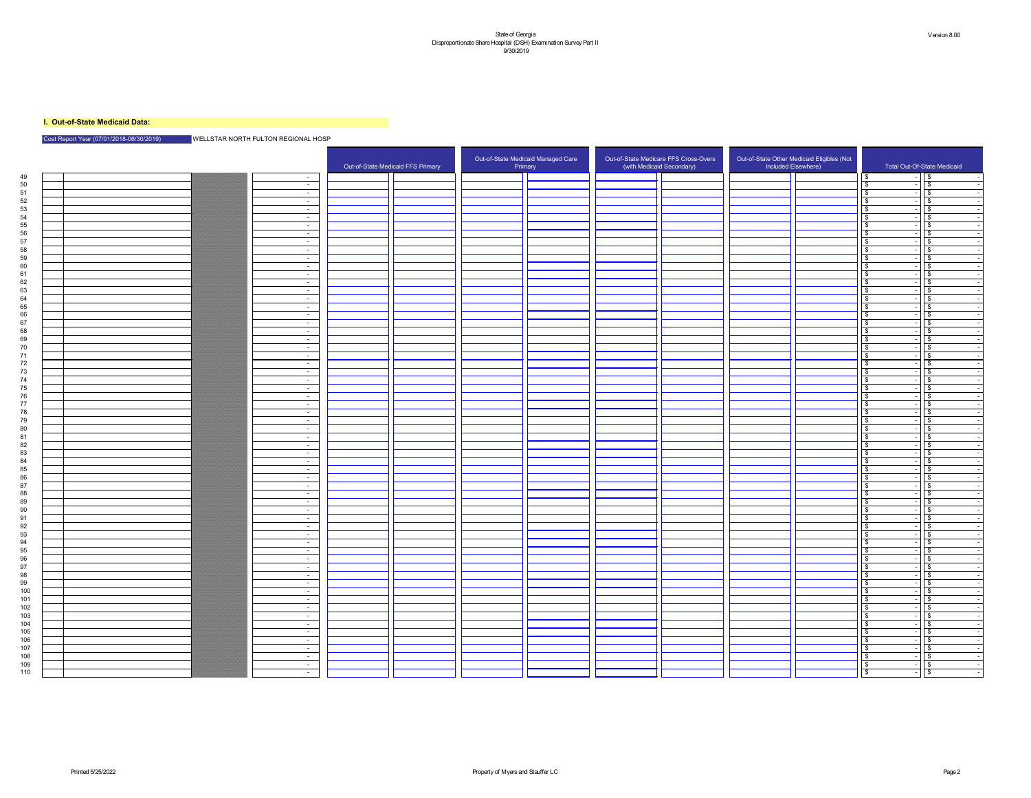# **I. Out-of-State Medicaid Data:**

# Cost Report Year (07/01/2018-06/30/2019) WELLSTAR NORTH FULTON REGIONAL HOSP

| 49<br>$\mathsf{I}$ $\mathsf{\$}$<br>l S.<br>$\sim$ $-$<br>$\sqrt{3}$<br>50<br>$\sim$ $-$<br>$\sqrt{3}$<br>51<br>$\sim$ $-$<br>$\sqrt{3}$<br>52<br>$\sim$ $-$<br>53<br>l \$<br>$\sim$ $-$<br>54<br>l \$<br>$\sim$ $-$<br>55<br>⊺\$<br>$\sim$ $-$<br>56<br>$\sqrt{3}$<br>$\sim$ $-$<br>57<br>$\sqrt{3}$<br>$\sim$ $-$<br>58<br>⊺\$<br>$\sim$ $-$<br>59<br>⊕<br>$\sim$<br>60<br>ြ \$<br>$\sim$ $-$<br>မ<br>$\sim$ $-$<br>62<br>$\sqrt{3}$<br>$\sim$<br>63<br>$\sqrt{3}$<br>$\sim$ $-$<br>64<br>l \$<br>$\sim$ 100 $\mu$<br>65<br>  \$<br>$\sim$ $-$<br>66<br>$\sqrt{3}$<br>$\sim$ $-$<br>67<br>$\sqrt{3}$<br>$\bullet$<br>$\sim$ $-$<br>$\overline{\mathbf{3}}$<br>68<br>$\sim$<br>$\sqrt{3}$<br>69<br>$\sim$ $-$<br>70<br>⊕<br>$\sim$ $-$<br>l \$<br>$\sim$<br>72<br>$\sqrt{3}$<br>$\sim$ $-$<br>73<br>⊺\$<br>$\sim$ $-$<br>$\sqrt{3}$<br>74<br>$\sim$ $-$<br>$\sqrt{s}$<br>75<br>$\sim$ $-$<br>76<br>$\sqrt{3}$<br>$\sim$ $-$<br>77<br>$\overline{\mathbf{3}}$<br>$\sim$ $-$<br>78<br>l \$<br>$\sim$ $-$<br>79<br>$\sqrt{3}$<br>$\sim$ $-$<br>ΩΩ<br>$\mathbf{C}$<br>\$<br>$\sqrt{5}$<br>81<br>$\sim$ 100 $\mu$<br>$\sqrt{5}$<br>82<br>$\sim$ $-$<br>83<br>  \$<br>$\sim 10^{-10}$<br>$\sqrt{5}$<br>84<br>\$<br>$\sim$ $-$<br>$1\sqrt{3}$<br>85<br>$\bullet$<br>$\sim$ $-$<br>$\sqrt{5}$<br>86<br>$\sim$ $-$<br>$1\sqrt{2}$<br>87<br>\$<br>$\sim 100$<br>$\sqrt{5}$<br>88<br>$\sim$ $ \sim$<br>___<br>$\sqrt{3}$<br>89<br>\$<br>$\sim$ $-$<br>$\sqrt{3}$<br>90<br>- \$<br>$\sim 10^{-11}$<br>$\sqrt{5}$<br>$\bullet$<br>$\sim 10^{-11}$<br>  \$<br>92<br>$\sim 10$<br>T   \$<br>93<br>\$<br>$\sim$ $-$<br>1   \$<br>94<br>$\sim$ $-$<br>$\sqrt{5}$<br>95<br>$\sim 10^{-10}$<br>96<br>$\sqrt{3}$<br>$\sim$ $-$<br>$\sqrt{5}$<br>97<br>$\sim$ $-$<br>$\sqrt{3}$<br>98<br>\$<br>$\sim$ $-$<br>99<br>  \$<br>$\sim$ $-$<br>$-15$<br>100<br>$\bullet$<br>$\sim$ $-$<br>101<br>$\sim 10^{-10}$<br>102<br>$\sqrt{5}$<br>- \$<br>$\sim$ $-$<br>1   s<br>103<br>$\sim$ $-$<br>$\sqrt{5}$<br>104<br>$\sim 10^{-10}$<br>1   \$<br>105 |     |  |  | Out-of-State Medicaid FFS Primary | Out-of-State Medicaid Managed Care<br>Primary |  | Out-of-State Medicare FFS Cross-Overs<br>(with Medicaid Secondary) | Out-of-State Other Medicaid Eligibles (Not<br>Included Elsewhere) | Total Out-Of-State Medicaid |
|--------------------------------------------------------------------------------------------------------------------------------------------------------------------------------------------------------------------------------------------------------------------------------------------------------------------------------------------------------------------------------------------------------------------------------------------------------------------------------------------------------------------------------------------------------------------------------------------------------------------------------------------------------------------------------------------------------------------------------------------------------------------------------------------------------------------------------------------------------------------------------------------------------------------------------------------------------------------------------------------------------------------------------------------------------------------------------------------------------------------------------------------------------------------------------------------------------------------------------------------------------------------------------------------------------------------------------------------------------------------------------------------------------------------------------------------------------------------------------------------------------------------------------------------------------------------------------------------------------------------------------------------------------------------------------------------------------------------------------------------------------------------------------------------------------------------------------------------------------------------------------------------------------------------------------------------------------------------------------------------------------------------------|-----|--|--|-----------------------------------|-----------------------------------------------|--|--------------------------------------------------------------------|-------------------------------------------------------------------|-----------------------------|
|                                                                                                                                                                                                                                                                                                                                                                                                                                                                                                                                                                                                                                                                                                                                                                                                                                                                                                                                                                                                                                                                                                                                                                                                                                                                                                                                                                                                                                                                                                                                                                                                                                                                                                                                                                                                                                                                                                                                                                                                                          |     |  |  |                                   |                                               |  |                                                                    |                                                                   |                             |
|                                                                                                                                                                                                                                                                                                                                                                                                                                                                                                                                                                                                                                                                                                                                                                                                                                                                                                                                                                                                                                                                                                                                                                                                                                                                                                                                                                                                                                                                                                                                                                                                                                                                                                                                                                                                                                                                                                                                                                                                                          |     |  |  |                                   |                                               |  |                                                                    |                                                                   |                             |
|                                                                                                                                                                                                                                                                                                                                                                                                                                                                                                                                                                                                                                                                                                                                                                                                                                                                                                                                                                                                                                                                                                                                                                                                                                                                                                                                                                                                                                                                                                                                                                                                                                                                                                                                                                                                                                                                                                                                                                                                                          |     |  |  |                                   |                                               |  |                                                                    |                                                                   |                             |
|                                                                                                                                                                                                                                                                                                                                                                                                                                                                                                                                                                                                                                                                                                                                                                                                                                                                                                                                                                                                                                                                                                                                                                                                                                                                                                                                                                                                                                                                                                                                                                                                                                                                                                                                                                                                                                                                                                                                                                                                                          |     |  |  |                                   |                                               |  |                                                                    |                                                                   |                             |
|                                                                                                                                                                                                                                                                                                                                                                                                                                                                                                                                                                                                                                                                                                                                                                                                                                                                                                                                                                                                                                                                                                                                                                                                                                                                                                                                                                                                                                                                                                                                                                                                                                                                                                                                                                                                                                                                                                                                                                                                                          |     |  |  |                                   |                                               |  |                                                                    |                                                                   |                             |
|                                                                                                                                                                                                                                                                                                                                                                                                                                                                                                                                                                                                                                                                                                                                                                                                                                                                                                                                                                                                                                                                                                                                                                                                                                                                                                                                                                                                                                                                                                                                                                                                                                                                                                                                                                                                                                                                                                                                                                                                                          |     |  |  |                                   |                                               |  |                                                                    |                                                                   |                             |
|                                                                                                                                                                                                                                                                                                                                                                                                                                                                                                                                                                                                                                                                                                                                                                                                                                                                                                                                                                                                                                                                                                                                                                                                                                                                                                                                                                                                                                                                                                                                                                                                                                                                                                                                                                                                                                                                                                                                                                                                                          |     |  |  |                                   |                                               |  |                                                                    |                                                                   |                             |
|                                                                                                                                                                                                                                                                                                                                                                                                                                                                                                                                                                                                                                                                                                                                                                                                                                                                                                                                                                                                                                                                                                                                                                                                                                                                                                                                                                                                                                                                                                                                                                                                                                                                                                                                                                                                                                                                                                                                                                                                                          |     |  |  |                                   |                                               |  |                                                                    |                                                                   |                             |
|                                                                                                                                                                                                                                                                                                                                                                                                                                                                                                                                                                                                                                                                                                                                                                                                                                                                                                                                                                                                                                                                                                                                                                                                                                                                                                                                                                                                                                                                                                                                                                                                                                                                                                                                                                                                                                                                                                                                                                                                                          |     |  |  |                                   |                                               |  |                                                                    |                                                                   |                             |
|                                                                                                                                                                                                                                                                                                                                                                                                                                                                                                                                                                                                                                                                                                                                                                                                                                                                                                                                                                                                                                                                                                                                                                                                                                                                                                                                                                                                                                                                                                                                                                                                                                                                                                                                                                                                                                                                                                                                                                                                                          |     |  |  |                                   |                                               |  |                                                                    |                                                                   |                             |
|                                                                                                                                                                                                                                                                                                                                                                                                                                                                                                                                                                                                                                                                                                                                                                                                                                                                                                                                                                                                                                                                                                                                                                                                                                                                                                                                                                                                                                                                                                                                                                                                                                                                                                                                                                                                                                                                                                                                                                                                                          |     |  |  |                                   |                                               |  |                                                                    |                                                                   |                             |
|                                                                                                                                                                                                                                                                                                                                                                                                                                                                                                                                                                                                                                                                                                                                                                                                                                                                                                                                                                                                                                                                                                                                                                                                                                                                                                                                                                                                                                                                                                                                                                                                                                                                                                                                                                                                                                                                                                                                                                                                                          |     |  |  |                                   |                                               |  |                                                                    |                                                                   |                             |
|                                                                                                                                                                                                                                                                                                                                                                                                                                                                                                                                                                                                                                                                                                                                                                                                                                                                                                                                                                                                                                                                                                                                                                                                                                                                                                                                                                                                                                                                                                                                                                                                                                                                                                                                                                                                                                                                                                                                                                                                                          |     |  |  |                                   |                                               |  |                                                                    |                                                                   |                             |
|                                                                                                                                                                                                                                                                                                                                                                                                                                                                                                                                                                                                                                                                                                                                                                                                                                                                                                                                                                                                                                                                                                                                                                                                                                                                                                                                                                                                                                                                                                                                                                                                                                                                                                                                                                                                                                                                                                                                                                                                                          |     |  |  |                                   |                                               |  |                                                                    |                                                                   |                             |
|                                                                                                                                                                                                                                                                                                                                                                                                                                                                                                                                                                                                                                                                                                                                                                                                                                                                                                                                                                                                                                                                                                                                                                                                                                                                                                                                                                                                                                                                                                                                                                                                                                                                                                                                                                                                                                                                                                                                                                                                                          |     |  |  |                                   |                                               |  |                                                                    |                                                                   |                             |
|                                                                                                                                                                                                                                                                                                                                                                                                                                                                                                                                                                                                                                                                                                                                                                                                                                                                                                                                                                                                                                                                                                                                                                                                                                                                                                                                                                                                                                                                                                                                                                                                                                                                                                                                                                                                                                                                                                                                                                                                                          |     |  |  |                                   |                                               |  |                                                                    |                                                                   |                             |
|                                                                                                                                                                                                                                                                                                                                                                                                                                                                                                                                                                                                                                                                                                                                                                                                                                                                                                                                                                                                                                                                                                                                                                                                                                                                                                                                                                                                                                                                                                                                                                                                                                                                                                                                                                                                                                                                                                                                                                                                                          |     |  |  |                                   |                                               |  |                                                                    |                                                                   |                             |
|                                                                                                                                                                                                                                                                                                                                                                                                                                                                                                                                                                                                                                                                                                                                                                                                                                                                                                                                                                                                                                                                                                                                                                                                                                                                                                                                                                                                                                                                                                                                                                                                                                                                                                                                                                                                                                                                                                                                                                                                                          |     |  |  |                                   |                                               |  |                                                                    |                                                                   |                             |
|                                                                                                                                                                                                                                                                                                                                                                                                                                                                                                                                                                                                                                                                                                                                                                                                                                                                                                                                                                                                                                                                                                                                                                                                                                                                                                                                                                                                                                                                                                                                                                                                                                                                                                                                                                                                                                                                                                                                                                                                                          |     |  |  |                                   |                                               |  |                                                                    |                                                                   |                             |
|                                                                                                                                                                                                                                                                                                                                                                                                                                                                                                                                                                                                                                                                                                                                                                                                                                                                                                                                                                                                                                                                                                                                                                                                                                                                                                                                                                                                                                                                                                                                                                                                                                                                                                                                                                                                                                                                                                                                                                                                                          |     |  |  |                                   |                                               |  |                                                                    |                                                                   |                             |
|                                                                                                                                                                                                                                                                                                                                                                                                                                                                                                                                                                                                                                                                                                                                                                                                                                                                                                                                                                                                                                                                                                                                                                                                                                                                                                                                                                                                                                                                                                                                                                                                                                                                                                                                                                                                                                                                                                                                                                                                                          |     |  |  |                                   |                                               |  |                                                                    |                                                                   |                             |
|                                                                                                                                                                                                                                                                                                                                                                                                                                                                                                                                                                                                                                                                                                                                                                                                                                                                                                                                                                                                                                                                                                                                                                                                                                                                                                                                                                                                                                                                                                                                                                                                                                                                                                                                                                                                                                                                                                                                                                                                                          |     |  |  |                                   |                                               |  |                                                                    |                                                                   |                             |
|                                                                                                                                                                                                                                                                                                                                                                                                                                                                                                                                                                                                                                                                                                                                                                                                                                                                                                                                                                                                                                                                                                                                                                                                                                                                                                                                                                                                                                                                                                                                                                                                                                                                                                                                                                                                                                                                                                                                                                                                                          |     |  |  |                                   |                                               |  |                                                                    |                                                                   |                             |
|                                                                                                                                                                                                                                                                                                                                                                                                                                                                                                                                                                                                                                                                                                                                                                                                                                                                                                                                                                                                                                                                                                                                                                                                                                                                                                                                                                                                                                                                                                                                                                                                                                                                                                                                                                                                                                                                                                                                                                                                                          |     |  |  |                                   |                                               |  |                                                                    |                                                                   |                             |
|                                                                                                                                                                                                                                                                                                                                                                                                                                                                                                                                                                                                                                                                                                                                                                                                                                                                                                                                                                                                                                                                                                                                                                                                                                                                                                                                                                                                                                                                                                                                                                                                                                                                                                                                                                                                                                                                                                                                                                                                                          |     |  |  |                                   |                                               |  |                                                                    |                                                                   |                             |
|                                                                                                                                                                                                                                                                                                                                                                                                                                                                                                                                                                                                                                                                                                                                                                                                                                                                                                                                                                                                                                                                                                                                                                                                                                                                                                                                                                                                                                                                                                                                                                                                                                                                                                                                                                                                                                                                                                                                                                                                                          |     |  |  |                                   |                                               |  |                                                                    |                                                                   |                             |
|                                                                                                                                                                                                                                                                                                                                                                                                                                                                                                                                                                                                                                                                                                                                                                                                                                                                                                                                                                                                                                                                                                                                                                                                                                                                                                                                                                                                                                                                                                                                                                                                                                                                                                                                                                                                                                                                                                                                                                                                                          |     |  |  |                                   |                                               |  |                                                                    |                                                                   |                             |
|                                                                                                                                                                                                                                                                                                                                                                                                                                                                                                                                                                                                                                                                                                                                                                                                                                                                                                                                                                                                                                                                                                                                                                                                                                                                                                                                                                                                                                                                                                                                                                                                                                                                                                                                                                                                                                                                                                                                                                                                                          |     |  |  |                                   |                                               |  |                                                                    |                                                                   |                             |
|                                                                                                                                                                                                                                                                                                                                                                                                                                                                                                                                                                                                                                                                                                                                                                                                                                                                                                                                                                                                                                                                                                                                                                                                                                                                                                                                                                                                                                                                                                                                                                                                                                                                                                                                                                                                                                                                                                                                                                                                                          |     |  |  |                                   |                                               |  |                                                                    |                                                                   |                             |
|                                                                                                                                                                                                                                                                                                                                                                                                                                                                                                                                                                                                                                                                                                                                                                                                                                                                                                                                                                                                                                                                                                                                                                                                                                                                                                                                                                                                                                                                                                                                                                                                                                                                                                                                                                                                                                                                                                                                                                                                                          |     |  |  |                                   |                                               |  |                                                                    |                                                                   |                             |
|                                                                                                                                                                                                                                                                                                                                                                                                                                                                                                                                                                                                                                                                                                                                                                                                                                                                                                                                                                                                                                                                                                                                                                                                                                                                                                                                                                                                                                                                                                                                                                                                                                                                                                                                                                                                                                                                                                                                                                                                                          |     |  |  |                                   |                                               |  |                                                                    |                                                                   |                             |
|                                                                                                                                                                                                                                                                                                                                                                                                                                                                                                                                                                                                                                                                                                                                                                                                                                                                                                                                                                                                                                                                                                                                                                                                                                                                                                                                                                                                                                                                                                                                                                                                                                                                                                                                                                                                                                                                                                                                                                                                                          |     |  |  |                                   |                                               |  |                                                                    |                                                                   |                             |
|                                                                                                                                                                                                                                                                                                                                                                                                                                                                                                                                                                                                                                                                                                                                                                                                                                                                                                                                                                                                                                                                                                                                                                                                                                                                                                                                                                                                                                                                                                                                                                                                                                                                                                                                                                                                                                                                                                                                                                                                                          |     |  |  |                                   |                                               |  |                                                                    |                                                                   |                             |
|                                                                                                                                                                                                                                                                                                                                                                                                                                                                                                                                                                                                                                                                                                                                                                                                                                                                                                                                                                                                                                                                                                                                                                                                                                                                                                                                                                                                                                                                                                                                                                                                                                                                                                                                                                                                                                                                                                                                                                                                                          |     |  |  |                                   |                                               |  |                                                                    |                                                                   |                             |
|                                                                                                                                                                                                                                                                                                                                                                                                                                                                                                                                                                                                                                                                                                                                                                                                                                                                                                                                                                                                                                                                                                                                                                                                                                                                                                                                                                                                                                                                                                                                                                                                                                                                                                                                                                                                                                                                                                                                                                                                                          |     |  |  |                                   |                                               |  |                                                                    |                                                                   |                             |
|                                                                                                                                                                                                                                                                                                                                                                                                                                                                                                                                                                                                                                                                                                                                                                                                                                                                                                                                                                                                                                                                                                                                                                                                                                                                                                                                                                                                                                                                                                                                                                                                                                                                                                                                                                                                                                                                                                                                                                                                                          |     |  |  |                                   |                                               |  |                                                                    |                                                                   |                             |
|                                                                                                                                                                                                                                                                                                                                                                                                                                                                                                                                                                                                                                                                                                                                                                                                                                                                                                                                                                                                                                                                                                                                                                                                                                                                                                                                                                                                                                                                                                                                                                                                                                                                                                                                                                                                                                                                                                                                                                                                                          |     |  |  |                                   |                                               |  |                                                                    |                                                                   |                             |
|                                                                                                                                                                                                                                                                                                                                                                                                                                                                                                                                                                                                                                                                                                                                                                                                                                                                                                                                                                                                                                                                                                                                                                                                                                                                                                                                                                                                                                                                                                                                                                                                                                                                                                                                                                                                                                                                                                                                                                                                                          |     |  |  |                                   |                                               |  |                                                                    |                                                                   |                             |
|                                                                                                                                                                                                                                                                                                                                                                                                                                                                                                                                                                                                                                                                                                                                                                                                                                                                                                                                                                                                                                                                                                                                                                                                                                                                                                                                                                                                                                                                                                                                                                                                                                                                                                                                                                                                                                                                                                                                                                                                                          |     |  |  |                                   |                                               |  |                                                                    |                                                                   |                             |
|                                                                                                                                                                                                                                                                                                                                                                                                                                                                                                                                                                                                                                                                                                                                                                                                                                                                                                                                                                                                                                                                                                                                                                                                                                                                                                                                                                                                                                                                                                                                                                                                                                                                                                                                                                                                                                                                                                                                                                                                                          |     |  |  |                                   |                                               |  |                                                                    |                                                                   |                             |
|                                                                                                                                                                                                                                                                                                                                                                                                                                                                                                                                                                                                                                                                                                                                                                                                                                                                                                                                                                                                                                                                                                                                                                                                                                                                                                                                                                                                                                                                                                                                                                                                                                                                                                                                                                                                                                                                                                                                                                                                                          |     |  |  |                                   |                                               |  |                                                                    |                                                                   |                             |
|                                                                                                                                                                                                                                                                                                                                                                                                                                                                                                                                                                                                                                                                                                                                                                                                                                                                                                                                                                                                                                                                                                                                                                                                                                                                                                                                                                                                                                                                                                                                                                                                                                                                                                                                                                                                                                                                                                                                                                                                                          |     |  |  |                                   |                                               |  |                                                                    |                                                                   |                             |
|                                                                                                                                                                                                                                                                                                                                                                                                                                                                                                                                                                                                                                                                                                                                                                                                                                                                                                                                                                                                                                                                                                                                                                                                                                                                                                                                                                                                                                                                                                                                                                                                                                                                                                                                                                                                                                                                                                                                                                                                                          |     |  |  |                                   |                                               |  |                                                                    |                                                                   |                             |
|                                                                                                                                                                                                                                                                                                                                                                                                                                                                                                                                                                                                                                                                                                                                                                                                                                                                                                                                                                                                                                                                                                                                                                                                                                                                                                                                                                                                                                                                                                                                                                                                                                                                                                                                                                                                                                                                                                                                                                                                                          |     |  |  |                                   |                                               |  |                                                                    |                                                                   |                             |
|                                                                                                                                                                                                                                                                                                                                                                                                                                                                                                                                                                                                                                                                                                                                                                                                                                                                                                                                                                                                                                                                                                                                                                                                                                                                                                                                                                                                                                                                                                                                                                                                                                                                                                                                                                                                                                                                                                                                                                                                                          |     |  |  |                                   |                                               |  |                                                                    |                                                                   |                             |
|                                                                                                                                                                                                                                                                                                                                                                                                                                                                                                                                                                                                                                                                                                                                                                                                                                                                                                                                                                                                                                                                                                                                                                                                                                                                                                                                                                                                                                                                                                                                                                                                                                                                                                                                                                                                                                                                                                                                                                                                                          |     |  |  |                                   |                                               |  |                                                                    |                                                                   |                             |
|                                                                                                                                                                                                                                                                                                                                                                                                                                                                                                                                                                                                                                                                                                                                                                                                                                                                                                                                                                                                                                                                                                                                                                                                                                                                                                                                                                                                                                                                                                                                                                                                                                                                                                                                                                                                                                                                                                                                                                                                                          |     |  |  |                                   |                                               |  |                                                                    |                                                                   |                             |
|                                                                                                                                                                                                                                                                                                                                                                                                                                                                                                                                                                                                                                                                                                                                                                                                                                                                                                                                                                                                                                                                                                                                                                                                                                                                                                                                                                                                                                                                                                                                                                                                                                                                                                                                                                                                                                                                                                                                                                                                                          |     |  |  |                                   |                                               |  |                                                                    |                                                                   |                             |
|                                                                                                                                                                                                                                                                                                                                                                                                                                                                                                                                                                                                                                                                                                                                                                                                                                                                                                                                                                                                                                                                                                                                                                                                                                                                                                                                                                                                                                                                                                                                                                                                                                                                                                                                                                                                                                                                                                                                                                                                                          |     |  |  |                                   |                                               |  |                                                                    |                                                                   |                             |
|                                                                                                                                                                                                                                                                                                                                                                                                                                                                                                                                                                                                                                                                                                                                                                                                                                                                                                                                                                                                                                                                                                                                                                                                                                                                                                                                                                                                                                                                                                                                                                                                                                                                                                                                                                                                                                                                                                                                                                                                                          |     |  |  |                                   |                                               |  |                                                                    |                                                                   |                             |
|                                                                                                                                                                                                                                                                                                                                                                                                                                                                                                                                                                                                                                                                                                                                                                                                                                                                                                                                                                                                                                                                                                                                                                                                                                                                                                                                                                                                                                                                                                                                                                                                                                                                                                                                                                                                                                                                                                                                                                                                                          |     |  |  |                                   |                                               |  |                                                                    |                                                                   |                             |
|                                                                                                                                                                                                                                                                                                                                                                                                                                                                                                                                                                                                                                                                                                                                                                                                                                                                                                                                                                                                                                                                                                                                                                                                                                                                                                                                                                                                                                                                                                                                                                                                                                                                                                                                                                                                                                                                                                                                                                                                                          |     |  |  |                                   |                                               |  |                                                                    |                                                                   |                             |
|                                                                                                                                                                                                                                                                                                                                                                                                                                                                                                                                                                                                                                                                                                                                                                                                                                                                                                                                                                                                                                                                                                                                                                                                                                                                                                                                                                                                                                                                                                                                                                                                                                                                                                                                                                                                                                                                                                                                                                                                                          |     |  |  |                                   |                                               |  |                                                                    |                                                                   |                             |
|                                                                                                                                                                                                                                                                                                                                                                                                                                                                                                                                                                                                                                                                                                                                                                                                                                                                                                                                                                                                                                                                                                                                                                                                                                                                                                                                                                                                                                                                                                                                                                                                                                                                                                                                                                                                                                                                                                                                                                                                                          |     |  |  |                                   |                                               |  |                                                                    |                                                                   |                             |
| $\sim 100$ m $^{-1}$                                                                                                                                                                                                                                                                                                                                                                                                                                                                                                                                                                                                                                                                                                                                                                                                                                                                                                                                                                                                                                                                                                                                                                                                                                                                                                                                                                                                                                                                                                                                                                                                                                                                                                                                                                                                                                                                                                                                                                                                     | 106 |  |  |                                   |                                               |  |                                                                    |                                                                   | $\sqrt{5}$                  |
| ___<br>107<br>$\sqrt{3}$<br>$\sim$ $-$                                                                                                                                                                                                                                                                                                                                                                                                                                                                                                                                                                                                                                                                                                                                                                                                                                                                                                                                                                                                                                                                                                                                                                                                                                                                                                                                                                                                                                                                                                                                                                                                                                                                                                                                                                                                                                                                                                                                                                                   |     |  |  |                                   |                                               |  |                                                                    |                                                                   |                             |
| 108<br>$\sqrt{3}$<br>$\sqrt{3}$<br>$\sim$ $ \sim$                                                                                                                                                                                                                                                                                                                                                                                                                                                                                                                                                                                                                                                                                                                                                                                                                                                                                                                                                                                                                                                                                                                                                                                                                                                                                                                                                                                                                                                                                                                                                                                                                                                                                                                                                                                                                                                                                                                                                                        |     |  |  |                                   |                                               |  |                                                                    |                                                                   |                             |
| $\sqrt{5}$<br>109<br>$\bullet$<br>$\sim$ $ \sim$                                                                                                                                                                                                                                                                                                                                                                                                                                                                                                                                                                                                                                                                                                                                                                                                                                                                                                                                                                                                                                                                                                                                                                                                                                                                                                                                                                                                                                                                                                                                                                                                                                                                                                                                                                                                                                                                                                                                                                         |     |  |  |                                   |                                               |  |                                                                    |                                                                   |                             |
| 110<br>$\sqrt{3}$<br>$\bullet$<br>$\sim$ $-$                                                                                                                                                                                                                                                                                                                                                                                                                                                                                                                                                                                                                                                                                                                                                                                                                                                                                                                                                                                                                                                                                                                                                                                                                                                                                                                                                                                                                                                                                                                                                                                                                                                                                                                                                                                                                                                                                                                                                                             |     |  |  |                                   |                                               |  |                                                                    |                                                                   |                             |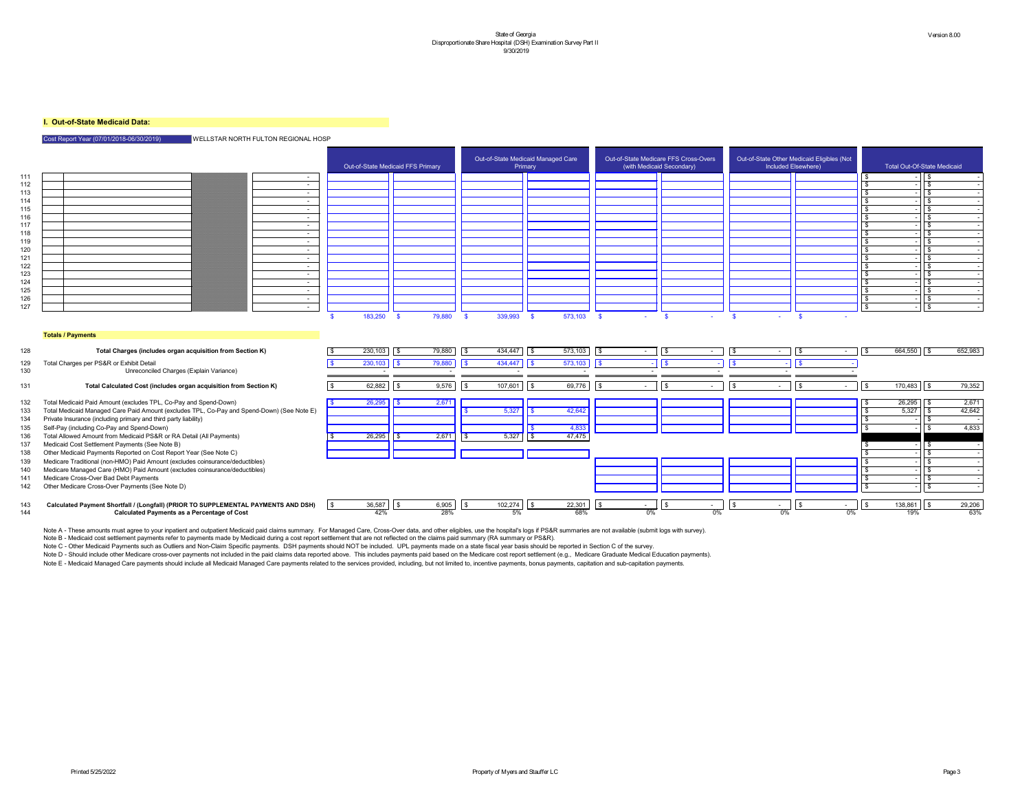### **I. Out-of-State Medicaid Data:**

#### Cost Report Year (07/01/2018-06/30/2019) WELLSTAR NORTH FULTON REGIONAL HOSP



- 
- 
- 
- 
- 
- 

|     |                                                                                            | Out-of-State Medicaid FFS Primary |         |                      | Out-of-State Medicaid Managed Care | Primary |                | Out-of-State Medicare FFS Cross-Overs | (with Medicaid Secondary) |               |        | Out-of-State Other Medicaid Eligibles (Not<br>Included Elsewhere) |                      | <b>Total Out-Of-State Medicaid</b> |                           |            |         |
|-----|--------------------------------------------------------------------------------------------|-----------------------------------|---------|----------------------|------------------------------------|---------|----------------|---------------------------------------|---------------------------|---------------|--------|-------------------------------------------------------------------|----------------------|------------------------------------|---------------------------|------------|---------|
| 111 | $\sim$ 100 $\mu$                                                                           |                                   |         |                      |                                    |         |                |                                       |                           |               |        |                                                                   |                      |                                    |                           |            |         |
| 112 | $\sim$ $-$                                                                                 |                                   |         |                      |                                    |         |                |                                       |                           |               |        |                                                                   |                      |                                    |                           |            |         |
| 113 | $\sim$ $-$                                                                                 |                                   |         |                      |                                    |         |                |                                       |                           |               |        |                                                                   |                      |                                    |                           |            |         |
| 114 | $\sim$ $-$                                                                                 |                                   |         |                      |                                    |         |                |                                       |                           |               |        |                                                                   |                      |                                    |                           |            |         |
| 115 | $\sim$ $-$                                                                                 |                                   |         |                      |                                    |         |                |                                       |                           |               |        |                                                                   |                      |                                    |                           |            |         |
| 116 | $\sim$                                                                                     |                                   |         |                      |                                    |         |                |                                       |                           |               |        |                                                                   |                      |                                    |                           |            |         |
| 117 | $\sim$ $-$                                                                                 |                                   |         |                      |                                    |         |                |                                       |                           |               |        |                                                                   |                      |                                    |                           |            |         |
| 118 | $\sim$ $-$                                                                                 |                                   |         |                      |                                    |         |                |                                       |                           |               |        |                                                                   |                      |                                    |                           |            |         |
| 119 | $\sim$                                                                                     |                                   |         |                      |                                    |         |                |                                       |                           |               |        |                                                                   |                      |                                    |                           | -\$        |         |
| 120 | $\sim$                                                                                     |                                   |         |                      |                                    |         |                |                                       |                           |               |        |                                                                   |                      |                                    |                           |            |         |
| 121 | $\sim$                                                                                     |                                   |         |                      |                                    |         |                |                                       |                           |               |        |                                                                   |                      |                                    |                           |            |         |
| 122 | <b>Contract</b>                                                                            |                                   |         |                      |                                    |         |                |                                       |                           |               |        |                                                                   |                      |                                    |                           |            |         |
| 123 | $\sim$ 100 $\mu$                                                                           |                                   |         |                      |                                    |         |                |                                       |                           |               |        |                                                                   |                      |                                    |                           |            |         |
| 124 | $\sim$                                                                                     |                                   |         |                      |                                    |         |                |                                       |                           |               |        |                                                                   |                      |                                    |                           |            |         |
| 125 | $\sim$ 100 $\mu$                                                                           |                                   |         |                      |                                    |         |                |                                       |                           |               |        |                                                                   |                      |                                    |                           |            |         |
| 126 | $\sim$ $-$                                                                                 |                                   |         |                      |                                    |         |                |                                       |                           |               |        |                                                                   |                      |                                    |                           |            |         |
| 127 | $\sim$ $-$                                                                                 |                                   | 183,250 | 79,880               |                                    |         |                |                                       |                           |               |        |                                                                   |                      |                                    |                           | $\sqrt{3}$ |         |
|     | <b>Totals / Payments</b>                                                                   |                                   |         |                      |                                    |         |                |                                       |                           |               |        |                                                                   |                      |                                    |                           |            |         |
| 128 | Total Charges (includes organ acquisition from Section K)                                  |                                   | 230,103 | 79,880<br>I \$       | l \$                               | 434,447 | l \$           | 573,103                               | $\vert$ \$<br>$\sim$ $-$  | $\frac{1}{3}$ | $\sim$ | l \$                                                              | $\vert$ \$<br>$\sim$ | <b>\$</b>                          | 664,550                   | $\sqrt{3}$ | 652,983 |
| 129 | Total Charges per PS&R or Exhibit Detail                                                   |                                   | 230,103 | 79,880<br>$\vert$ \$ |                                    | 434,447 |                | 573,103                               | $\vert$ \$                |               |        |                                                                   |                      |                                    |                           |            |         |
| 130 | Unreconciled Charges (Explain Variance)                                                    |                                   |         |                      |                                    |         |                |                                       |                           |               |        |                                                                   |                      |                                    |                           |            |         |
| 131 | Total Calculated Cost (includes organ acquisition from Section K)                          |                                   | 62,882  | 9,576<br>l \$        | IS.                                | 107,601 | <b>\$</b>      | 69,776                                | \$<br>$\sim$              |               | $\sim$ |                                                                   | $\sim$               | <b>\$</b>                          | $170,483$   $\frac{1}{3}$ |            | 79,352  |
| 132 | Total Medicaid Paid Amount (excludes TPL, Co-Pay and Spend-Down)                           |                                   | 26,295  | 2,671                |                                    |         |                |                                       |                           |               |        |                                                                   |                      |                                    | $26,295$ \$               |            | 2,671   |
| 133 | Total Medicaid Managed Care Paid Amount (excludes TPL, Co-Pay and Spend-Down) (See Note E) |                                   |         |                      |                                    | 5,327   |                | 42,642                                |                           |               |        |                                                                   |                      |                                    | 5,327                     | l \$       | 42,642  |
| 134 | Private Insurance (including primary and third party liability)                            |                                   |         |                      |                                    |         |                |                                       |                           |               |        |                                                                   |                      |                                    |                           |            |         |
| 135 | Self-Pay (including Co-Pay and Spend-Down)                                                 |                                   |         |                      |                                    |         |                | 4 8 3 3                               |                           |               |        |                                                                   |                      |                                    |                           |            | 4,833   |
| 136 | Total Allowed Amount from Medicaid PS&R or RA Detail (All Payments)                        |                                   | 26,295  | 2,671<br>$\sqrt{3}$  | $\sqrt{5}$                         | 5,327   | $\overline{5}$ | 47,475                                |                           |               |        |                                                                   |                      |                                    |                           |            |         |
| 137 | Medicaid Cost Settlement Payments (See Note B)                                             |                                   |         |                      |                                    |         |                |                                       |                           |               |        |                                                                   |                      |                                    |                           | l \$       |         |
| 138 | Other Medicaid Payments Reported on Cost Report Year (See Note C)                          |                                   |         |                      |                                    |         |                |                                       |                           |               |        |                                                                   |                      |                                    |                           |            |         |
| 139 | Medicare Traditional (non-HMO) Paid Amount (excludes coinsurance/deductibles)              |                                   |         |                      |                                    |         |                |                                       |                           |               |        |                                                                   |                      |                                    |                           |            |         |
| 140 | Medicare Managed Care (HMO) Paid Amount (excludes coinsurance/deductibles)                 |                                   |         |                      |                                    |         |                |                                       |                           |               |        |                                                                   |                      |                                    |                           |            |         |
| 141 | Medicare Cross-Over Bad Debt Payments                                                      |                                   |         |                      |                                    |         |                |                                       |                           |               |        |                                                                   |                      |                                    |                           | -\$        |         |
| 142 | Other Medicare Cross-Over Payments (See Note D)                                            |                                   |         |                      |                                    |         |                |                                       |                           |               |        |                                                                   |                      |                                    |                           | $\sqrt{s}$ |         |
|     |                                                                                            |                                   |         |                      |                                    |         |                |                                       |                           |               |        |                                                                   |                      |                                    |                           |            |         |
|     |                                                                                            |                                   |         |                      |                                    |         |                |                                       |                           |               |        |                                                                   |                      |                                    |                           |            |         |

 \$ 36,587 \$ 6,905 \$ 102,274 \$ 22,301 \$ - \$ - \$ - \$ - \$ 138,861 \$ 29,206 **Calculated Payment Shortfall / (Longfall) (PRIOR TO SUPPLEMENTAL PAYMENTS AND DSH)** 42% 28% 5% 68% 0% 0% 0% 0% 19% 63% **Calculated Payments as a Percentage of Cost**

| Φ | $ -$<br>36 | ĸIJ | $\sim$ $\sim$ $\sim$<br>u<br>רו<br>∽<br>.JUJ | ۰D |    | œ<br>D |  |
|---|------------|-----|----------------------------------------------|----|----|--------|--|
|   | ∕ەد⊷<br>70 |     | 0.001<br>, ט<br>7٥                           |    | 5% |        |  |

Note A - These amounts must agree to your inpatient and outpatient Medicaid paid claims summary. For Managed Care, Cross-Over data, and other eligibles, use the hospital's logs if PS&R summaries are not available (submit l Note B - Medicaid cost settlement payments refer to payments made by Medicaid during a cost report settlement that are not reflected on the claims paid summary (RA summary or PS&R). Note C - Other Medicaid Payments such as Outliers and Non-Claim Specific payments. DSH payments should NOT be included. UPL payments made on a state fiscal year basis should be reported in Section C of the survey. Note D - Should include other Medicare cross-over payments not included in the paid claims data reported above. This includes payments paid based on the Medicare cost report settlement (e.g., Medicare Graduate Medical Educ

Note E - Medicaid Managed Care payments should include all Medicaid Managed Care payments related to the services provided, including, but not limited to, incentive payments, bonus payments, capitation and sub-capitation p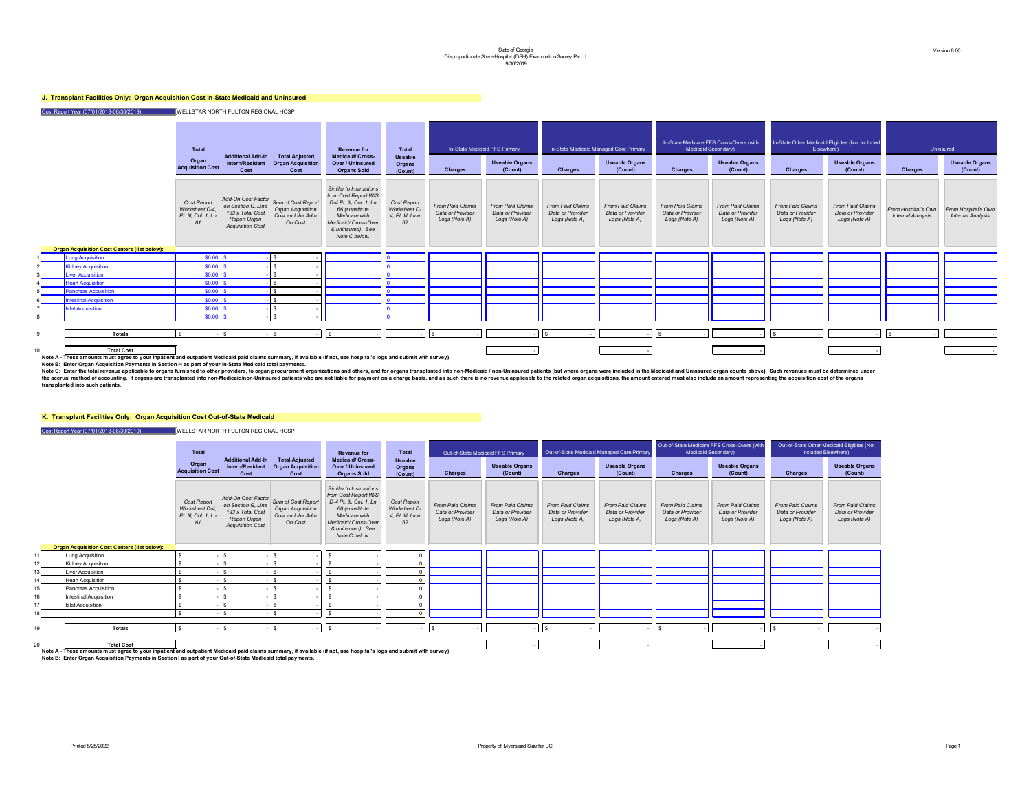## **J. Transplant Facilities Only: Organ Acquisition Cost In-State Medicaid and Uninsured**

Cost Report Year (07/01/2018-06/30/2019) WELLSTAR NORTH FULTON REGIONAL HOSP

#### **The lattal In-State Medicaid Managed Care Primary In-State Medicaid Managed Care Primary**  In-State Medicare FFS Cross-Overs (with Medicaid Secondary) **In-State Other Medicaid Eligibles (Not Included** Elsewhere) Uninsured **Useable Organs (Count) Charges Useable Organs (Count) Charges Useable Organs (Count) Charges Useable Organs (Count) Charges** *From Paid Claims Data or Provider Logs (Note A) From Paid Claims Data or Provider Logs (Note A) From Paid Claims Data or Provider Logs (Note A) From Paid Claims Data or Provider Logs (Note A) From Paid Claims Data or Provider Logs (Note A) From Paid Claims Data or Provider Logs (Note A) From Paid Claims Data or Provider Logs (Note A) From Hospital's Own Internal Analysis* 9 **Totals** \$ - \$ - \$ - \$ - - \$ - - \$ - - \$ - - \$ - - \$ - - 10 **Total Cost** - - - - -



**Note A - These amounts must agree to your inpatient and outpatient Medicaid paid claims summary, if available (if not, use hospital's logs and submit with survey).**

**Note B: Enter Organ Acquisition Payments in Section H as part of your In-State Medicaid total payments.**

#### **K. Transplant Facilities Only: Organ Acquisition Cost Out-of-State Medicaid**

Cost Report Year (07/01/2018-06/30/2019) WELLSTAR NORTH FULTON REGIONAL HOSP

|                |                                                     | <b>Total</b><br>Organ<br><b>Acquisition Cost</b>           | <b>Additional Add-In</b><br><b>Intern/Resident</b><br><b>Cost</b>                                              | <b>Total Adjusted</b><br><b>Organ Acquisition</b><br>Cost                      | <b>Revenue for</b><br><b>Medicaid/ Cross-</b><br><b>Over / Uninsured</b><br><b>Organs Sold</b>                                                                             | <b>Total</b><br><b>Useable</b><br><b>Organs</b><br>(Count)   | <b>In-State Medic</b><br><b>Charges</b>                      |
|----------------|-----------------------------------------------------|------------------------------------------------------------|----------------------------------------------------------------------------------------------------------------|--------------------------------------------------------------------------------|----------------------------------------------------------------------------------------------------------------------------------------------------------------------------|--------------------------------------------------------------|--------------------------------------------------------------|
|                |                                                     | Cost Report<br>Worksheet D-4,<br>Pt. III, Col. 1, Ln<br>61 | Add-On Cost Factor<br>on Section G, Line<br>133 x Total Cost<br><b>Report Organ</b><br><b>Acquisition Cost</b> | Sum of Cost Report<br><b>Organ Acquisition</b><br>Cost and the Add-<br>On Cost | Similar to Instructions<br>from Cost Report W/S<br>D-4 Pt. III, Col. 1, Ln<br>66 (substitute<br>Medicare with<br>Medicaid/Cross-Over<br>& uninsured). See<br>Note C below. | Cost Report<br><b>Worksheet D-</b><br>4, Pt. III, Line<br>62 | <b>From Paid Claims</b><br>Data or Provider<br>Logs (Note A) |
|                | <b>Organ Acquisition Cost Centers (list below):</b> |                                                            |                                                                                                                |                                                                                |                                                                                                                                                                            |                                                              |                                                              |
|                | <b>Lung Acquisition</b>                             | $$0.00$ \$                                                 |                                                                                                                | \$                                                                             |                                                                                                                                                                            | 10                                                           |                                                              |
| $\overline{2}$ | <b>Kidney Acquisition</b>                           | \$0.00                                                     | $\sqrt{3}$                                                                                                     | \$                                                                             |                                                                                                                                                                            |                                                              |                                                              |
| 3              | <b>Liver Acquisition</b>                            | $$0.00$ \ \$                                               |                                                                                                                | \$                                                                             |                                                                                                                                                                            |                                                              |                                                              |
| 4              | <b>Heart Acquisition</b>                            | \$0.00                                                     | $\sqrt[6]{3}$                                                                                                  | \$                                                                             |                                                                                                                                                                            | IΩ                                                           |                                                              |
| 5              | <b>Pancreas Acquisition</b>                         | \$0.00                                                     | $\sqrt[6]{3}$                                                                                                  | \$                                                                             |                                                                                                                                                                            |                                                              |                                                              |
| 6 <sup>1</sup> | <b>Intestinal Acquisition</b>                       | \$0.00                                                     | $\sqrt[6]{2}$                                                                                                  | \$                                                                             |                                                                                                                                                                            | ıο                                                           |                                                              |
| 7              | <b>Islet Acquisition</b>                            | $$0.00$ \ \$                                               |                                                                                                                | \$                                                                             |                                                                                                                                                                            | IО                                                           |                                                              |
| 8 <sup>1</sup> |                                                     | $$0.00$ \ \$                                               |                                                                                                                | \$                                                                             |                                                                                                                                                                            | 10                                                           |                                                              |
|                |                                                     |                                                            |                                                                                                                |                                                                                |                                                                                                                                                                            |                                                              |                                                              |
| 9              | <b>Totals</b>                                       | \$<br>٠                                                    | $\sqrt[6]{\frac{1}{2}}$                                                                                        | $\boldsymbol{\mathsf{S}}$                                                      | $\sqrt[6]{\frac{1}{2}}$                                                                                                                                                    |                                                              | $\sqrt[6]{\frac{1}{2}}$                                      |

Note C: Enter the total revenue applicable to organs furnished to other providers, to organ procurement organizations and others, and for organs transplanted into non-Medicaid / non-Uninsured patients (but where organs wer the accrual method of accounting. If organs are transplanted into non-Medicaid/non-Uninsured patients who are not liable for payment on a charge basis, and as such there is no revenue applicable to the related organ acquis **transplanted into such patients.** 

|    |                                                                                                                                                                                           | <b>Total</b><br><b>Additional Add-In</b>                   |                                                                                                                | <b>Revenue for</b>                                                             | <b>Total</b>                                                                                                                                                               |                                                              | Out-of-State Medicaid FFS Primary                            |                                                              | Out-of-State Medicaid Managed Care Primary                   |                                                              | Out-of-State Medicare FFS Cross-Overs (with<br><b>Medicaid Secondary)</b> |                                                              | Out-of-State Other Medicaid Eligibles (Not<br>Included Elsewhere) |                                                              |
|----|-------------------------------------------------------------------------------------------------------------------------------------------------------------------------------------------|------------------------------------------------------------|----------------------------------------------------------------------------------------------------------------|--------------------------------------------------------------------------------|----------------------------------------------------------------------------------------------------------------------------------------------------------------------------|--------------------------------------------------------------|--------------------------------------------------------------|--------------------------------------------------------------|--------------------------------------------------------------|--------------------------------------------------------------|---------------------------------------------------------------------------|--------------------------------------------------------------|-------------------------------------------------------------------|--------------------------------------------------------------|
|    |                                                                                                                                                                                           | Organ<br><b>Acquisition Cost</b>                           | <b>Intern/Resident</b><br><b>Cost</b>                                                                          | <b>Total Adjusted</b><br><b>Organ Acquisition</b><br>Cost                      | <b>Medicaid/ Cross-</b><br><b>Over / Uninsured</b><br><b>Organs Sold</b>                                                                                                   | <b>Useable</b><br><b>Organs</b><br>(Count)                   | <b>Charges</b>                                               | <b>Useable Organs</b><br>(Count)                             | <b>Charges</b>                                               | <b>Useable Organs</b><br>(Count)                             | <b>Charges</b>                                                            | <b>Useable Organs</b><br>(Count)                             | <b>Charges</b>                                                    | <b>Useable Organs</b><br>(Count)                             |
|    |                                                                                                                                                                                           | Cost Report<br>Worksheet D-4,<br>Pt. III, Col. 1, Ln<br>61 | Add-On Cost Factor<br>on Section G, Line<br>133 x Total Cost<br><b>Report Organ</b><br><b>Acquisition Cost</b> | Sum of Cost Report<br><b>Organ Acquisition</b><br>Cost and the Add-<br>On Cost | Similar to Instructions<br>from Cost Report W/S<br>D-4 Pt. III, Col. 1, Ln<br>66 (substitute<br>Medicare with<br>Medicaid/Cross-Over<br>& uninsured). See<br>Note C below. | <b>Cost Report</b><br>Worksheet D-<br>4, Pt. III, Line<br>62 | <b>From Paid Claims</b><br>Data or Provider<br>Logs (Note A) | <b>From Paid Claims</b><br>Data or Provider<br>Logs (Note A) | <b>From Paid Claims</b><br>Data or Provider<br>Logs (Note A) | <b>From Paid Claims</b><br>Data or Provider<br>Logs (Note A) | <b>From Paid Claims</b><br>Data or Provider<br>Logs (Note A)              | <b>From Paid Claims</b><br>Data or Provider<br>Logs (Note A) | <b>From Paid Claims</b><br>Data or Provider<br>Logs (Note A)      | <b>From Paid Claims</b><br>Data or Provider<br>Logs (Note A) |
|    | <b>Organ Acquisition Cost Centers (list below):</b>                                                                                                                                       |                                                            |                                                                                                                |                                                                                |                                                                                                                                                                            |                                                              |                                                              |                                                              |                                                              |                                                              |                                                                           |                                                              |                                                                   |                                                              |
|    | Lung Acquisition                                                                                                                                                                          |                                                            |                                                                                                                | - \$                                                                           |                                                                                                                                                                            |                                                              |                                                              |                                                              |                                                              |                                                              |                                                                           |                                                              |                                                                   |                                                              |
|    | Kidney Acquisition                                                                                                                                                                        |                                                            |                                                                                                                |                                                                                |                                                                                                                                                                            |                                                              |                                                              |                                                              |                                                              |                                                              |                                                                           |                                                              |                                                                   |                                                              |
|    | Liver Acquisition                                                                                                                                                                         |                                                            |                                                                                                                |                                                                                |                                                                                                                                                                            |                                                              |                                                              |                                                              |                                                              |                                                              |                                                                           |                                                              |                                                                   |                                                              |
|    | <b>Heart Acquisition</b>                                                                                                                                                                  |                                                            |                                                                                                                |                                                                                |                                                                                                                                                                            |                                                              |                                                              |                                                              |                                                              |                                                              |                                                                           |                                                              |                                                                   |                                                              |
|    | Pancreas Acquisition                                                                                                                                                                      |                                                            |                                                                                                                |                                                                                |                                                                                                                                                                            |                                                              |                                                              |                                                              |                                                              |                                                              |                                                                           |                                                              |                                                                   |                                                              |
|    | <b>Intestinal Acquisition</b>                                                                                                                                                             |                                                            |                                                                                                                | l \$                                                                           |                                                                                                                                                                            |                                                              |                                                              |                                                              |                                                              |                                                              |                                                                           |                                                              |                                                                   |                                                              |
|    | <b>Islet Acquisition</b>                                                                                                                                                                  |                                                            |                                                                                                                | - \$                                                                           |                                                                                                                                                                            |                                                              |                                                              |                                                              |                                                              |                                                              |                                                                           |                                                              |                                                                   |                                                              |
|    |                                                                                                                                                                                           |                                                            |                                                                                                                |                                                                                |                                                                                                                                                                            |                                                              |                                                              |                                                              |                                                              |                                                              |                                                                           |                                                              |                                                                   |                                                              |
| 19 | <b>Totals</b>                                                                                                                                                                             |                                                            |                                                                                                                |                                                                                |                                                                                                                                                                            |                                                              |                                                              |                                                              |                                                              |                                                              |                                                                           |                                                              |                                                                   |                                                              |
| 20 | <b>Total Cost</b><br>lyourned to work the street of the street agent and outpatient Modicaid paid claims are many if available <i>(if not use hoepital's logs and submit with survoy)</i> |                                                            |                                                                                                                |                                                                                |                                                                                                                                                                            |                                                              |                                                              |                                                              |                                                              |                                                              |                                                                           |                                                              |                                                                   |                                                              |

**Note A - These amounts must agree to your inpatient and outpatient Medicaid paid claims summary, if available (if not, use hospital's logs and submit with survey). Note B: Enter Organ Acquisition Payments in Section I as part of your Out-of-State Medicaid total payments.**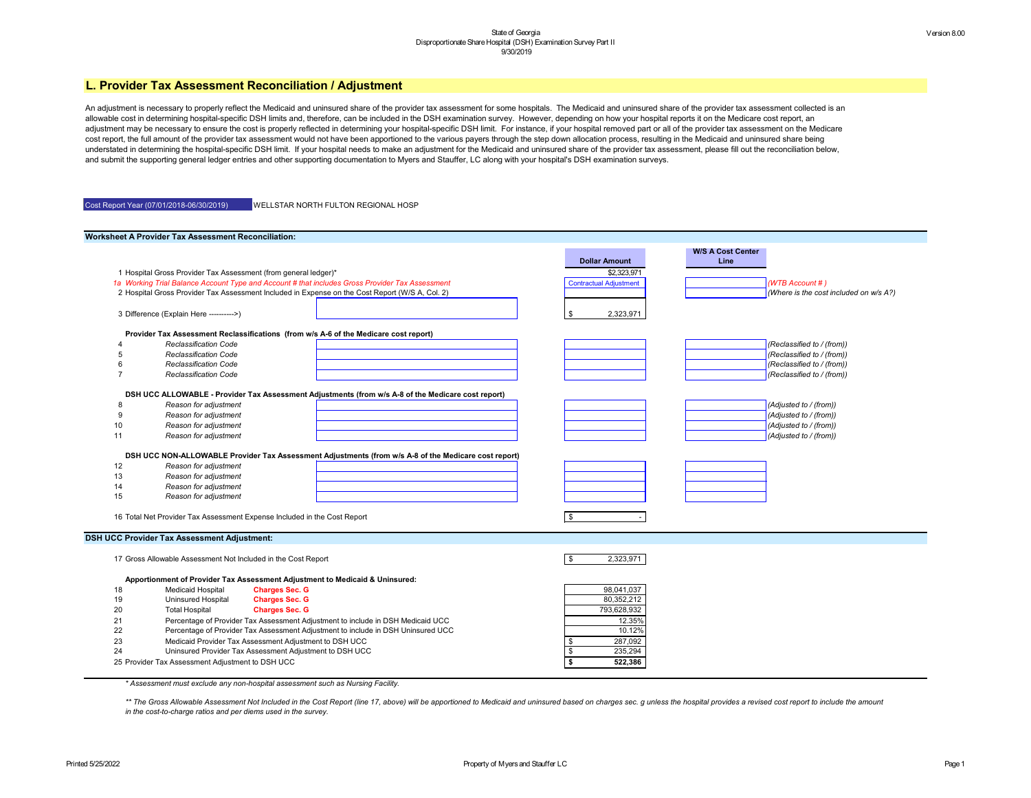

\*\* The Gross Allowable Assessment Not Included in the Cost Report (line 17, above) will be apportioned to Medicaid and uninsured based on charges sec. g unless the hospital provides a revised cost report to include the amo *in the cost-to-charge ratios and per diems used in the survey.*

|    | <b>Worksheet A Provider Tax Assessment Reconciliation:</b>      |                                                                                                      |                                       |                                  |
|----|-----------------------------------------------------------------|------------------------------------------------------------------------------------------------------|---------------------------------------|----------------------------------|
|    |                                                                 |                                                                                                      | <b>Dollar Amount</b>                  | <b>W/S A Cost Center</b><br>Line |
|    | 1 Hospital Gross Provider Tax Assessment (from general ledger)* |                                                                                                      | \$2,323,971                           |                                  |
|    |                                                                 | 1a Working Trial Balance Account Type and Account # that includes Gross Provider Tax Assessment      | <b>Contractual Adjustment</b>         | (WTB Account #)                  |
|    |                                                                 | 2 Hospital Gross Provider Tax Assessment Included in Expense on the Cost Report (W/S A, Col. 2)      |                                       | (Where is the cost in            |
|    |                                                                 |                                                                                                      |                                       |                                  |
|    | 3 Difference (Explain Here ---------->)                         |                                                                                                      | 2,323,971<br>\$                       |                                  |
|    |                                                                 | Provider Tax Assessment Reclassifications (from w/s A-6 of the Medicare cost report)                 |                                       |                                  |
|    | <b>Reclassification Code</b>                                    |                                                                                                      |                                       | (Reclassified to / (frc          |
|    | <b>Reclassification Code</b>                                    |                                                                                                      |                                       | (Reclassified to / (frc          |
|    | <b>Reclassification Code</b>                                    |                                                                                                      |                                       | (Reclassified to / (frc          |
|    | <b>Reclassification Code</b>                                    |                                                                                                      |                                       | (Reclassified to / (frc          |
|    |                                                                 |                                                                                                      |                                       |                                  |
|    |                                                                 | DSH UCC ALLOWABLE - Provider Tax Assessment Adjustments (from w/s A-8 of the Medicare cost report)   |                                       |                                  |
|    | Reason for adjustment                                           |                                                                                                      |                                       | (Adjusted to / (from))           |
|    | Reason for adjustment                                           |                                                                                                      |                                       | (Adjusted to / (from))           |
| 10 | Reason for adjustment                                           |                                                                                                      |                                       | (Adjusted to / (from))           |
| 11 | Reason for adjustment                                           |                                                                                                      |                                       | (Adjusted to / (from))           |
|    |                                                                 | DSH UCC NON-ALLOWABLE Provider Tax Assessment Adjustments (from w/s A-8 of the Medicare cost report) |                                       |                                  |
| 12 | Reason for adjustment                                           |                                                                                                      |                                       |                                  |
| 13 | Reason for adjustment                                           |                                                                                                      |                                       |                                  |
| 14 | Reason for adjustment                                           |                                                                                                      |                                       |                                  |
| 15 | Reason for adjustment                                           |                                                                                                      |                                       |                                  |
|    |                                                                 |                                                                                                      |                                       |                                  |
|    |                                                                 | 16 Total Net Provider Tax Assessment Expense Included in the Cost Report                             | \$                                    |                                  |
|    | <b>DSH UCC Provider Tax Assessment Adjustment:</b>              |                                                                                                      |                                       |                                  |
|    |                                                                 |                                                                                                      |                                       |                                  |
|    | 17 Gross Allowable Assessment Not Included in the Cost Report   |                                                                                                      | \$<br>2,323,971                       |                                  |
|    |                                                                 | Apportionment of Provider Tax Assessment Adjustment to Medicaid & Uninsured:                         |                                       |                                  |
| 18 | <b>Medicaid Hospital</b>                                        | <b>Charges Sec. G</b>                                                                                | 98,041,037                            |                                  |
| 19 | Uninsured Hospital                                              | <b>Charges Sec. G</b>                                                                                | 80,352,212                            |                                  |
| 20 | <b>Total Hospital</b>                                           | <b>Charges Sec. G</b>                                                                                | 793,628,932                           |                                  |
| 21 |                                                                 | Percentage of Provider Tax Assessment Adjustment to include in DSH Medicaid UCC                      | 12.35%                                |                                  |
| 22 |                                                                 | Percentage of Provider Tax Assessment Adjustment to include in DSH Uninsured UCC                     | 10.12%                                |                                  |
| 23 |                                                                 | Medicaid Provider Tax Assessment Adjustment to DSH UCC                                               | $\frac{1}{2}$<br>287,092              |                                  |
| 24 |                                                                 | Uninsured Provider Tax Assessment Adjustment to DSH UCC                                              | $\boldsymbol{\mathsf{\$}}$<br>235,294 |                                  |
|    | 25 Provider Tax Assessment Adjustment to DSH UCC                |                                                                                                      | $\overline{\mathbf{S}}$<br>522,386    |                                  |
|    |                                                                 |                                                                                                      |                                       |                                  |

An adjustment is necessary to properly reflect the Medicaid and uninsured share of the provider tax assessment on the Medicaid and uninsured share of the provider tax assessment collected is an allowable cost in determining hospital-specific DSH limits and, therefore, can be included in the DSH examination survey. However, depending on how your hospital reports it on the Medicare cost report, an adjustment may be necessary to ensure the cost is properly reflected in determining your hospital-specific DSH limit. For instance, if your hospital removed part or all of the provider tax assessment on the Medicare cost report, the full amount of the provider tax assessment would not have been apportioned to the various payers through the step down allocation process, resulting in the Medicaid and uninsured share being understated in determining the hospital-specific DSH limit. If your hospital needs to make an adjustment for the Medicaid and uninsured share of the provider tax assessment, please fill out the reconciliation below, and submit the supporting general ledger entries and other supporting documentation to Myers and Stauffer, LC along with your hospital's DSH examination surveys.

| Cost Report Year (07/01/2018-06/30/2019) | <b>WELLSTAR NORTH FULTON REGIONAL HOSP</b> |
|------------------------------------------|--------------------------------------------|
|                                          |                                            |

*\* Assessment must exclude any non-hospital assessment such as Nursing Facility.*

# **L. Provider Tax Assessment Reconciliation / Adjustment**